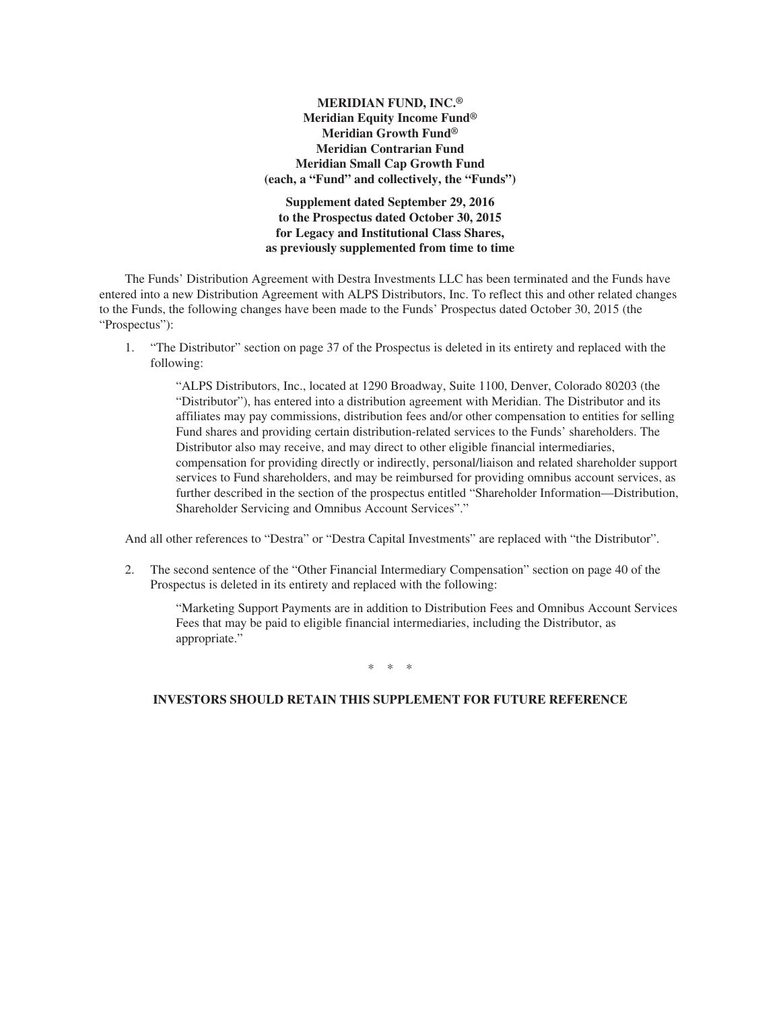## **MERIDIAN FUND, INC.® Meridian Equity Income Fund® Meridian Growth Fund® Meridian Contrarian Fund Meridian Small Cap Growth Fund (each, a "Fund" and collectively, the "Funds")**

**Supplement dated September 29, 2016 to the Prospectus dated October 30, 2015 for Legacy and Institutional Class Shares, as previously supplemented from time to time**

The Funds' Distribution Agreement with Destra Investments LLC has been terminated and the Funds have entered into a new Distribution Agreement with ALPS Distributors, Inc. To reflect this and other related changes to the Funds, the following changes have been made to the Funds' Prospectus dated October 30, 2015 (the "Prospectus"):

1. "The Distributor" section on page 37 of the Prospectus is deleted in its entirety and replaced with the following:

"ALPS Distributors, Inc., located at 1290 Broadway, Suite 1100, Denver, Colorado 80203 (the "Distributor"), has entered into a distribution agreement with Meridian. The Distributor and its affiliates may pay commissions, distribution fees and/or other compensation to entities for selling Fund shares and providing certain distribution-related services to the Funds' shareholders. The Distributor also may receive, and may direct to other eligible financial intermediaries, compensation for providing directly or indirectly, personal/liaison and related shareholder support services to Fund shareholders, and may be reimbursed for providing omnibus account services, as further described in the section of the prospectus entitled "Shareholder Information—Distribution, Shareholder Servicing and Omnibus Account Services"."

And all other references to "Destra" or "Destra Capital Investments" are replaced with "the Distributor".

2. The second sentence of the "Other Financial Intermediary Compensation" section on page 40 of the Prospectus is deleted in its entirety and replaced with the following:

"Marketing Support Payments are in addition to Distribution Fees and Omnibus Account Services Fees that may be paid to eligible financial intermediaries, including the Distributor, as appropriate."

\*\*\*

### **INVESTORS SHOULD RETAIN THIS SUPPLEMENT FOR FUTURE REFERENCE**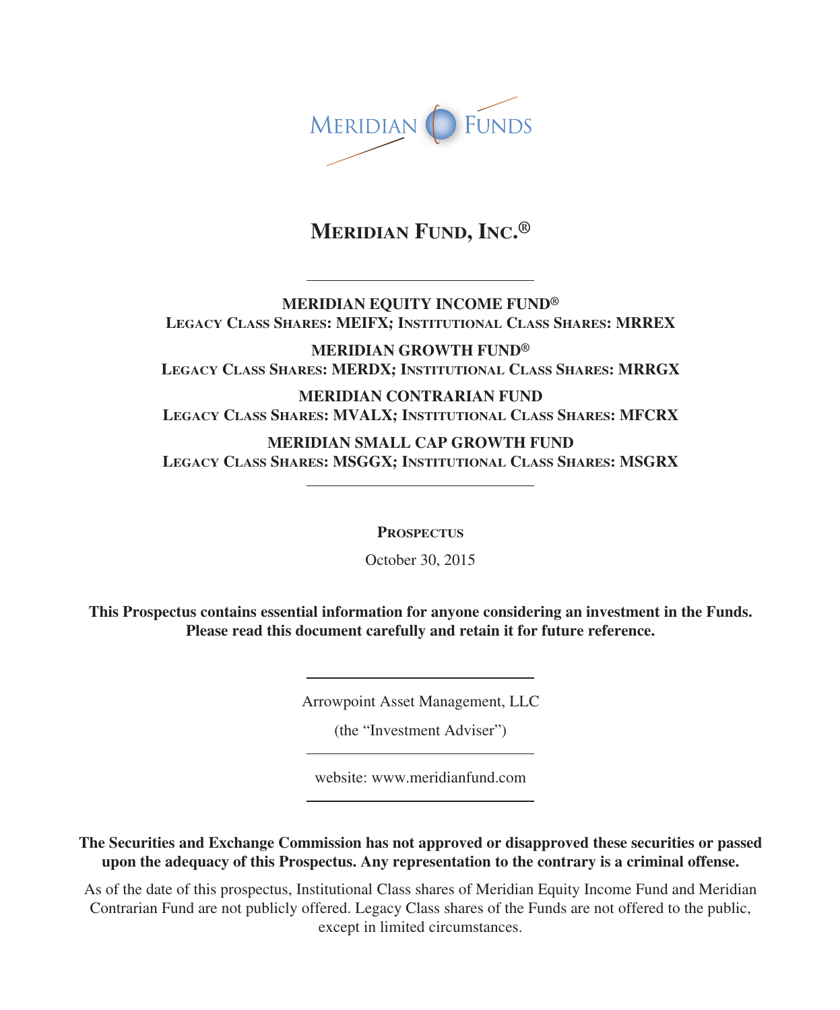

# **MERIDIAN FUND, INC.®**

**MERIDIAN EQUITY INCOME FUND® LEGACY CLASS SHARES: MEIFX; INSTITUTIONAL CLASS SHARES: MRREX**

**MERIDIAN GROWTH FUND® LEGACY CLASS SHARES: MERDX; INSTITUTIONAL CLASS SHARES: MRRGX**

**MERIDIAN CONTRARIAN FUND LEGACY CLASS SHARES: MVALX; INSTITUTIONAL CLASS SHARES: MFCRX**

**MERIDIAN SMALL CAP GROWTH FUND LEGACY CLASS SHARES: MSGGX; INSTITUTIONAL CLASS SHARES: MSGRX**

**PROSPECTUS**

October 30, 2015

**This Prospectus contains essential information for anyone considering an investment in the Funds. Please read this document carefully and retain it for future reference.**

Arrowpoint Asset Management, LLC

(the "Investment Adviser")

website: www.meridianfund.com

**The Securities and Exchange Commission has not approved or disapproved these securities or passed upon the adequacy of this Prospectus. Any representation to the contrary is a criminal offense.**

As of the date of this prospectus, Institutional Class shares of Meridian Equity Income Fund and Meridian Contrarian Fund are not publicly offered. Legacy Class shares of the Funds are not offered to the public, except in limited circumstances.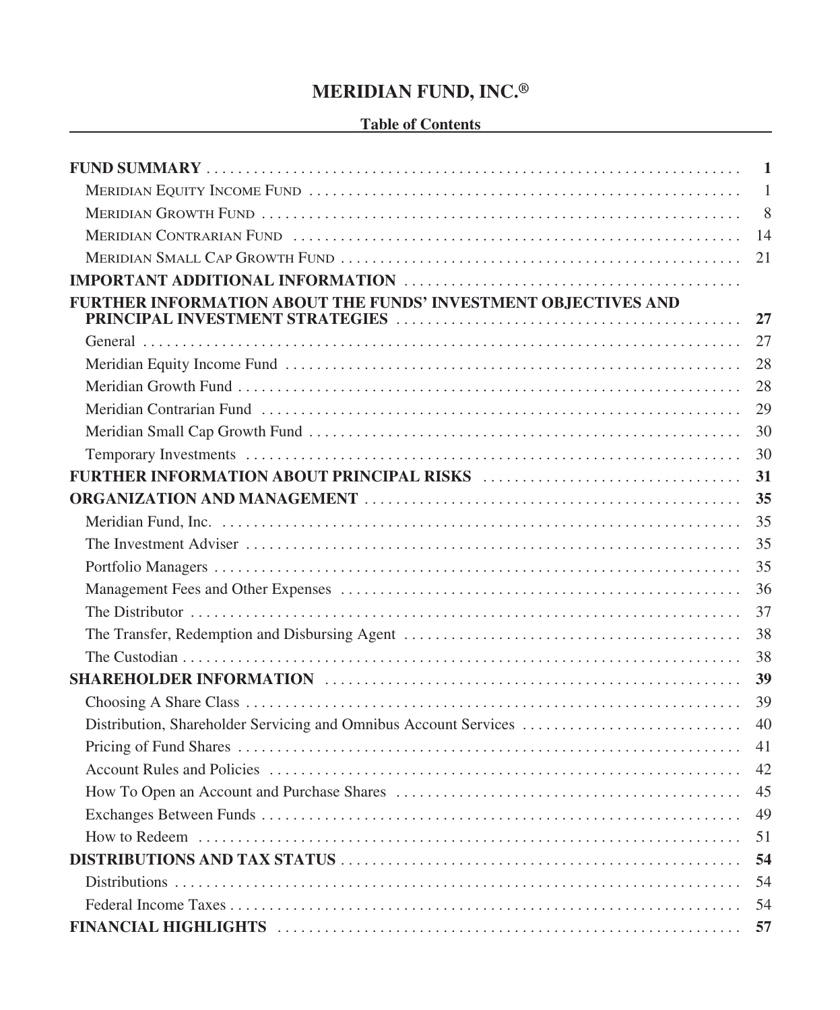# **MERIDIAN FUND, INC.®**

## **Table of Contents**

|                                                                  | 1            |
|------------------------------------------------------------------|--------------|
|                                                                  | $\mathbf{1}$ |
|                                                                  | 8            |
|                                                                  | 14           |
|                                                                  | 21           |
|                                                                  |              |
| FURTHER INFORMATION ABOUT THE FUNDS' INVESTMENT OBJECTIVES AND   |              |
|                                                                  | 27           |
|                                                                  | 27           |
|                                                                  | 28           |
|                                                                  | 28           |
|                                                                  | 29           |
|                                                                  | 30           |
|                                                                  | 30           |
|                                                                  | 31           |
|                                                                  | 35           |
|                                                                  | 35           |
|                                                                  | 35           |
|                                                                  | 35           |
|                                                                  | 36           |
|                                                                  | 37           |
|                                                                  | 38           |
|                                                                  | 38           |
|                                                                  | 39           |
|                                                                  | 39           |
| Distribution, Shareholder Servicing and Omnibus Account Services | 40           |
|                                                                  | 41           |
|                                                                  | 42           |
|                                                                  | 45           |
|                                                                  | 49           |
|                                                                  | 51           |
|                                                                  | 54           |
|                                                                  | 54           |
|                                                                  |              |
|                                                                  | 57           |
|                                                                  |              |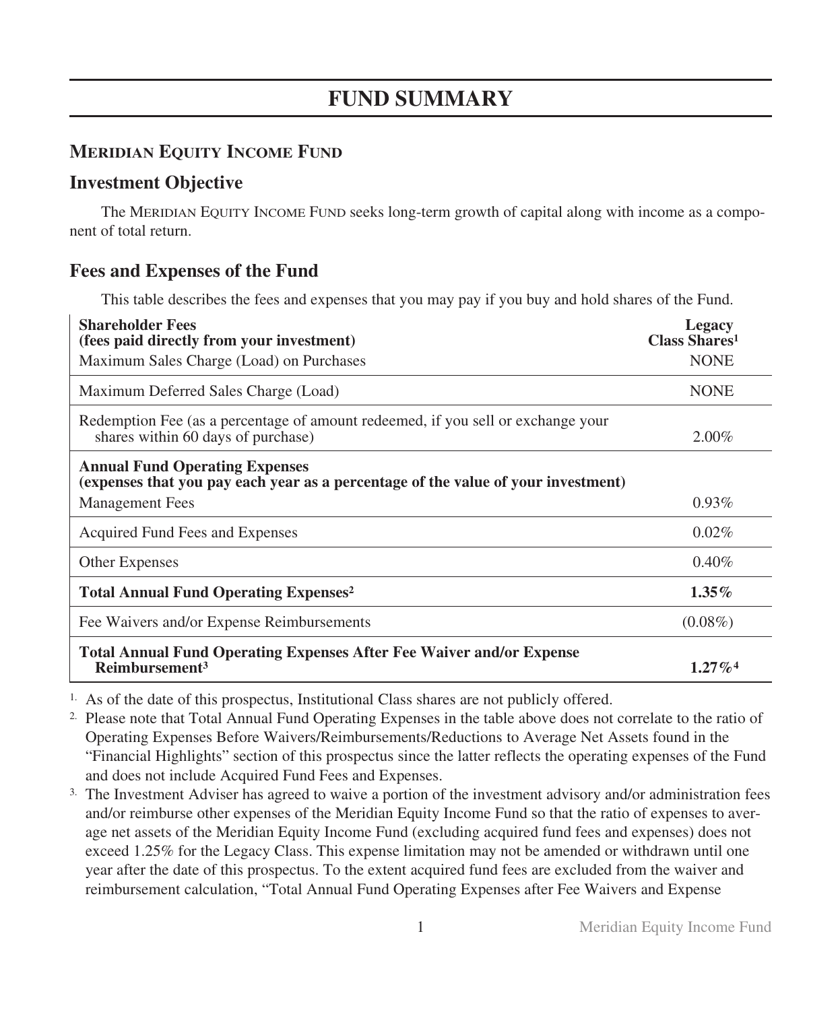# **FUND SUMMARY**

# **MERIDIAN EQUITY INCOME FUND**

# **Investment Objective**

The MERIDIAN EQUITY INCOME FUND seeks long-term growth of capital along with income as a component of total return.

# **Fees and Expenses of the Fund**

This table describes the fees and expenses that you may pay if you buy and hold shares of the Fund.

| <b>Shareholder Fees</b><br>(fees paid directly from your investment)                                                       | Legacy<br><b>Class Shares1</b> |
|----------------------------------------------------------------------------------------------------------------------------|--------------------------------|
| Maximum Sales Charge (Load) on Purchases                                                                                   | <b>NONE</b>                    |
| Maximum Deferred Sales Charge (Load)                                                                                       | <b>NONE</b>                    |
| Redemption Fee (as a percentage of amount redeemed, if you sell or exchange your<br>shares within 60 days of purchase)     | $2.00\%$                       |
| <b>Annual Fund Operating Expenses</b><br>(expenses that you pay each year as a percentage of the value of your investment) |                                |
| <b>Management Fees</b>                                                                                                     | $0.93\%$                       |
| Acquired Fund Fees and Expenses                                                                                            | 0.02%                          |
| <b>Other Expenses</b>                                                                                                      | 0.40%                          |
| <b>Total Annual Fund Operating Expenses<sup>2</sup></b>                                                                    | $1.35\%$                       |
| Fee Waivers and/or Expense Reimbursements                                                                                  | $(0.08\%)$                     |
| <b>Total Annual Fund Operating Expenses After Fee Waiver and/or Expense</b><br>Reimbursement <sup>3</sup>                  | $1.27\%$ <sup>4</sup>          |

1. As of the date of this prospectus, Institutional Class shares are not publicly offered.

2. Please note that Total Annual Fund Operating Expenses in the table above does not correlate to the ratio of Operating Expenses Before Waivers/Reimbursements/Reductions to Average Net Assets found in the "Financial Highlights" section of this prospectus since the latter reflects the operating expenses of the Fund and does not include Acquired Fund Fees and Expenses.

3. The Investment Adviser has agreed to waive a portion of the investment advisory and/or administration fees and/or reimburse other expenses of the Meridian Equity Income Fund so that the ratio of expenses to average net assets of the Meridian Equity Income Fund (excluding acquired fund fees and expenses) does not exceed 1.25% for the Legacy Class. This expense limitation may not be amended or withdrawn until one year after the date of this prospectus. To the extent acquired fund fees are excluded from the waiver and reimbursement calculation, "Total Annual Fund Operating Expenses after Fee Waivers and Expense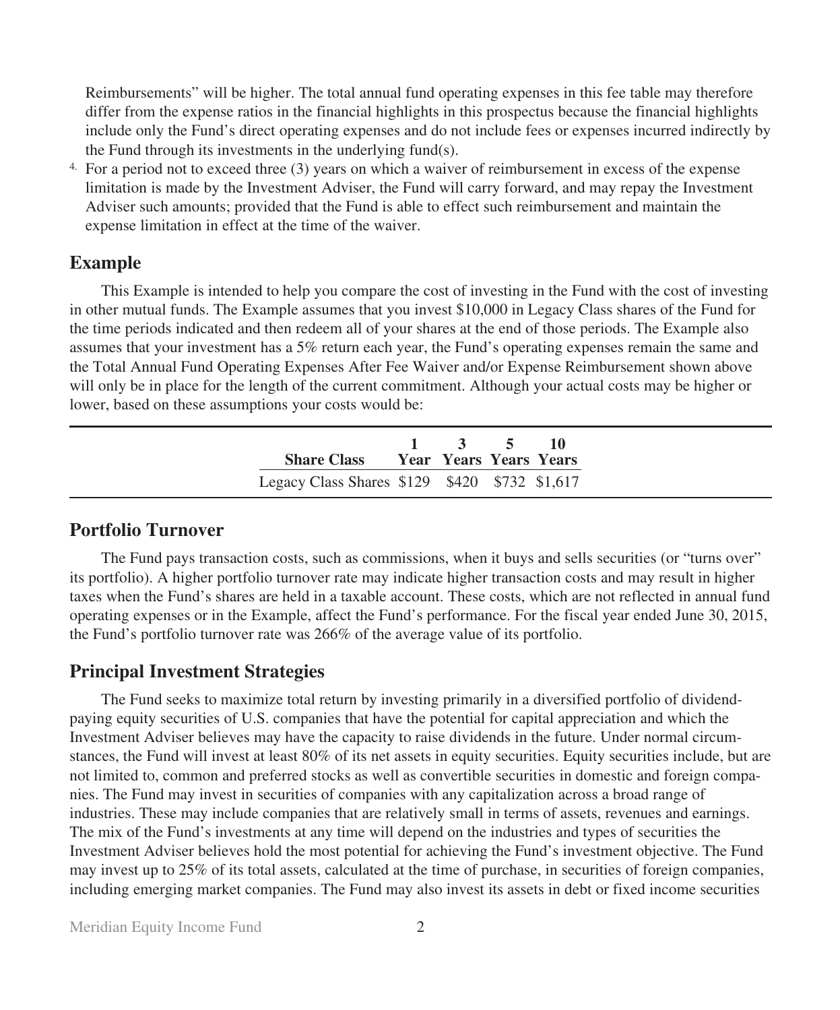Reimbursements" will be higher. The total annual fund operating expenses in this fee table may therefore differ from the expense ratios in the financial highlights in this prospectus because the financial highlights include only the Fund's direct operating expenses and do not include fees or expenses incurred indirectly by the Fund through its investments in the underlying fund(s).

4. For a period not to exceed three (3) years on which a waiver of reimbursement in excess of the expense limitation is made by the Investment Adviser, the Fund will carry forward, and may repay the Investment Adviser such amounts; provided that the Fund is able to effect such reimbursement and maintain the expense limitation in effect at the time of the waiver.

## **Example**

This Example is intended to help you compare the cost of investing in the Fund with the cost of investing in other mutual funds. The Example assumes that you invest \$10,000 in Legacy Class shares of the Fund for the time periods indicated and then redeem all of your shares at the end of those periods. The Example also assumes that your investment has a 5% return each year, the Fund's operating expenses remain the same and the Total Annual Fund Operating Expenses After Fee Waiver and/or Expense Reimbursement shown above will only be in place for the length of the current commitment. Although your actual costs may be higher or lower, based on these assumptions your costs would be:

| <b>Share Class Sear Years Years Years</b>     | $1 \t3 \t5 \t10$ |  |
|-----------------------------------------------|------------------|--|
| Legacy Class Shares \$129 \$420 \$732 \$1,617 |                  |  |

## **Portfolio Turnover**

The Fund pays transaction costs, such as commissions, when it buys and sells securities (or "turns over" its portfolio). A higher portfolio turnover rate may indicate higher transaction costs and may result in higher taxes when the Fund's shares are held in a taxable account. These costs, which are not reflected in annual fund operating expenses or in the Example, affect the Fund's performance. For the fiscal year ended June 30, 2015, the Fund's portfolio turnover rate was 266% of the average value of its portfolio.

## **Principal Investment Strategies**

The Fund seeks to maximize total return by investing primarily in a diversified portfolio of dividendpaying equity securities of U.S. companies that have the potential for capital appreciation and which the Investment Adviser believes may have the capacity to raise dividends in the future. Under normal circumstances, the Fund will invest at least 80% of its net assets in equity securities. Equity securities include, but are not limited to, common and preferred stocks as well as convertible securities in domestic and foreign companies. The Fund may invest in securities of companies with any capitalization across a broad range of industries. These may include companies that are relatively small in terms of assets, revenues and earnings. The mix of the Fund's investments at any time will depend on the industries and types of securities the Investment Adviser believes hold the most potential for achieving the Fund's investment objective. The Fund may invest up to 25% of its total assets, calculated at the time of purchase, in securities of foreign companies, including emerging market companies. The Fund may also invest its assets in debt or fixed income securities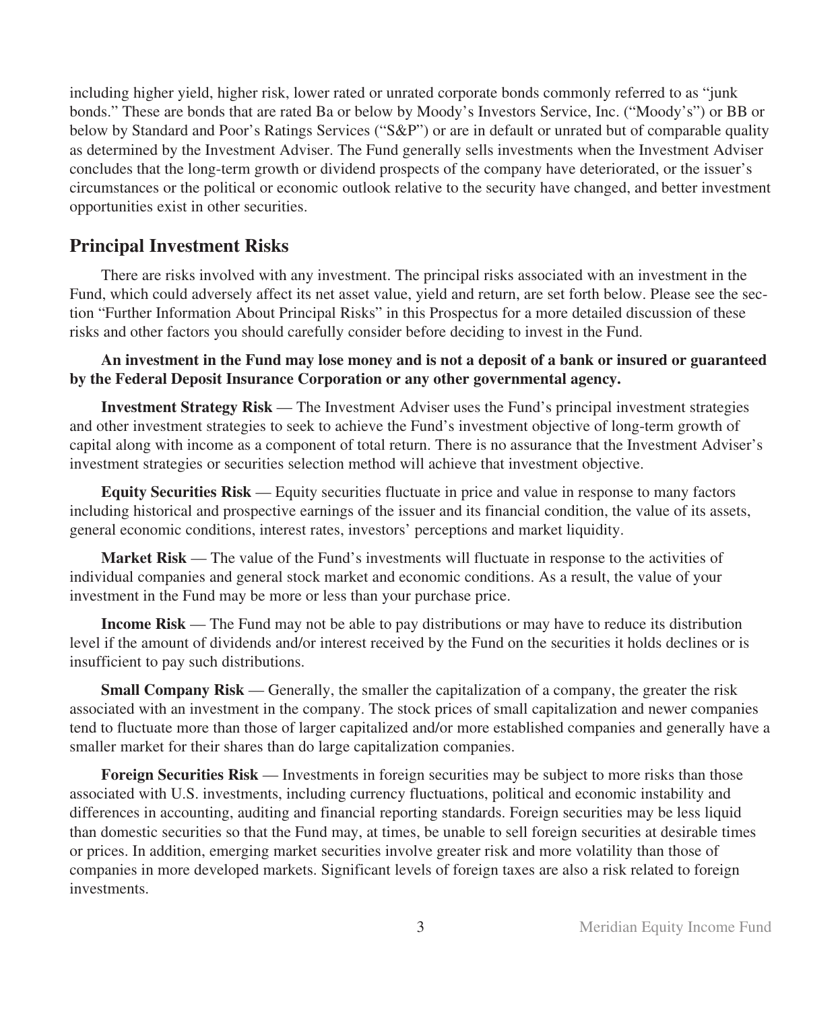including higher yield, higher risk, lower rated or unrated corporate bonds commonly referred to as "junk bonds." These are bonds that are rated Ba or below by Moody's Investors Service, Inc. ("Moody's") or BB or below by Standard and Poor's Ratings Services ("S&P") or are in default or unrated but of comparable quality as determined by the Investment Adviser. The Fund generally sells investments when the Investment Adviser concludes that the long-term growth or dividend prospects of the company have deteriorated, or the issuer's circumstances or the political or economic outlook relative to the security have changed, and better investment opportunities exist in other securities.

## **Principal Investment Risks**

There are risks involved with any investment. The principal risks associated with an investment in the Fund, which could adversely affect its net asset value, yield and return, are set forth below. Please see the section "Further Information About Principal Risks" in this Prospectus for a more detailed discussion of these risks and other factors you should carefully consider before deciding to invest in the Fund.

**An investment in the Fund may lose money and is not a deposit of a bank or insured or guaranteed by the Federal Deposit Insurance Corporation or any other governmental agency.**

**Investment Strategy Risk** — The Investment Adviser uses the Fund's principal investment strategies and other investment strategies to seek to achieve the Fund's investment objective of long-term growth of capital along with income as a component of total return. There is no assurance that the Investment Adviser's investment strategies or securities selection method will achieve that investment objective.

**Equity Securities Risk** — Equity securities fluctuate in price and value in response to many factors including historical and prospective earnings of the issuer and its financial condition, the value of its assets, general economic conditions, interest rates, investors' perceptions and market liquidity.

**Market Risk** — The value of the Fund's investments will fluctuate in response to the activities of individual companies and general stock market and economic conditions. As a result, the value of your investment in the Fund may be more or less than your purchase price.

**Income Risk** — The Fund may not be able to pay distributions or may have to reduce its distribution level if the amount of dividends and/or interest received by the Fund on the securities it holds declines or is insufficient to pay such distributions.

**Small Company Risk** — Generally, the smaller the capitalization of a company, the greater the risk associated with an investment in the company. The stock prices of small capitalization and newer companies tend to fluctuate more than those of larger capitalized and/or more established companies and generally have a smaller market for their shares than do large capitalization companies.

**Foreign Securities Risk** — Investments in foreign securities may be subject to more risks than those associated with U.S. investments, including currency fluctuations, political and economic instability and differences in accounting, auditing and financial reporting standards. Foreign securities may be less liquid than domestic securities so that the Fund may, at times, be unable to sell foreign securities at desirable times or prices. In addition, emerging market securities involve greater risk and more volatility than those of companies in more developed markets. Significant levels of foreign taxes are also a risk related to foreign investments.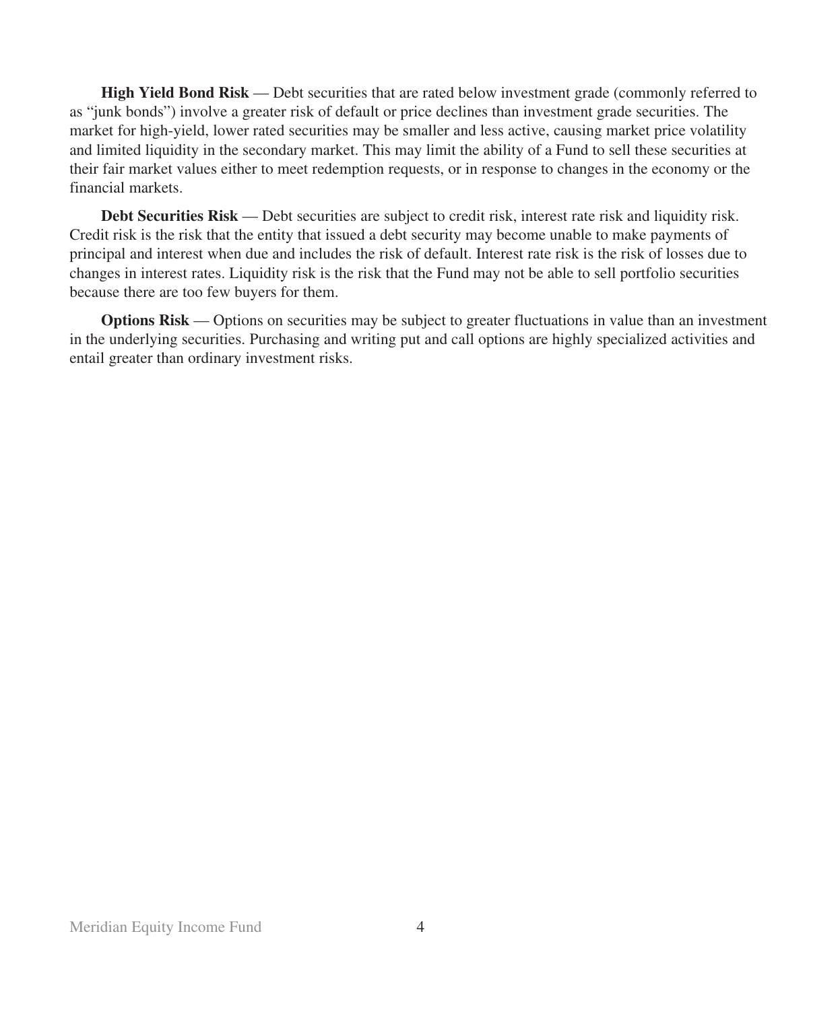**High Yield Bond Risk** — Debt securities that are rated below investment grade (commonly referred to as "junk bonds") involve a greater risk of default or price declines than investment grade securities. The market for high-yield, lower rated securities may be smaller and less active, causing market price volatility and limited liquidity in the secondary market. This may limit the ability of a Fund to sell these securities at their fair market values either to meet redemption requests, or in response to changes in the economy or the financial markets.

**Debt Securities Risk** — Debt securities are subject to credit risk, interest rate risk and liquidity risk. Credit risk is the risk that the entity that issued a debt security may become unable to make payments of principal and interest when due and includes the risk of default. Interest rate risk is the risk of losses due to changes in interest rates. Liquidity risk is the risk that the Fund may not be able to sell portfolio securities because there are too few buyers for them.

**Options Risk** — Options on securities may be subject to greater fluctuations in value than an investment in the underlying securities. Purchasing and writing put and call options are highly specialized activities and entail greater than ordinary investment risks.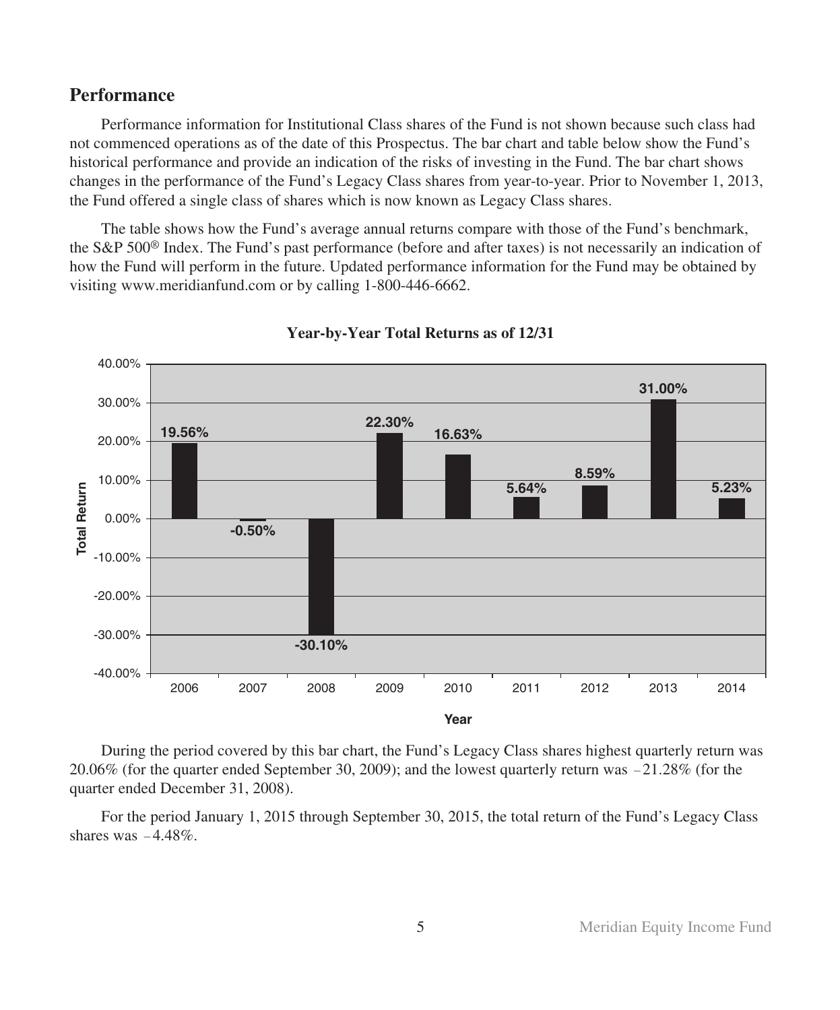## **Performance**

Performance information for Institutional Class shares of the Fund is not shown because such class had not commenced operations as of the date of this Prospectus. The bar chart and table below show the Fund's historical performance and provide an indication of the risks of investing in the Fund. The bar chart shows changes in the performance of the Fund's Legacy Class shares from year-to-year. Prior to November 1, 2013, the Fund offered a single class of shares which is now known as Legacy Class shares.

The table shows how the Fund's average annual returns compare with those of the Fund's benchmark, the S&P 500® Index. The Fund's past performance (before and after taxes) is not necessarily an indication of how the Fund will perform in the future. Updated performance information for the Fund may be obtained by visiting www.meridianfund.com or by calling 1-800-446-6662.



**Year-by-Year Total Returns as of 12/31**

During the period covered by this bar chart, the Fund's Legacy Class shares highest quarterly return was 20.06% (for the quarter ended September 30, 2009); and the lowest quarterly return was -21.28% (for the quarter ended December 31, 2008).

For the period January 1, 2015 through September 30, 2015, the total return of the Fund's Legacy Class shares was  $-4.48\%$ .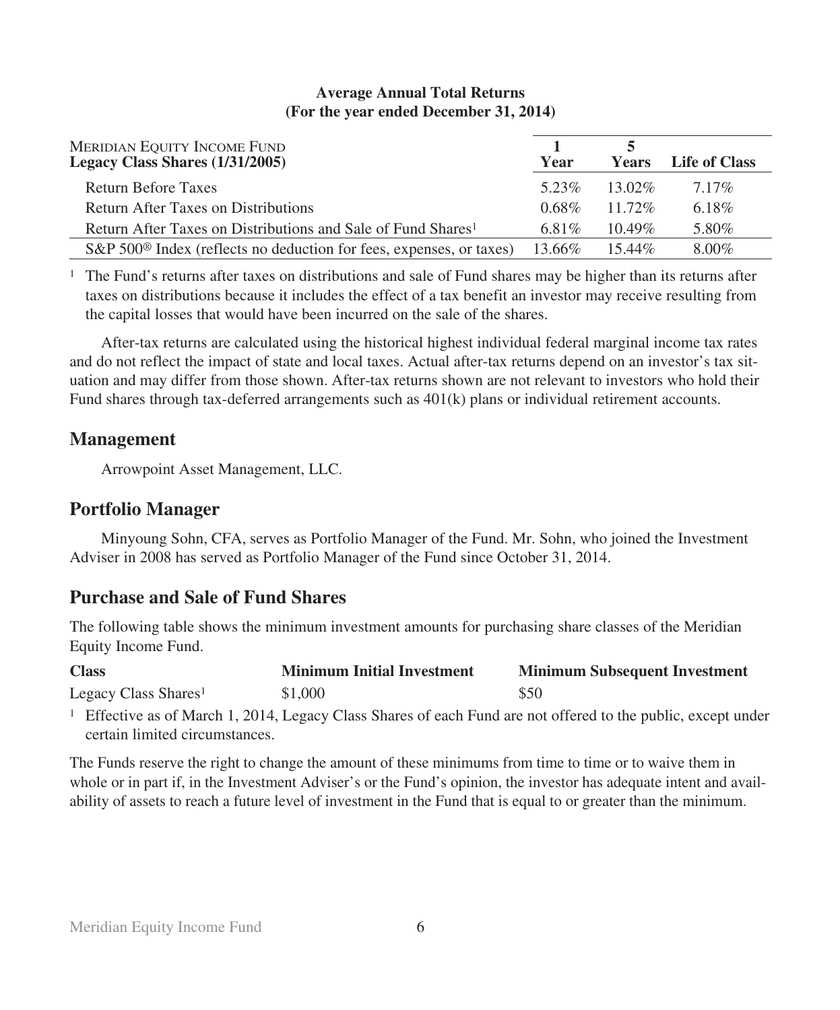| MERIDIAN EQUITY INCOME FUND<br>Legacy Class Shares (1/31/2005)                  | Year     | <b>Years</b> | Life of Class |
|---------------------------------------------------------------------------------|----------|--------------|---------------|
| Return Before Taxes                                                             | 5.23%    | 13.02%       | $7.17\%$      |
| Return After Taxes on Distributions                                             | $0.68\%$ | 11 72%       | $6.18\%$      |
| Return After Taxes on Distributions and Sale of Fund Shares <sup>1</sup>        | 6.81\%   | $10.49\%$    | 5.80%         |
| S&P 500 <sup>®</sup> Index (reflects no deduction for fees, expenses, or taxes) | 13.66%   | $15.44\%$    | $8.00\%$      |

## **Average Annual Total Returns (For the year ended December 31, 2014)**

<sup>1</sup> The Fund's returns after taxes on distributions and sale of Fund shares may be higher than its returns after taxes on distributions because it includes the effect of a tax benefit an investor may receive resulting from the capital losses that would have been incurred on the sale of the shares.

After-tax returns are calculated using the historical highest individual federal marginal income tax rates and do not reflect the impact of state and local taxes. Actual after-tax returns depend on an investor's tax situation and may differ from those shown. After-tax returns shown are not relevant to investors who hold their Fund shares through tax-deferred arrangements such as 401(k) plans or individual retirement accounts.

# **Management**

Arrowpoint Asset Management, LLC.

# **Portfolio Manager**

Minyoung Sohn, CFA, serves as Portfolio Manager of the Fund. Mr. Sohn, who joined the Investment Adviser in 2008 has served as Portfolio Manager of the Fund since October 31, 2014.

# **Purchase and Sale of Fund Shares**

The following table shows the minimum investment amounts for purchasing share classes of the Meridian Equity Income Fund.

| <b>Class</b>                     | <b>Minimum Initial Investment</b> | <b>Minimum Subsequent Investment</b>                                                                                   |
|----------------------------------|-----------------------------------|------------------------------------------------------------------------------------------------------------------------|
| Legacy Class Shares <sup>1</sup> | \$1,000                           | \$50                                                                                                                   |
|                                  |                                   | $\frac{1}{2}$ Effective as of March 1, 2014. Legacy Class Shares of each Eund are not offered to the public except und |

<sup>1</sup> Effective as of March 1, 2014, Legacy Class Shares of each Fund are not offered to the public, except under certain limited circumstances.

The Funds reserve the right to change the amount of these minimums from time to time or to waive them in whole or in part if, in the Investment Adviser's or the Fund's opinion, the investor has adequate intent and availability of assets to reach a future level of investment in the Fund that is equal to or greater than the minimum.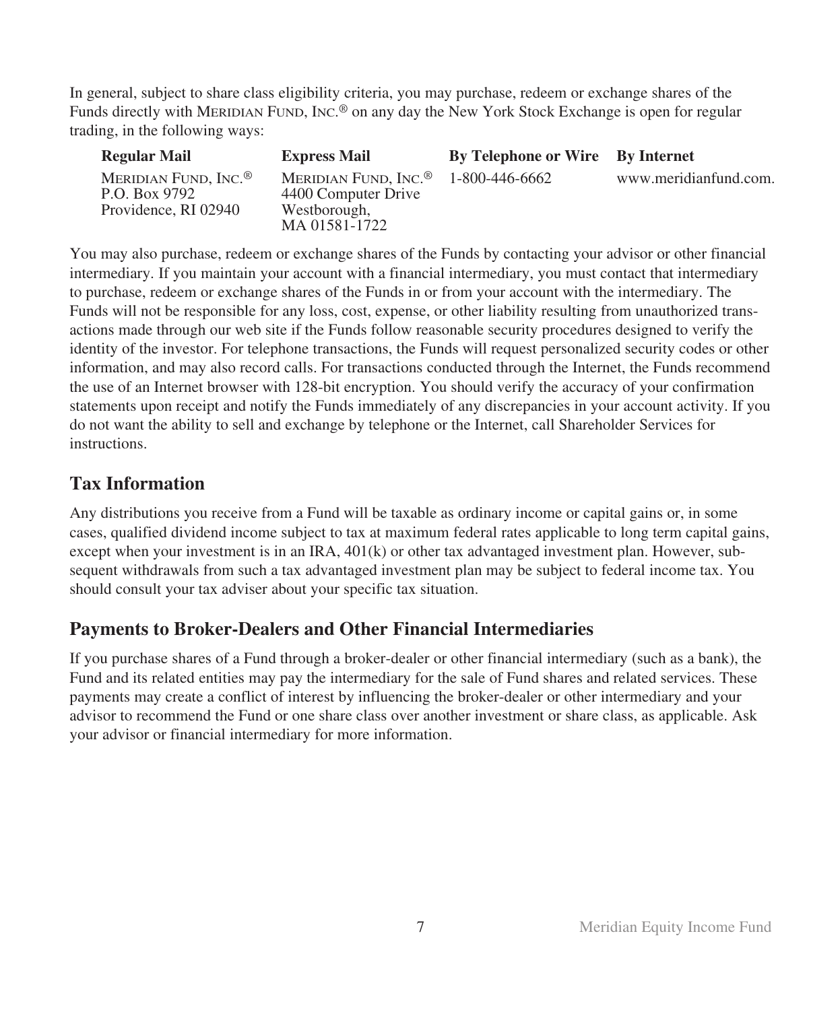In general, subject to share class eligibility criteria, you may purchase, redeem or exchange shares of the Funds directly with MERIDIAN FUND, INC.® on any day the New York Stock Exchange is open for regular trading, in the following ways:

| <b>Regular Mail</b>                                                       | <b>Express Mail</b>                                                                      | By Telephone or Wire By Internet |                       |
|---------------------------------------------------------------------------|------------------------------------------------------------------------------------------|----------------------------------|-----------------------|
| MERIDIAN FUND, INC. <sup>®</sup><br>P.O. Box 9792<br>Providence, RI 02940 | MERIDIAN FUND, INC. <sup>®</sup><br>4400 Computer Drive<br>Westborough,<br>MA 01581-1722 | 1-800-446-6662                   | www.meridianfund.com. |

You may also purchase, redeem or exchange shares of the Funds by contacting your advisor or other financial intermediary. If you maintain your account with a financial intermediary, you must contact that intermediary to purchase, redeem or exchange shares of the Funds in or from your account with the intermediary. The Funds will not be responsible for any loss, cost, expense, or other liability resulting from unauthorized transactions made through our web site if the Funds follow reasonable security procedures designed to verify the identity of the investor. For telephone transactions, the Funds will request personalized security codes or other information, and may also record calls. For transactions conducted through the Internet, the Funds recommend the use of an Internet browser with 128-bit encryption. You should verify the accuracy of your confirmation statements upon receipt and notify the Funds immediately of any discrepancies in your account activity. If you do not want the ability to sell and exchange by telephone or the Internet, call Shareholder Services for instructions.

# **Tax Information**

Any distributions you receive from a Fund will be taxable as ordinary income or capital gains or, in some cases, qualified dividend income subject to tax at maximum federal rates applicable to long term capital gains, except when your investment is in an IRA, 401(k) or other tax advantaged investment plan. However, subsequent withdrawals from such a tax advantaged investment plan may be subject to federal income tax. You should consult your tax adviser about your specific tax situation.

# **Payments to Broker-Dealers and Other Financial Intermediaries**

If you purchase shares of a Fund through a broker-dealer or other financial intermediary (such as a bank), the Fund and its related entities may pay the intermediary for the sale of Fund shares and related services. These payments may create a conflict of interest by influencing the broker-dealer or other intermediary and your advisor to recommend the Fund or one share class over another investment or share class, as applicable. Ask your advisor or financial intermediary for more information.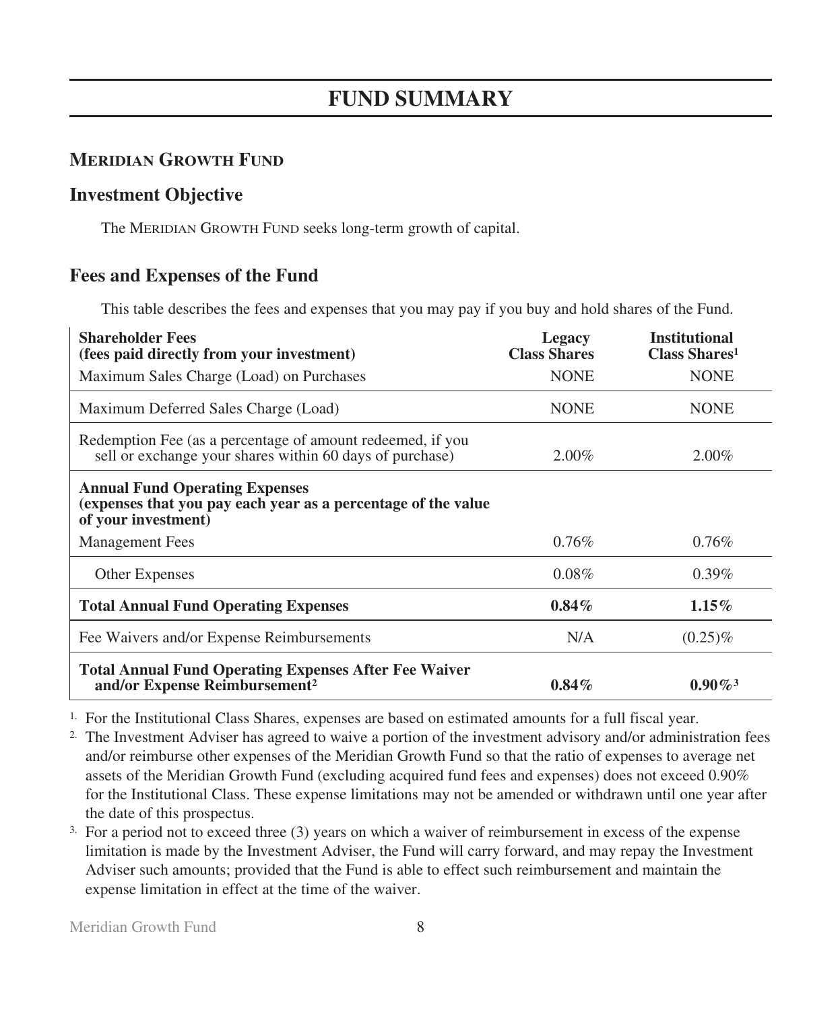# **MERIDIAN GROWTH FUND**

# **Investment Objective**

The MERIDIAN GROWTH FUND seeks long-term growth of capital.

# **Fees and Expenses of the Fund**

This table describes the fees and expenses that you may pay if you buy and hold shares of the Fund.

| <b>Shareholder Fees</b><br>(fees paid directly from your investment)                                                          | Legacy<br><b>Class Shares</b> | <b>Institutional</b><br><b>Class Shares</b> <sup>1</sup> |
|-------------------------------------------------------------------------------------------------------------------------------|-------------------------------|----------------------------------------------------------|
| Maximum Sales Charge (Load) on Purchases                                                                                      | <b>NONE</b>                   | <b>NONE</b>                                              |
| Maximum Deferred Sales Charge (Load)                                                                                          | <b>NONE</b>                   | <b>NONE</b>                                              |
| Redemption Fee (as a percentage of amount redeemed, if you<br>sell or exchange your shares within 60 days of purchase)        | $2.00\%$                      | $2.00\%$                                                 |
| <b>Annual Fund Operating Expenses</b><br>(expenses that you pay each year as a percentage of the value<br>of your investment) |                               |                                                          |
| <b>Management</b> Fees                                                                                                        | $0.76\%$                      | 0.76%                                                    |
| <b>Other Expenses</b>                                                                                                         | $0.08\%$                      | $0.39\%$                                                 |
| <b>Total Annual Fund Operating Expenses</b>                                                                                   | $0.84\%$                      | $1.15\%$                                                 |
| Fee Waivers and/or Expense Reimbursements                                                                                     | N/A                           | $(0.25)\%$                                               |
| <b>Total Annual Fund Operating Expenses After Fee Waiver</b><br>and/or Expense Reimbursement <sup>2</sup>                     | $0.84\%$                      | $0.90\%$ <sup>3</sup>                                    |

1. For the Institutional Class Shares, expenses are based on estimated amounts for a full fiscal year.

2. The Investment Adviser has agreed to waive a portion of the investment advisory and/or administration fees and/or reimburse other expenses of the Meridian Growth Fund so that the ratio of expenses to average net assets of the Meridian Growth Fund (excluding acquired fund fees and expenses) does not exceed 0.90% for the Institutional Class. These expense limitations may not be amended or withdrawn until one year after the date of this prospectus.

3. For a period not to exceed three (3) years on which a waiver of reimbursement in excess of the expense limitation is made by the Investment Adviser, the Fund will carry forward, and may repay the Investment Adviser such amounts; provided that the Fund is able to effect such reimbursement and maintain the expense limitation in effect at the time of the waiver.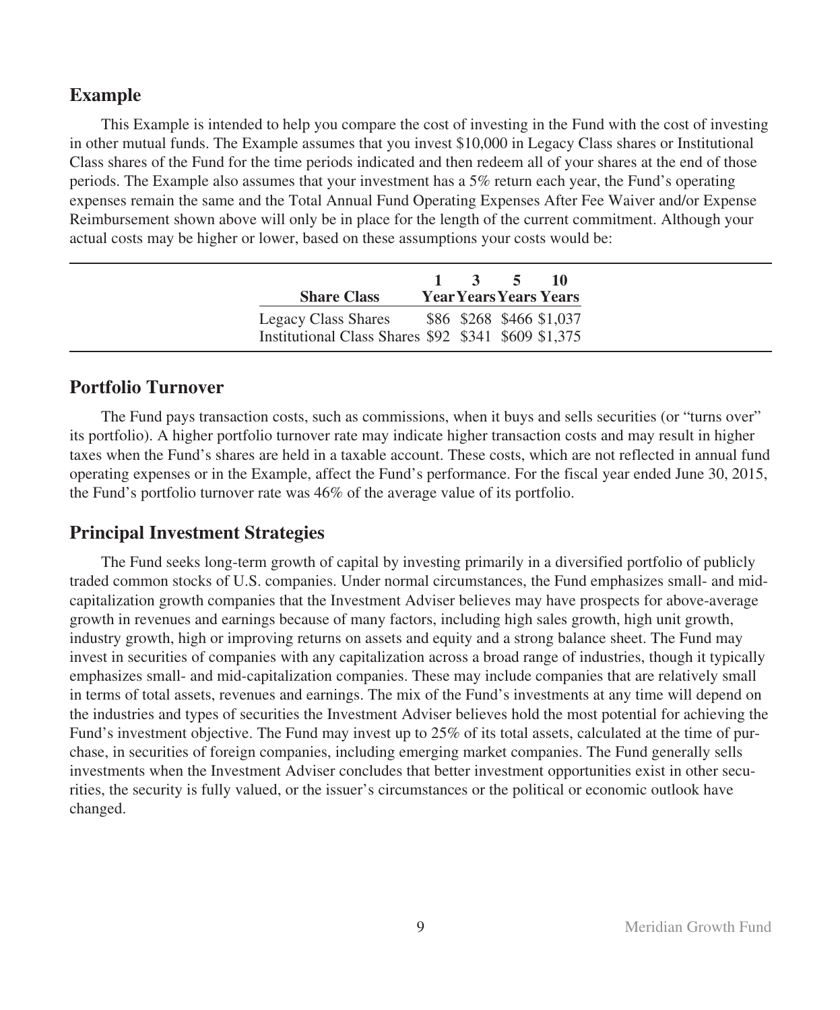## **Example**

This Example is intended to help you compare the cost of investing in the Fund with the cost of investing in other mutual funds. The Example assumes that you invest \$10,000 in Legacy Class shares or Institutional Class shares of the Fund for the time periods indicated and then redeem all of your shares at the end of those periods. The Example also assumes that your investment has a 5% return each year, the Fund's operating expenses remain the same and the Total Annual Fund Operating Expenses After Fee Waiver and/or Expense Reimbursement shown above will only be in place for the length of the current commitment. Although your actual costs may be higher or lower, based on these assumptions your costs would be:

| <b>Share Class</b>  |                                                                                 | $1 \quad 3 \quad 5$ | - 10<br><b>Year Years Years Years</b> |
|---------------------|---------------------------------------------------------------------------------|---------------------|---------------------------------------|
| Legacy Class Shares | \$86 \$268 \$466 \$1,037<br>Institutional Class Shares \$92 \$341 \$609 \$1,375 |                     |                                       |

## **Portfolio Turnover**

The Fund pays transaction costs, such as commissions, when it buys and sells securities (or "turns over" its portfolio). A higher portfolio turnover rate may indicate higher transaction costs and may result in higher taxes when the Fund's shares are held in a taxable account. These costs, which are not reflected in annual fund operating expenses or in the Example, affect the Fund's performance. For the fiscal year ended June 30, 2015, the Fund's portfolio turnover rate was 46% of the average value of its portfolio.

## **Principal Investment Strategies**

The Fund seeks long-term growth of capital by investing primarily in a diversified portfolio of publicly traded common stocks of U.S. companies. Under normal circumstances, the Fund emphasizes small- and midcapitalization growth companies that the Investment Adviser believes may have prospects for above-average growth in revenues and earnings because of many factors, including high sales growth, high unit growth, industry growth, high or improving returns on assets and equity and a strong balance sheet. The Fund may invest in securities of companies with any capitalization across a broad range of industries, though it typically emphasizes small- and mid-capitalization companies. These may include companies that are relatively small in terms of total assets, revenues and earnings. The mix of the Fund's investments at any time will depend on the industries and types of securities the Investment Adviser believes hold the most potential for achieving the Fund's investment objective. The Fund may invest up to 25% of its total assets, calculated at the time of purchase, in securities of foreign companies, including emerging market companies. The Fund generally sells investments when the Investment Adviser concludes that better investment opportunities exist in other securities, the security is fully valued, or the issuer's circumstances or the political or economic outlook have changed.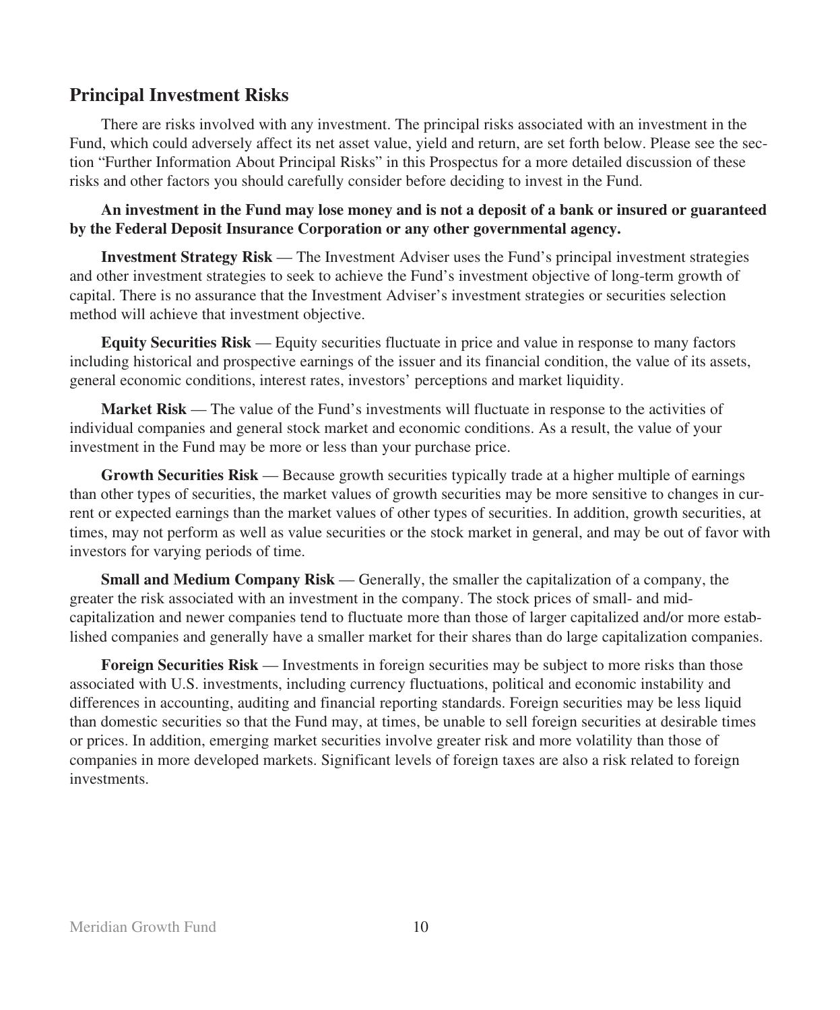## **Principal Investment Risks**

There are risks involved with any investment. The principal risks associated with an investment in the Fund, which could adversely affect its net asset value, yield and return, are set forth below. Please see the section "Further Information About Principal Risks" in this Prospectus for a more detailed discussion of these risks and other factors you should carefully consider before deciding to invest in the Fund.

**An investment in the Fund may lose money and is not a deposit of a bank or insured or guaranteed by the Federal Deposit Insurance Corporation or any other governmental agency.**

**Investment Strategy Risk** — The Investment Adviser uses the Fund's principal investment strategies and other investment strategies to seek to achieve the Fund's investment objective of long-term growth of capital. There is no assurance that the Investment Adviser's investment strategies or securities selection method will achieve that investment objective.

**Equity Securities Risk** — Equity securities fluctuate in price and value in response to many factors including historical and prospective earnings of the issuer and its financial condition, the value of its assets, general economic conditions, interest rates, investors' perceptions and market liquidity.

**Market Risk** — The value of the Fund's investments will fluctuate in response to the activities of individual companies and general stock market and economic conditions. As a result, the value of your investment in the Fund may be more or less than your purchase price.

**Growth Securities Risk** — Because growth securities typically trade at a higher multiple of earnings than other types of securities, the market values of growth securities may be more sensitive to changes in current or expected earnings than the market values of other types of securities. In addition, growth securities, at times, may not perform as well as value securities or the stock market in general, and may be out of favor with investors for varying periods of time.

**Small and Medium Company Risk** — Generally, the smaller the capitalization of a company, the greater the risk associated with an investment in the company. The stock prices of small- and midcapitalization and newer companies tend to fluctuate more than those of larger capitalized and/or more established companies and generally have a smaller market for their shares than do large capitalization companies.

**Foreign Securities Risk** — Investments in foreign securities may be subject to more risks than those associated with U.S. investments, including currency fluctuations, political and economic instability and differences in accounting, auditing and financial reporting standards. Foreign securities may be less liquid than domestic securities so that the Fund may, at times, be unable to sell foreign securities at desirable times or prices. In addition, emerging market securities involve greater risk and more volatility than those of companies in more developed markets. Significant levels of foreign taxes are also a risk related to foreign investments.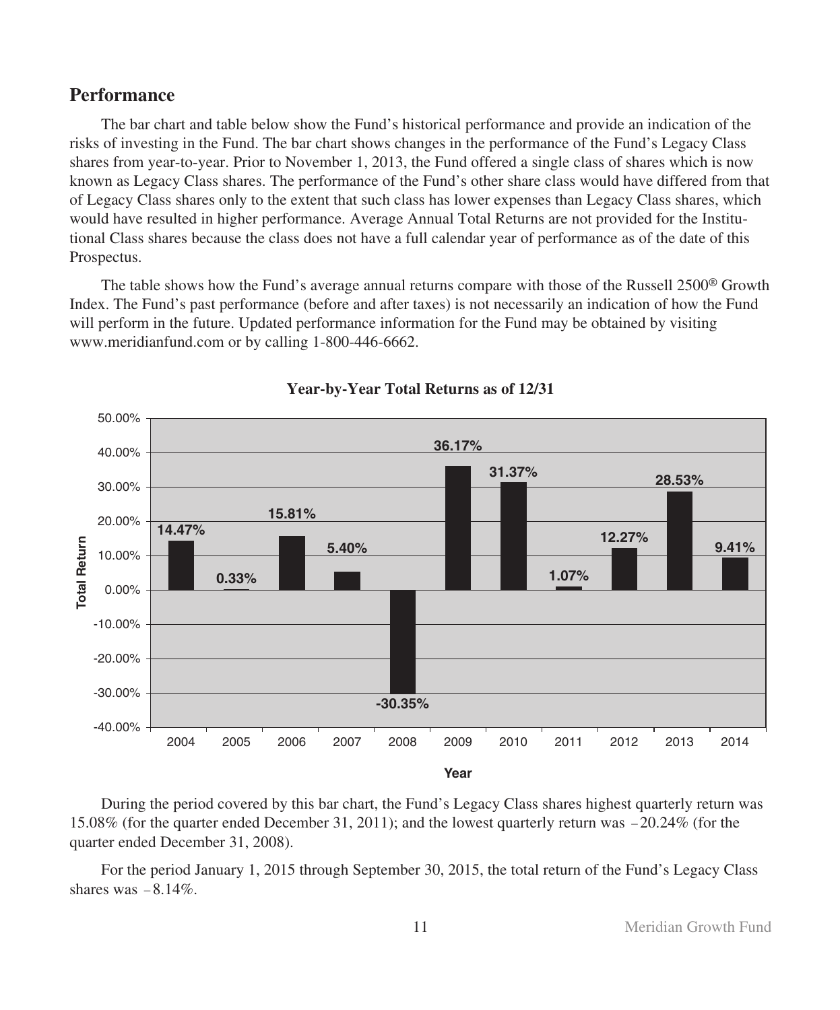## **Performance**

The bar chart and table below show the Fund's historical performance and provide an indication of the risks of investing in the Fund. The bar chart shows changes in the performance of the Fund's Legacy Class shares from year-to-year. Prior to November 1, 2013, the Fund offered a single class of shares which is now known as Legacy Class shares. The performance of the Fund's other share class would have differed from that of Legacy Class shares only to the extent that such class has lower expenses than Legacy Class shares, which would have resulted in higher performance. Average Annual Total Returns are not provided for the Institutional Class shares because the class does not have a full calendar year of performance as of the date of this Prospectus.

The table shows how the Fund's average annual returns compare with those of the Russell 2500® Growth Index. The Fund's past performance (before and after taxes) is not necessarily an indication of how the Fund will perform in the future. Updated performance information for the Fund may be obtained by visiting www.meridianfund.com or by calling 1-800-446-6662.



### **Year-by-Year Total Returns as of 12/31**

During the period covered by this bar chart, the Fund's Legacy Class shares highest quarterly return was 15.08% (for the quarter ended December 31, 2011); and the lowest quarterly return was -20.24% (for the quarter ended December 31, 2008).

For the period January 1, 2015 through September 30, 2015, the total return of the Fund's Legacy Class shares was  $-8.14\%$ .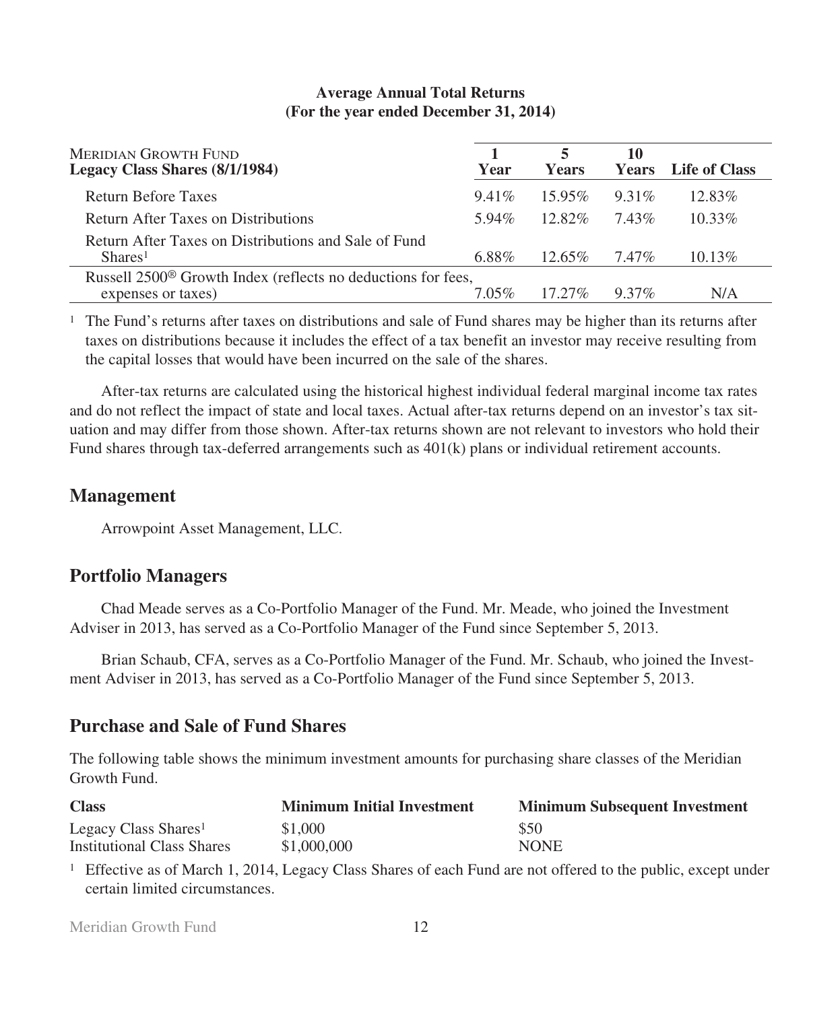| <b>MERIDIAN GROWTH FUND</b><br>Legacy Class Shares (8/1/1984)                                  | Year     | <b>Years</b> | 10<br><b>Years</b> | <b>Life of Class</b> |
|------------------------------------------------------------------------------------------------|----------|--------------|--------------------|----------------------|
| <b>Return Before Taxes</b>                                                                     | $9.41\%$ | $15.95\%$    | $9.31\%$           | $12.83\%$            |
| Return After Taxes on Distributions                                                            | 5.94%    | $12.82\%$    | 743%               | $10.33\%$            |
| Return After Taxes on Distributions and Sale of Fund<br>Shares <sup>1</sup>                    | 6.88%    | $12.65\%$    | 7.47%              | $10.13\%$            |
| Russell 2500 <sup>®</sup> Growth Index (reflects no deductions for fees,<br>expenses or taxes) | 7 05%    | $17.27\%$    | $9.37\%$           | N/A                  |

## **Average Annual Total Returns (For the year ended December 31, 2014)**

<sup>1</sup> The Fund's returns after taxes on distributions and sale of Fund shares may be higher than its returns after taxes on distributions because it includes the effect of a tax benefit an investor may receive resulting from the capital losses that would have been incurred on the sale of the shares.

After-tax returns are calculated using the historical highest individual federal marginal income tax rates and do not reflect the impact of state and local taxes. Actual after-tax returns depend on an investor's tax situation and may differ from those shown. After-tax returns shown are not relevant to investors who hold their Fund shares through tax-deferred arrangements such as  $401(k)$  plans or individual retirement accounts.

## **Management**

Arrowpoint Asset Management, LLC.

# **Portfolio Managers**

Chad Meade serves as a Co-Portfolio Manager of the Fund. Mr. Meade, who joined the Investment Adviser in 2013, has served as a Co-Portfolio Manager of the Fund since September 5, 2013.

Brian Schaub, CFA, serves as a Co-Portfolio Manager of the Fund. Mr. Schaub, who joined the Investment Adviser in 2013, has served as a Co-Portfolio Manager of the Fund since September 5, 2013.

## **Purchase and Sale of Fund Shares**

The following table shows the minimum investment amounts for purchasing share classes of the Meridian Growth Fund.

| <b>Class</b>                      | <b>Minimum Initial Investment</b> | <b>Minimum Subsequent Investment</b> |
|-----------------------------------|-----------------------------------|--------------------------------------|
| Legacy Class Shares <sup>1</sup>  | \$1,000                           | \$50                                 |
| <b>Institutional Class Shares</b> | \$1,000,000                       | <b>NONE</b>                          |

<sup>1</sup> Effective as of March 1, 2014, Legacy Class Shares of each Fund are not offered to the public, except under certain limited circumstances.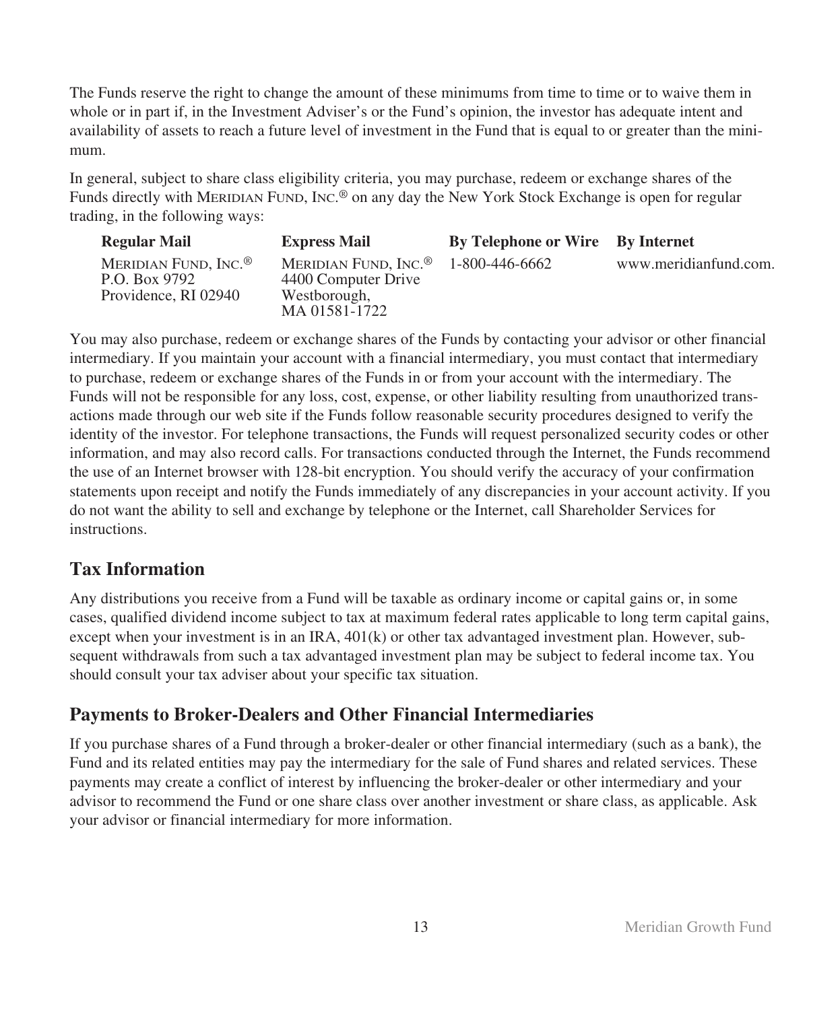The Funds reserve the right to change the amount of these minimums from time to time or to waive them in whole or in part if, in the Investment Adviser's or the Fund's opinion, the investor has adequate intent and availability of assets to reach a future level of investment in the Fund that is equal to or greater than the minimum.

In general, subject to share class eligibility criteria, you may purchase, redeem or exchange shares of the Funds directly with MERIDIAN FUND, INC. ® on any day the New York Stock Exchange is open for regular trading, in the following ways:

| <b>Regular Mail</b>                                                       | <b>Express Mail</b>                                                                      | <b>By Telephone or Wire</b> By Internet |                       |
|---------------------------------------------------------------------------|------------------------------------------------------------------------------------------|-----------------------------------------|-----------------------|
| MERIDIAN FUND, INC. <sup>®</sup><br>P.O. Box 9792<br>Providence, RI 02940 | MERIDIAN FUND, INC. <sup>®</sup><br>4400 Computer Drive<br>Westborough,<br>MA 01581-1722 | 1-800-446-6662                          | www.meridianfund.com. |

You may also purchase, redeem or exchange shares of the Funds by contacting your advisor or other financial intermediary. If you maintain your account with a financial intermediary, you must contact that intermediary to purchase, redeem or exchange shares of the Funds in or from your account with the intermediary. The Funds will not be responsible for any loss, cost, expense, or other liability resulting from unauthorized transactions made through our web site if the Funds follow reasonable security procedures designed to verify the identity of the investor. For telephone transactions, the Funds will request personalized security codes or other information, and may also record calls. For transactions conducted through the Internet, the Funds recommend the use of an Internet browser with 128-bit encryption. You should verify the accuracy of your confirmation statements upon receipt and notify the Funds immediately of any discrepancies in your account activity. If you do not want the ability to sell and exchange by telephone or the Internet, call Shareholder Services for instructions.

# **Tax Information**

Any distributions you receive from a Fund will be taxable as ordinary income or capital gains or, in some cases, qualified dividend income subject to tax at maximum federal rates applicable to long term capital gains, except when your investment is in an IRA, 401(k) or other tax advantaged investment plan. However, subsequent withdrawals from such a tax advantaged investment plan may be subject to federal income tax. You should consult your tax adviser about your specific tax situation.

# **Payments to Broker-Dealers and Other Financial Intermediaries**

If you purchase shares of a Fund through a broker-dealer or other financial intermediary (such as a bank), the Fund and its related entities may pay the intermediary for the sale of Fund shares and related services. These payments may create a conflict of interest by influencing the broker-dealer or other intermediary and your advisor to recommend the Fund or one share class over another investment or share class, as applicable. Ask your advisor or financial intermediary for more information.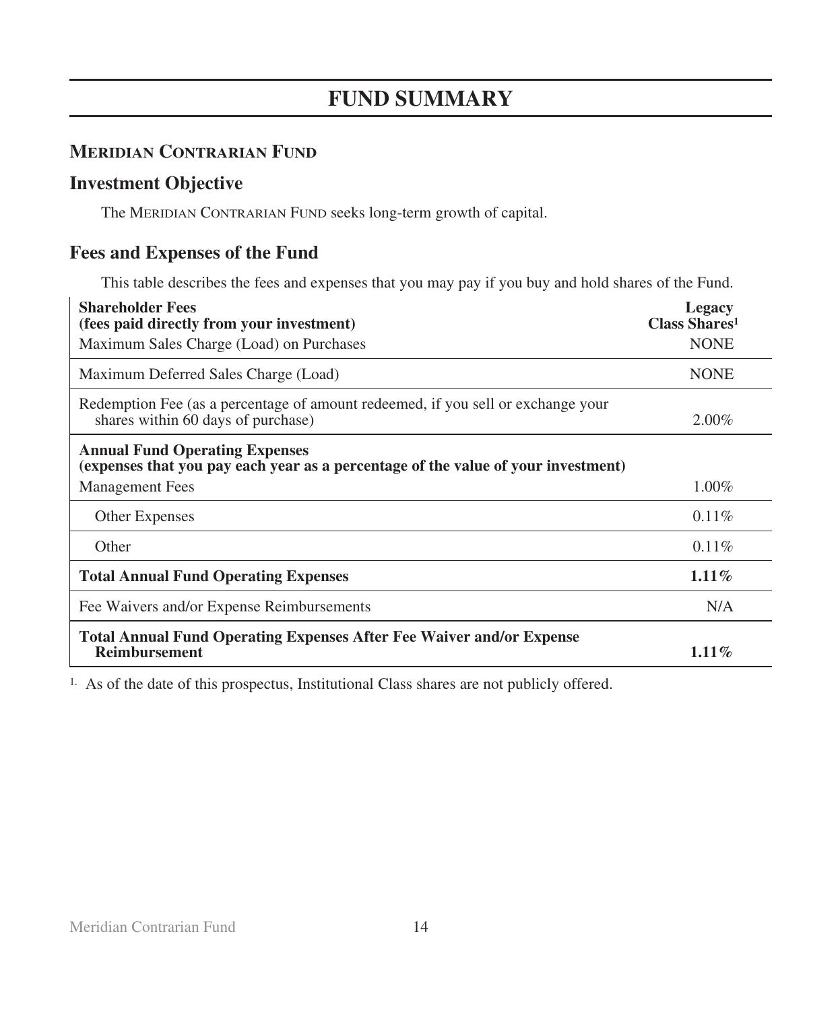# **FUND SUMMARY**

# **MERIDIAN CONTRARIAN FUND**

# **Investment Objective**

The MERIDIAN CONTRARIAN FUND seeks long-term growth of capital.

# **Fees and Expenses of the Fund**

This table describes the fees and expenses that you may pay if you buy and hold shares of the Fund.

| <b>Shareholder Fees</b><br>(fees paid directly from your investment)                                                       | Legacy<br><b>Class Shares</b> <sup>1</sup> |
|----------------------------------------------------------------------------------------------------------------------------|--------------------------------------------|
| Maximum Sales Charge (Load) on Purchases                                                                                   | <b>NONE</b>                                |
| Maximum Deferred Sales Charge (Load)                                                                                       | <b>NONE</b>                                |
| Redemption Fee (as a percentage of amount redeemed, if you sell or exchange your<br>shares within 60 days of purchase)     | $2.00\%$                                   |
| <b>Annual Fund Operating Expenses</b><br>(expenses that you pay each year as a percentage of the value of your investment) |                                            |
| <b>Management Fees</b>                                                                                                     | $1.00\%$                                   |
| <b>Other Expenses</b>                                                                                                      | $0.11\%$                                   |
| Other                                                                                                                      | $0.11\%$                                   |
| <b>Total Annual Fund Operating Expenses</b>                                                                                | $1.11\%$                                   |
| Fee Waivers and/or Expense Reimbursements                                                                                  | N/A                                        |
| <b>Total Annual Fund Operating Expenses After Fee Waiver and/or Expense</b><br><b>Reimbursement</b>                        | $1.11\%$                                   |

1. As of the date of this prospectus, Institutional Class shares are not publicly offered.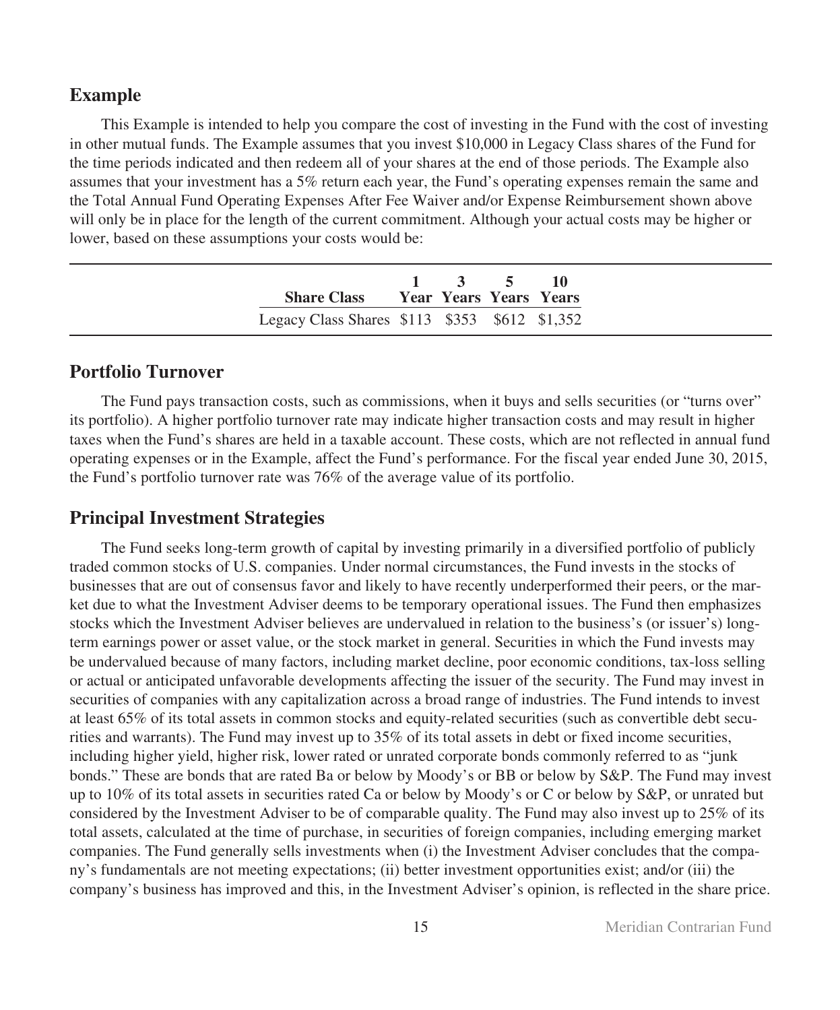## **Example**

This Example is intended to help you compare the cost of investing in the Fund with the cost of investing in other mutual funds. The Example assumes that you invest \$10,000 in Legacy Class shares of the Fund for the time periods indicated and then redeem all of your shares at the end of those periods. The Example also assumes that your investment has a 5% return each year, the Fund's operating expenses remain the same and the Total Annual Fund Operating Expenses After Fee Waiver and/or Expense Reimbursement shown above will only be in place for the length of the current commitment. Although your actual costs may be higher or lower, based on these assumptions your costs would be:

|                                               | $1 \t3 \t5 \t10$ |  |
|-----------------------------------------------|------------------|--|
| <b>Share Class •• Year Years Years Years</b>  |                  |  |
| Legacy Class Shares \$113 \$353 \$612 \$1,352 |                  |  |

## **Portfolio Turnover**

The Fund pays transaction costs, such as commissions, when it buys and sells securities (or "turns over" its portfolio). A higher portfolio turnover rate may indicate higher transaction costs and may result in higher taxes when the Fund's shares are held in a taxable account. These costs, which are not reflected in annual fund operating expenses or in the Example, affect the Fund's performance. For the fiscal year ended June 30, 2015, the Fund's portfolio turnover rate was 76% of the average value of its portfolio.

## **Principal Investment Strategies**

The Fund seeks long-term growth of capital by investing primarily in a diversified portfolio of publicly traded common stocks of U.S. companies. Under normal circumstances, the Fund invests in the stocks of businesses that are out of consensus favor and likely to have recently underperformed their peers, or the market due to what the Investment Adviser deems to be temporary operational issues. The Fund then emphasizes stocks which the Investment Adviser believes are undervalued in relation to the business's (or issuer's) longterm earnings power or asset value, or the stock market in general. Securities in which the Fund invests may be undervalued because of many factors, including market decline, poor economic conditions, tax-loss selling or actual or anticipated unfavorable developments affecting the issuer of the security. The Fund may invest in securities of companies with any capitalization across a broad range of industries. The Fund intends to invest at least 65% of its total assets in common stocks and equity-related securities (such as convertible debt securities and warrants). The Fund may invest up to 35% of its total assets in debt or fixed income securities, including higher yield, higher risk, lower rated or unrated corporate bonds commonly referred to as "junk bonds." These are bonds that are rated Ba or below by Moody's or BB or below by S&P. The Fund may invest up to 10% of its total assets in securities rated Ca or below by Moody's or C or below by S&P, or unrated but considered by the Investment Adviser to be of comparable quality. The Fund may also invest up to 25% of its total assets, calculated at the time of purchase, in securities of foreign companies, including emerging market companies. The Fund generally sells investments when (i) the Investment Adviser concludes that the company's fundamentals are not meeting expectations; (ii) better investment opportunities exist; and/or (iii) the company's business has improved and this, in the Investment Adviser's opinion, is reflected in the share price.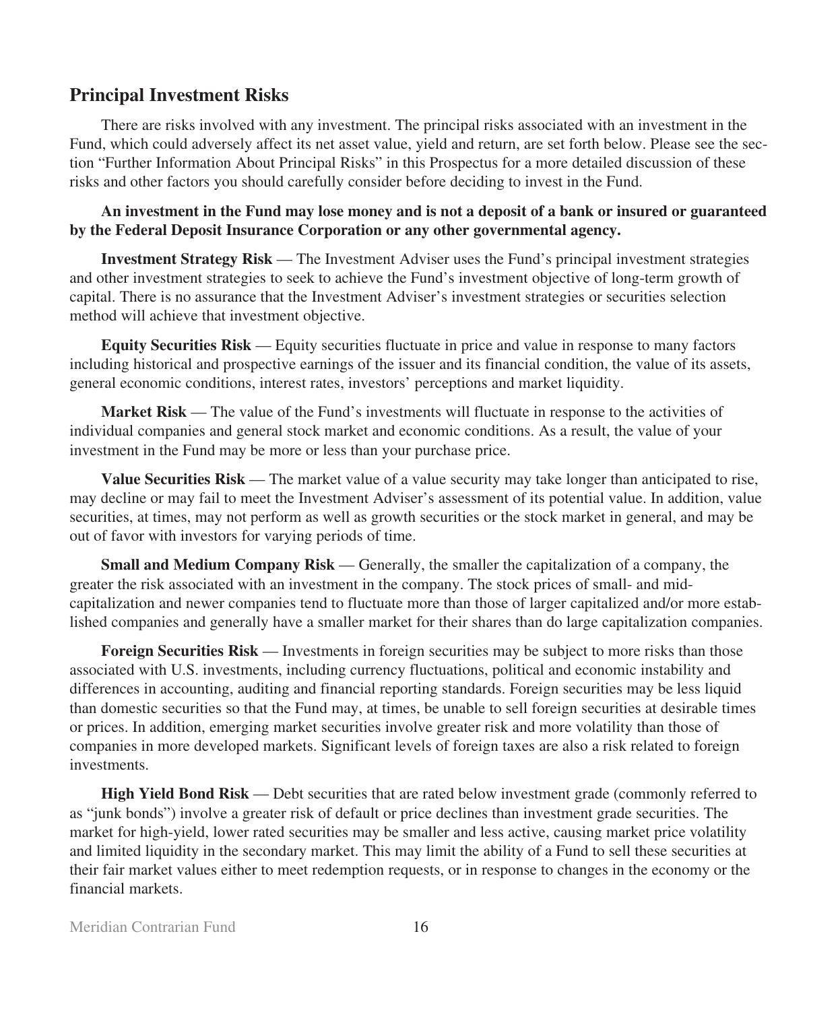## **Principal Investment Risks**

There are risks involved with any investment. The principal risks associated with an investment in the Fund, which could adversely affect its net asset value, yield and return, are set forth below. Please see the section "Further Information About Principal Risks" in this Prospectus for a more detailed discussion of these risks and other factors you should carefully consider before deciding to invest in the Fund.

**An investment in the Fund may lose money and is not a deposit of a bank or insured or guaranteed by the Federal Deposit Insurance Corporation or any other governmental agency.**

**Investment Strategy Risk** — The Investment Adviser uses the Fund's principal investment strategies and other investment strategies to seek to achieve the Fund's investment objective of long-term growth of capital. There is no assurance that the Investment Adviser's investment strategies or securities selection method will achieve that investment objective.

**Equity Securities Risk** — Equity securities fluctuate in price and value in response to many factors including historical and prospective earnings of the issuer and its financial condition, the value of its assets, general economic conditions, interest rates, investors' perceptions and market liquidity.

**Market Risk** — The value of the Fund's investments will fluctuate in response to the activities of individual companies and general stock market and economic conditions. As a result, the value of your investment in the Fund may be more or less than your purchase price.

**Value Securities Risk** — The market value of a value security may take longer than anticipated to rise, may decline or may fail to meet the Investment Adviser's assessment of its potential value. In addition, value securities, at times, may not perform as well as growth securities or the stock market in general, and may be out of favor with investors for varying periods of time.

**Small and Medium Company Risk** — Generally, the smaller the capitalization of a company, the greater the risk associated with an investment in the company. The stock prices of small- and midcapitalization and newer companies tend to fluctuate more than those of larger capitalized and/or more established companies and generally have a smaller market for their shares than do large capitalization companies.

**Foreign Securities Risk** — Investments in foreign securities may be subject to more risks than those associated with U.S. investments, including currency fluctuations, political and economic instability and differences in accounting, auditing and financial reporting standards. Foreign securities may be less liquid than domestic securities so that the Fund may, at times, be unable to sell foreign securities at desirable times or prices. In addition, emerging market securities involve greater risk and more volatility than those of companies in more developed markets. Significant levels of foreign taxes are also a risk related to foreign investments.

**High Yield Bond Risk** — Debt securities that are rated below investment grade (commonly referred to as "junk bonds") involve a greater risk of default or price declines than investment grade securities. The market for high-yield, lower rated securities may be smaller and less active, causing market price volatility and limited liquidity in the secondary market. This may limit the ability of a Fund to sell these securities at their fair market values either to meet redemption requests, or in response to changes in the economy or the financial markets.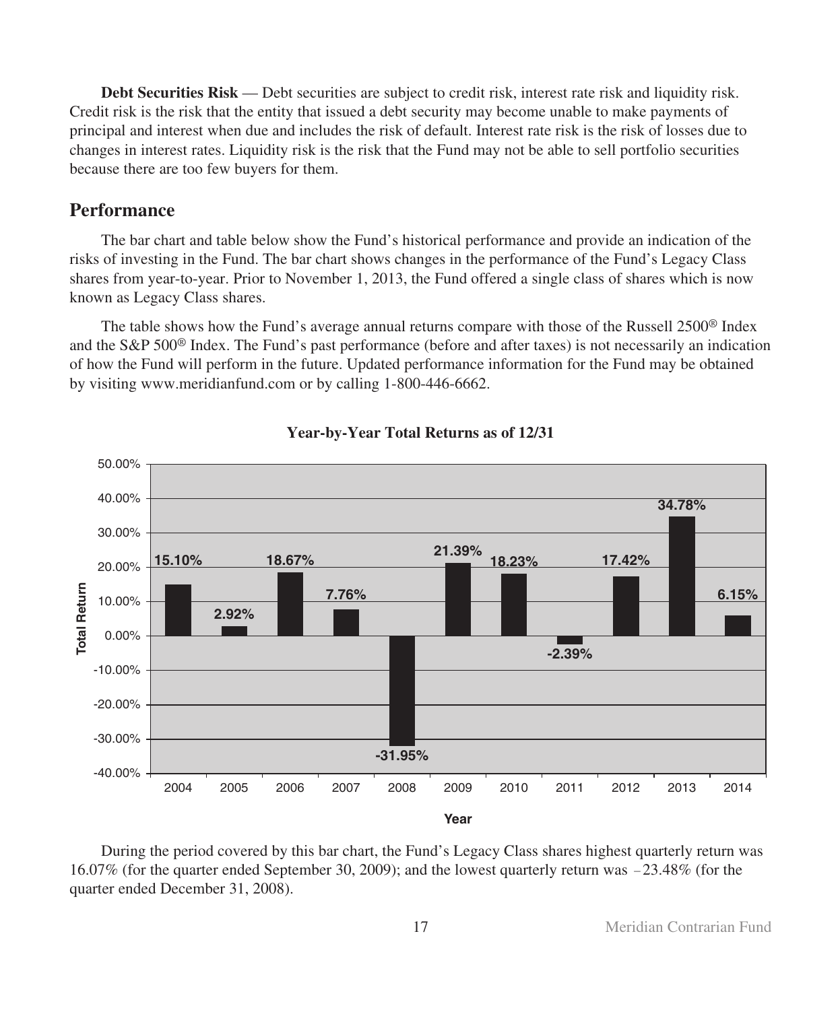**Debt Securities Risk** — Debt securities are subject to credit risk, interest rate risk and liquidity risk. Credit risk is the risk that the entity that issued a debt security may become unable to make payments of principal and interest when due and includes the risk of default. Interest rate risk is the risk of losses due to changes in interest rates. Liquidity risk is the risk that the Fund may not be able to sell portfolio securities because there are too few buyers for them.

## **Performance**

The bar chart and table below show the Fund's historical performance and provide an indication of the risks of investing in the Fund. The bar chart shows changes in the performance of the Fund's Legacy Class shares from year-to-year. Prior to November 1, 2013, the Fund offered a single class of shares which is now known as Legacy Class shares.

The table shows how the Fund's average annual returns compare with those of the Russell 2500® Index and the S&P 500® Index. The Fund's past performance (before and after taxes) is not necessarily an indication of how the Fund will perform in the future. Updated performance information for the Fund may be obtained by visiting www.meridianfund.com or by calling 1-800-446-6662.



## **Year-by-Year Total Returns as of 12/31**

During the period covered by this bar chart, the Fund's Legacy Class shares highest quarterly return was 16.07% (for the quarter ended September 30, 2009); and the lowest quarterly return was -23.48% (for the quarter ended December 31, 2008).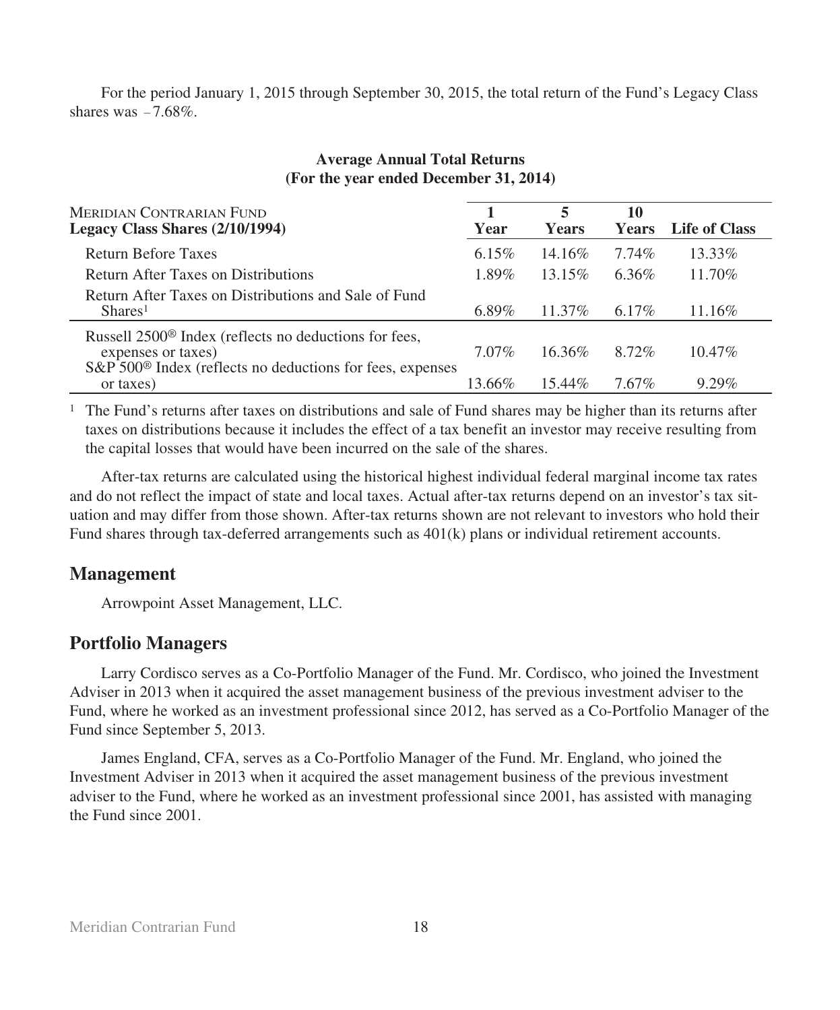For the period January 1, 2015 through September 30, 2015, the total return of the Fund's Legacy Class shares was  $-7.68\%$ .

| (For the year ended December 31, 2014)                                                                                                                           |          |                   |                    |                      |  |
|------------------------------------------------------------------------------------------------------------------------------------------------------------------|----------|-------------------|--------------------|----------------------|--|
| MERIDIAN CONTRARIAN FUND<br>Legacy Class Shares (2/10/1994)                                                                                                      | Year     | 5<br><b>Years</b> | 10<br><b>Years</b> | <b>Life of Class</b> |  |
| <b>Return Before Taxes</b>                                                                                                                                       | $6.15\%$ | 14.16\%           | 7.74%              | 13.33%               |  |
| Return After Taxes on Distributions                                                                                                                              | 1.89%    | 13.15%            | 6.36%              | 11.70%               |  |
| Return After Taxes on Distributions and Sale of Fund<br>Shares <sup>1</sup>                                                                                      | $6.89\%$ | $11.37\%$         | $6.17\%$           | 11.16%               |  |
| Russell 2500 <sup>®</sup> Index (reflects no deductions for fees,<br>expenses or taxes)<br>S&P 500 <sup>®</sup> Index (reflects no deductions for fees, expenses | $7.07\%$ | $16.36\%$         | 8.72%              | $10.47\%$            |  |
| or taxes)                                                                                                                                                        | 13.66%   | $15.44\%$         | 7.67%              | $9.29\%$             |  |

## **Average Annual Total Returns (For the year ended December 31, 2014)**

<sup>1</sup> The Fund's returns after taxes on distributions and sale of Fund shares may be higher than its returns after taxes on distributions because it includes the effect of a tax benefit an investor may receive resulting from the capital losses that would have been incurred on the sale of the shares.

After-tax returns are calculated using the historical highest individual federal marginal income tax rates and do not reflect the impact of state and local taxes. Actual after-tax returns depend on an investor's tax situation and may differ from those shown. After-tax returns shown are not relevant to investors who hold their Fund shares through tax-deferred arrangements such as 401(k) plans or individual retirement accounts.

## **Management**

Arrowpoint Asset Management, LLC.

## **Portfolio Managers**

Larry Cordisco serves as a Co-Portfolio Manager of the Fund. Mr. Cordisco, who joined the Investment Adviser in 2013 when it acquired the asset management business of the previous investment adviser to the Fund, where he worked as an investment professional since 2012, has served as a Co-Portfolio Manager of the Fund since September 5, 2013.

James England, CFA, serves as a Co-Portfolio Manager of the Fund. Mr. England, who joined the Investment Adviser in 2013 when it acquired the asset management business of the previous investment adviser to the Fund, where he worked as an investment professional since 2001, has assisted with managing the Fund since 2001.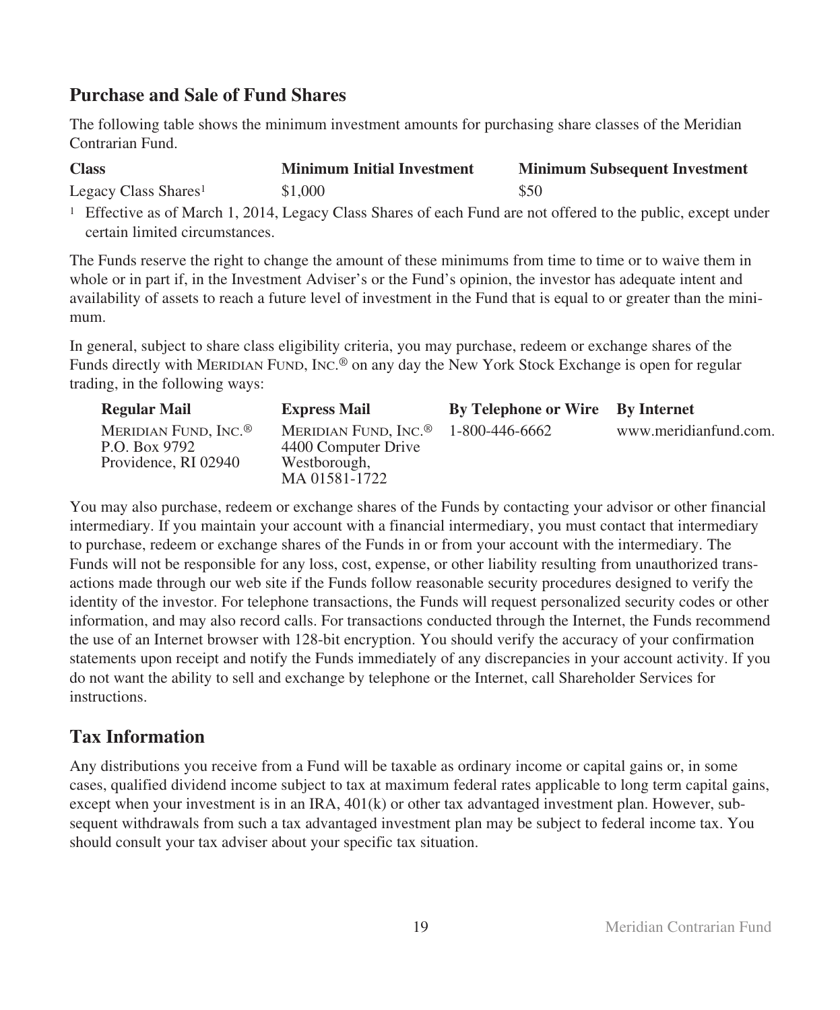# **Purchase and Sale of Fund Shares**

The following table shows the minimum investment amounts for purchasing share classes of the Meridian Contrarian Fund.

| <b>Class</b>                     | <b>Minimum Initial Investment</b> | <b>Minimum Subsequent Investment</b> |
|----------------------------------|-----------------------------------|--------------------------------------|
| Legacy Class Shares <sup>1</sup> | \$1,000                           | \$50                                 |

<sup>1</sup> Effective as of March 1, 2014, Legacy Class Shares of each Fund are not offered to the public, except under certain limited circumstances.

The Funds reserve the right to change the amount of these minimums from time to time or to waive them in whole or in part if, in the Investment Adviser's or the Fund's opinion, the investor has adequate intent and availability of assets to reach a future level of investment in the Fund that is equal to or greater than the minimum.

In general, subject to share class eligibility criteria, you may purchase, redeem or exchange shares of the Funds directly with MERIDIAN FUND, INC.® on any day the New York Stock Exchange is open for regular trading, in the following ways:

| <b>Regular Mail</b>                                                       | <b>Express Mail</b>                                                                      | <b>By Telephone or Wire</b> By Internet |                       |
|---------------------------------------------------------------------------|------------------------------------------------------------------------------------------|-----------------------------------------|-----------------------|
| MERIDIAN FUND, INC. <sup>®</sup><br>P.O. Box 9792<br>Providence, RI 02940 | MERIDIAN FUND, INC. <sup>®</sup><br>4400 Computer Drive<br>Westborough,<br>MA 01581-1722 | 1-800-446-6662                          | www.meridianfund.com. |

You may also purchase, redeem or exchange shares of the Funds by contacting your advisor or other financial intermediary. If you maintain your account with a financial intermediary, you must contact that intermediary to purchase, redeem or exchange shares of the Funds in or from your account with the intermediary. The Funds will not be responsible for any loss, cost, expense, or other liability resulting from unauthorized transactions made through our web site if the Funds follow reasonable security procedures designed to verify the identity of the investor. For telephone transactions, the Funds will request personalized security codes or other information, and may also record calls. For transactions conducted through the Internet, the Funds recommend the use of an Internet browser with 128-bit encryption. You should verify the accuracy of your confirmation statements upon receipt and notify the Funds immediately of any discrepancies in your account activity. If you do not want the ability to sell and exchange by telephone or the Internet, call Shareholder Services for instructions.

# **Tax Information**

Any distributions you receive from a Fund will be taxable as ordinary income or capital gains or, in some cases, qualified dividend income subject to tax at maximum federal rates applicable to long term capital gains, except when your investment is in an IRA, 401(k) or other tax advantaged investment plan. However, subsequent withdrawals from such a tax advantaged investment plan may be subject to federal income tax. You should consult your tax adviser about your specific tax situation.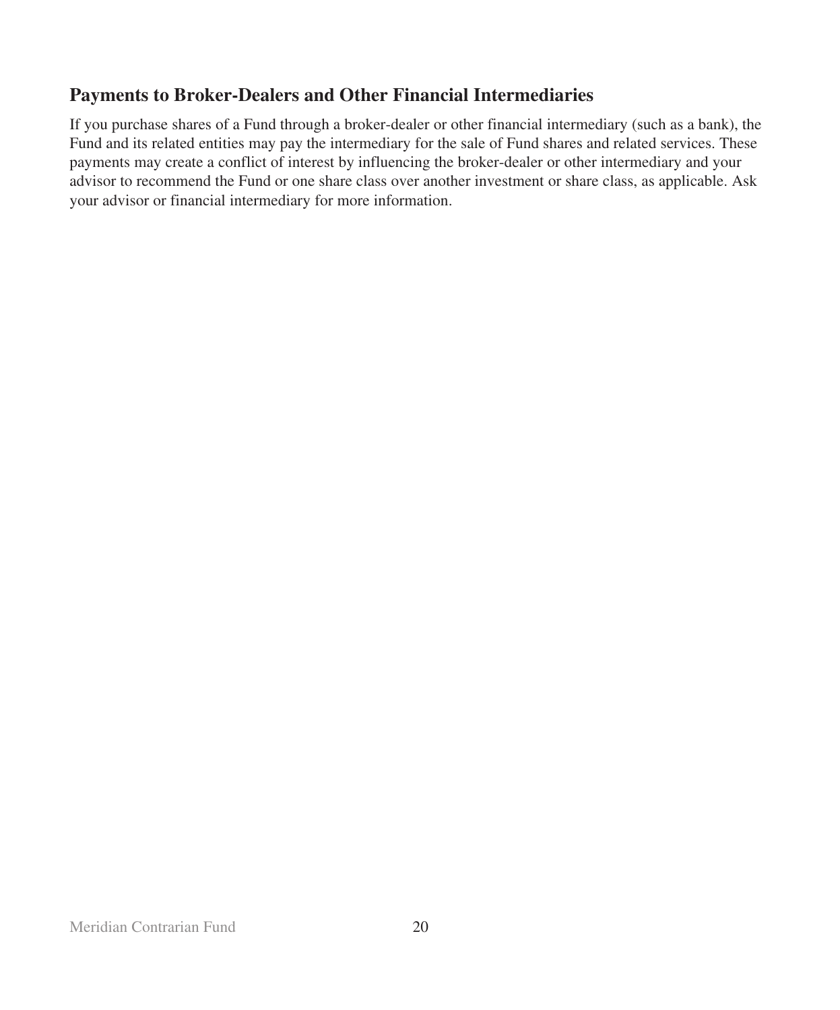# **Payments to Broker-Dealers and Other Financial Intermediaries**

If you purchase shares of a Fund through a broker-dealer or other financial intermediary (such as a bank), the Fund and its related entities may pay the intermediary for the sale of Fund shares and related services. These payments may create a conflict of interest by influencing the broker-dealer or other intermediary and your advisor to recommend the Fund or one share class over another investment or share class, as applicable. Ask your advisor or financial intermediary for more information.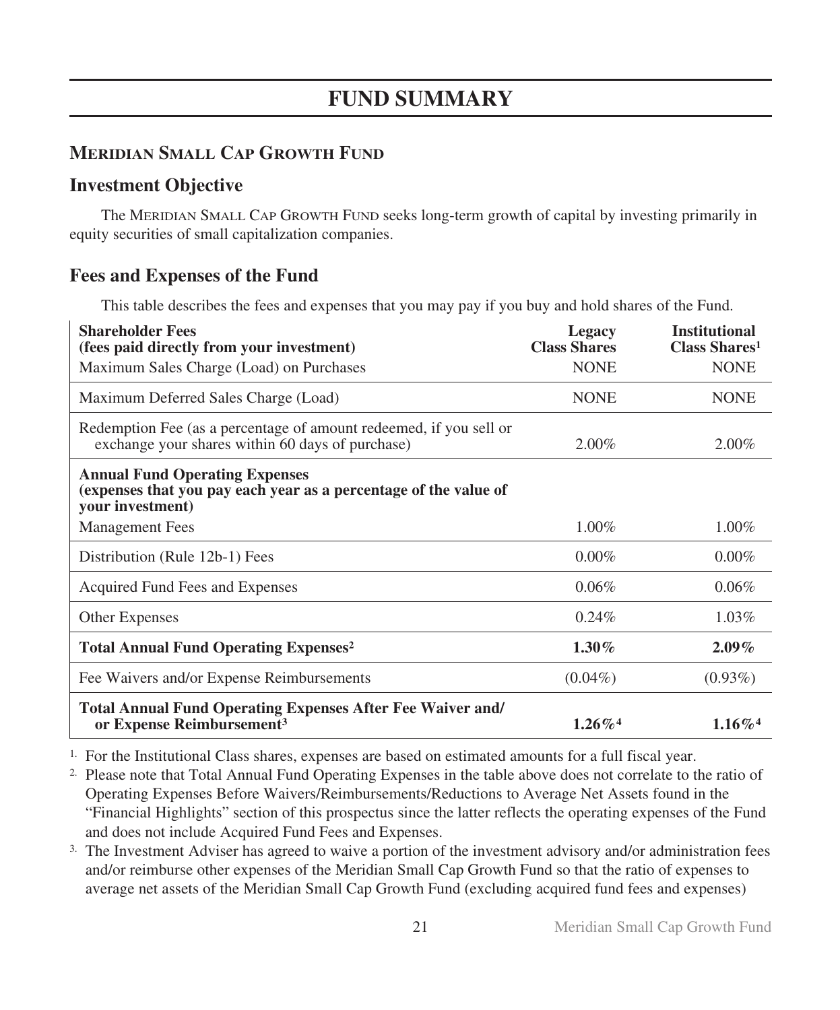# **MERIDIAN SMALL CAP GROWTH FUND**

# **Investment Objective**

The MERIDIAN SMALL CAP GROWTH FUND seeks long-term growth of capital by investing primarily in equity securities of small capitalization companies.

# **Fees and Expenses of the Fund**

This table describes the fees and expenses that you may pay if you buy and hold shares of the Fund.

| <b>Shareholder Fees</b><br>(fees paid directly from your investment)<br>Maximum Sales Charge (Load) on Purchases              | Legacy<br><b>Class Shares</b><br><b>NONE</b> | <b>Institutional</b><br>Class Shares <sup>1</sup><br><b>NONE</b> |
|-------------------------------------------------------------------------------------------------------------------------------|----------------------------------------------|------------------------------------------------------------------|
| Maximum Deferred Sales Charge (Load)                                                                                          | <b>NONE</b>                                  | <b>NONE</b>                                                      |
| Redemption Fee (as a percentage of amount redeemed, if you sell or<br>exchange your shares within 60 days of purchase)        | $2.00\%$                                     | $2.00\%$                                                         |
| <b>Annual Fund Operating Expenses</b><br>(expenses that you pay each year as a percentage of the value of<br>your investment) |                                              |                                                                  |
| <b>Management Fees</b>                                                                                                        | $1.00\%$                                     | $1.00\%$                                                         |
| Distribution (Rule 12b-1) Fees                                                                                                | $0.00\%$                                     | $0.00\%$                                                         |
| Acquired Fund Fees and Expenses                                                                                               | $0.06\%$                                     | $0.06\%$                                                         |
| Other Expenses                                                                                                                | $0.24\%$                                     | $1.03\%$                                                         |
| <b>Total Annual Fund Operating Expenses<sup>2</sup></b>                                                                       | $1.30\%$                                     | $2.09\%$                                                         |
| Fee Waivers and/or Expense Reimbursements                                                                                     | $(0.04\%)$                                   | $(0.93\%)$                                                       |
| <b>Total Annual Fund Operating Expenses After Fee Waiver and/</b><br>or Expense Reimbursement <sup>3</sup>                    | $1.26\%$ <sup>4</sup>                        | $1.16\%$ <sup>4</sup>                                            |

1. For the Institutional Class shares, expenses are based on estimated amounts for a full fiscal year.

2. Please note that Total Annual Fund Operating Expenses in the table above does not correlate to the ratio of Operating Expenses Before Waivers/Reimbursements/Reductions to Average Net Assets found in the "Financial Highlights" section of this prospectus since the latter reflects the operating expenses of the Fund and does not include Acquired Fund Fees and Expenses.

3. The Investment Adviser has agreed to waive a portion of the investment advisory and/or administration fees and/or reimburse other expenses of the Meridian Small Cap Growth Fund so that the ratio of expenses to average net assets of the Meridian Small Cap Growth Fund (excluding acquired fund fees and expenses)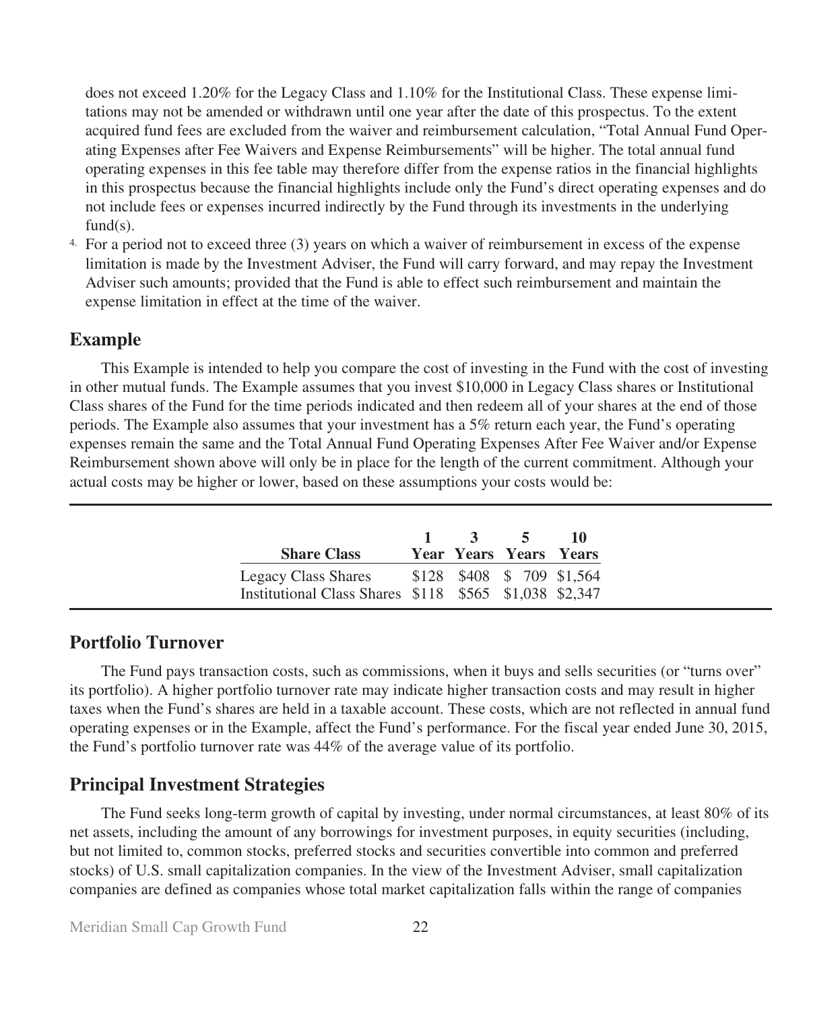does not exceed 1.20% for the Legacy Class and 1.10% for the Institutional Class. These expense limitations may not be amended or withdrawn until one year after the date of this prospectus. To the extent acquired fund fees are excluded from the waiver and reimbursement calculation, "Total Annual Fund Operating Expenses after Fee Waivers and Expense Reimbursements" will be higher. The total annual fund operating expenses in this fee table may therefore differ from the expense ratios in the financial highlights in this prospectus because the financial highlights include only the Fund's direct operating expenses and do not include fees or expenses incurred indirectly by the Fund through its investments in the underlying  $fund(s)$ .

4. For a period not to exceed three (3) years on which a waiver of reimbursement in excess of the expense limitation is made by the Investment Adviser, the Fund will carry forward, and may repay the Investment Adviser such amounts; provided that the Fund is able to effect such reimbursement and maintain the expense limitation in effect at the time of the waiver.

## **Example**

This Example is intended to help you compare the cost of investing in the Fund with the cost of investing in other mutual funds. The Example assumes that you invest \$10,000 in Legacy Class shares or Institutional Class shares of the Fund for the time periods indicated and then redeem all of your shares at the end of those periods. The Example also assumes that your investment has a 5% return each year, the Fund's operating expenses remain the same and the Total Annual Fund Operating Expenses After Fee Waiver and/or Expense Reimbursement shown above will only be in place for the length of the current commitment. Although your actual costs may be higher or lower, based on these assumptions your costs would be:

| <b>Share Class</b>                                                                                      | $1 \quad 3$ | $\sim$ 5<br>Year Years Years Years | -10 |
|---------------------------------------------------------------------------------------------------------|-------------|------------------------------------|-----|
| Legacy Class Shares \$128 \$408 \$709 \$1,564<br>Institutional Class Shares \$118 \$565 \$1,038 \$2,347 |             |                                    |     |

## **Portfolio Turnover**

The Fund pays transaction costs, such as commissions, when it buys and sells securities (or "turns over" its portfolio). A higher portfolio turnover rate may indicate higher transaction costs and may result in higher taxes when the Fund's shares are held in a taxable account. These costs, which are not reflected in annual fund operating expenses or in the Example, affect the Fund's performance. For the fiscal year ended June 30, 2015, the Fund's portfolio turnover rate was 44% of the average value of its portfolio.

## **Principal Investment Strategies**

The Fund seeks long-term growth of capital by investing, under normal circumstances, at least 80% of its net assets, including the amount of any borrowings for investment purposes, in equity securities (including, but not limited to, common stocks, preferred stocks and securities convertible into common and preferred stocks) of U.S. small capitalization companies. In the view of the Investment Adviser, small capitalization companies are defined as companies whose total market capitalization falls within the range of companies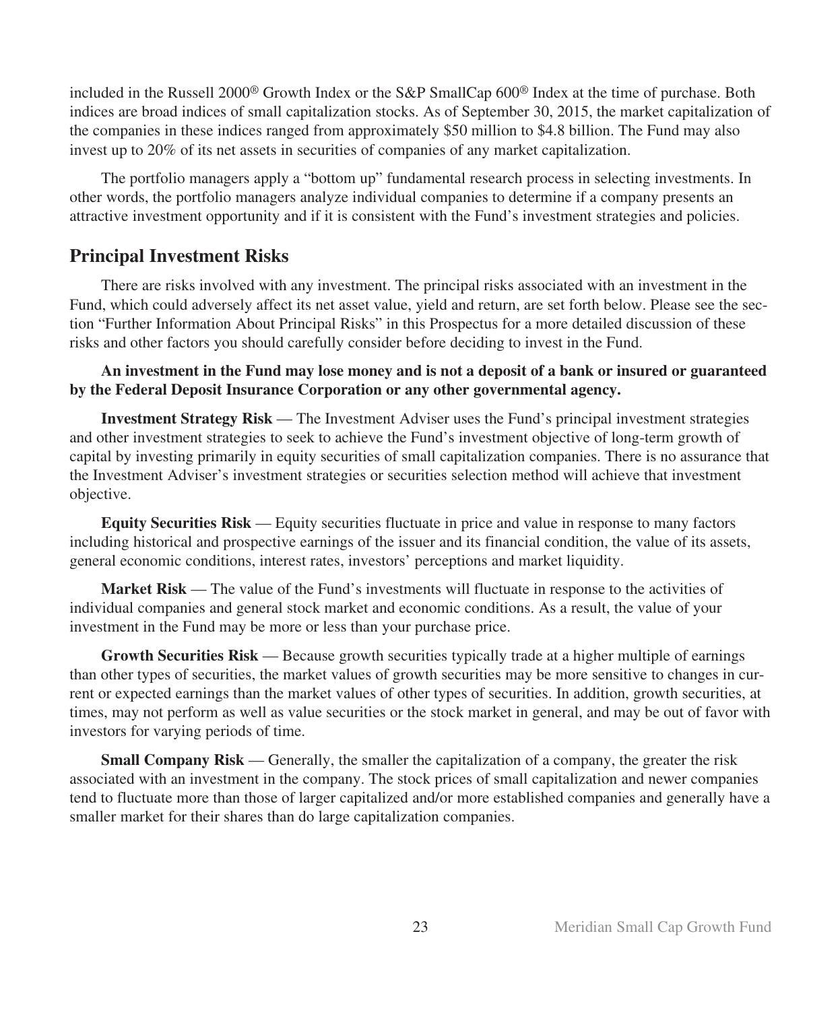included in the Russell 2000® Growth Index or the S&P SmallCap 600® Index at the time of purchase. Both indices are broad indices of small capitalization stocks. As of September 30, 2015, the market capitalization of the companies in these indices ranged from approximately \$50 million to \$4.8 billion. The Fund may also invest up to 20% of its net assets in securities of companies of any market capitalization.

The portfolio managers apply a "bottom up" fundamental research process in selecting investments. In other words, the portfolio managers analyze individual companies to determine if a company presents an attractive investment opportunity and if it is consistent with the Fund's investment strategies and policies.

## **Principal Investment Risks**

There are risks involved with any investment. The principal risks associated with an investment in the Fund, which could adversely affect its net asset value, yield and return, are set forth below. Please see the section "Further Information About Principal Risks" in this Prospectus for a more detailed discussion of these risks and other factors you should carefully consider before deciding to invest in the Fund.

## **An investment in the Fund may lose money and is not a deposit of a bank or insured or guaranteed by the Federal Deposit Insurance Corporation or any other governmental agency.**

**Investment Strategy Risk** — The Investment Adviser uses the Fund's principal investment strategies and other investment strategies to seek to achieve the Fund's investment objective of long-term growth of capital by investing primarily in equity securities of small capitalization companies. There is no assurance that the Investment Adviser's investment strategies or securities selection method will achieve that investment objective.

**Equity Securities Risk** — Equity securities fluctuate in price and value in response to many factors including historical and prospective earnings of the issuer and its financial condition, the value of its assets, general economic conditions, interest rates, investors' perceptions and market liquidity.

**Market Risk** — The value of the Fund's investments will fluctuate in response to the activities of individual companies and general stock market and economic conditions. As a result, the value of your investment in the Fund may be more or less than your purchase price.

**Growth Securities Risk** — Because growth securities typically trade at a higher multiple of earnings than other types of securities, the market values of growth securities may be more sensitive to changes in current or expected earnings than the market values of other types of securities. In addition, growth securities, at times, may not perform as well as value securities or the stock market in general, and may be out of favor with investors for varying periods of time.

**Small Company Risk** — Generally, the smaller the capitalization of a company, the greater the risk associated with an investment in the company. The stock prices of small capitalization and newer companies tend to fluctuate more than those of larger capitalized and/or more established companies and generally have a smaller market for their shares than do large capitalization companies.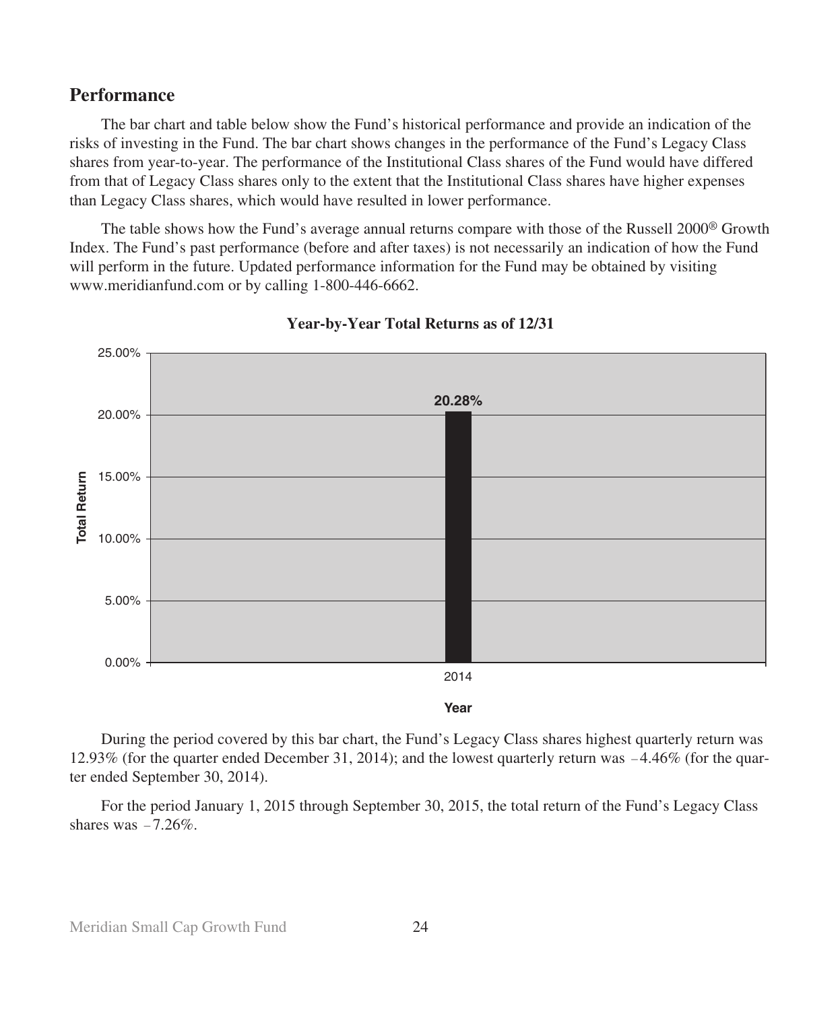## **Performance**

The bar chart and table below show the Fund's historical performance and provide an indication of the risks of investing in the Fund. The bar chart shows changes in the performance of the Fund's Legacy Class shares from year-to-year. The performance of the Institutional Class shares of the Fund would have differed from that of Legacy Class shares only to the extent that the Institutional Class shares have higher expenses than Legacy Class shares, which would have resulted in lower performance.

The table shows how the Fund's average annual returns compare with those of the Russell 2000® Growth Index. The Fund's past performance (before and after taxes) is not necessarily an indication of how the Fund will perform in the future. Updated performance information for the Fund may be obtained by visiting www.meridianfund.com or by calling 1-800-446-6662.



**Year-by-Year Total Returns as of 12/31**

During the period covered by this bar chart, the Fund's Legacy Class shares highest quarterly return was 12.93% (for the quarter ended December 31, 2014); and the lowest quarterly return was -4.46% (for the quarter ended September 30, 2014).

For the period January 1, 2015 through September 30, 2015, the total return of the Fund's Legacy Class shares was  $-7.26\%$ .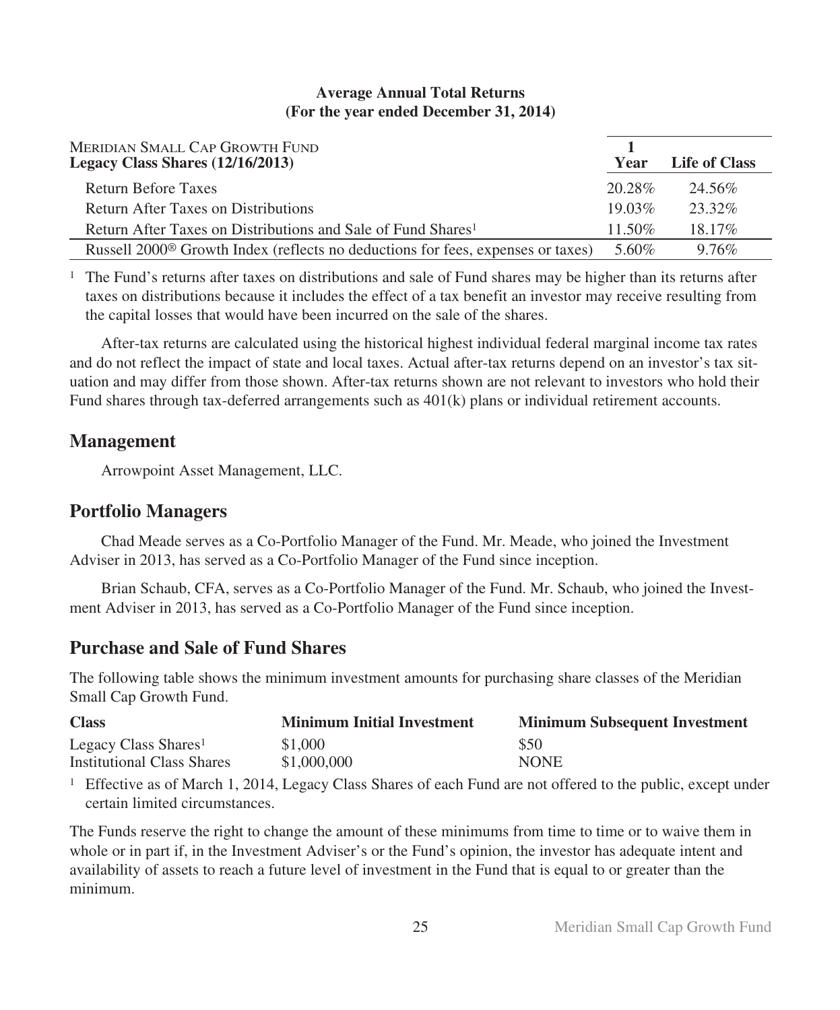### **Average Annual Total Returns (For the year ended December 31, 2014)**

| MERIDIAN SMALL CAP GROWTH FUND<br>Legacy Class Shares $(12/16/2013)$                        | Year      | Life of Class |
|---------------------------------------------------------------------------------------------|-----------|---------------|
| Return Before Taxes                                                                         | 20.28%    | 24.56%        |
| Return After Taxes on Distributions                                                         | $19.03\%$ | 23.32%        |
| Return After Taxes on Distributions and Sale of Fund Shares <sup>1</sup>                    | $11.50\%$ | 18.17%        |
| Russell 2000 <sup>®</sup> Growth Index (reflects no deductions for fees, expenses or taxes) | 5.60%     | 9.76%         |

<sup>1</sup> The Fund's returns after taxes on distributions and sale of Fund shares may be higher than its returns after taxes on distributions because it includes the effect of a tax benefit an investor may receive resulting from the capital losses that would have been incurred on the sale of the shares.

After-tax returns are calculated using the historical highest individual federal marginal income tax rates and do not reflect the impact of state and local taxes. Actual after-tax returns depend on an investor's tax situation and may differ from those shown. After-tax returns shown are not relevant to investors who hold their Fund shares through tax-deferred arrangements such as 401(k) plans or individual retirement accounts.

# **Management**

Arrowpoint Asset Management, LLC.

# **Portfolio Managers**

Chad Meade serves as a Co-Portfolio Manager of the Fund. Mr. Meade, who joined the Investment Adviser in 2013, has served as a Co-Portfolio Manager of the Fund since inception.

Brian Schaub, CFA, serves as a Co-Portfolio Manager of the Fund. Mr. Schaub, who joined the Investment Adviser in 2013, has served as a Co-Portfolio Manager of the Fund since inception.

# **Purchase and Sale of Fund Shares**

The following table shows the minimum investment amounts for purchasing share classes of the Meridian Small Cap Growth Fund.

| <b>Class</b>                      | <b>Minimum Initial Investment</b> | <b>Minimum Subsequent Investment</b> |
|-----------------------------------|-----------------------------------|--------------------------------------|
| Legacy Class Shares <sup>1</sup>  | \$1,000                           | \$50                                 |
| <b>Institutional Class Shares</b> | \$1,000,000                       | <b>NONE</b>                          |

<sup>1</sup> Effective as of March 1, 2014, Legacy Class Shares of each Fund are not offered to the public, except under certain limited circumstances.

The Funds reserve the right to change the amount of these minimums from time to time or to waive them in whole or in part if, in the Investment Adviser's or the Fund's opinion, the investor has adequate intent and availability of assets to reach a future level of investment in the Fund that is equal to or greater than the minimum.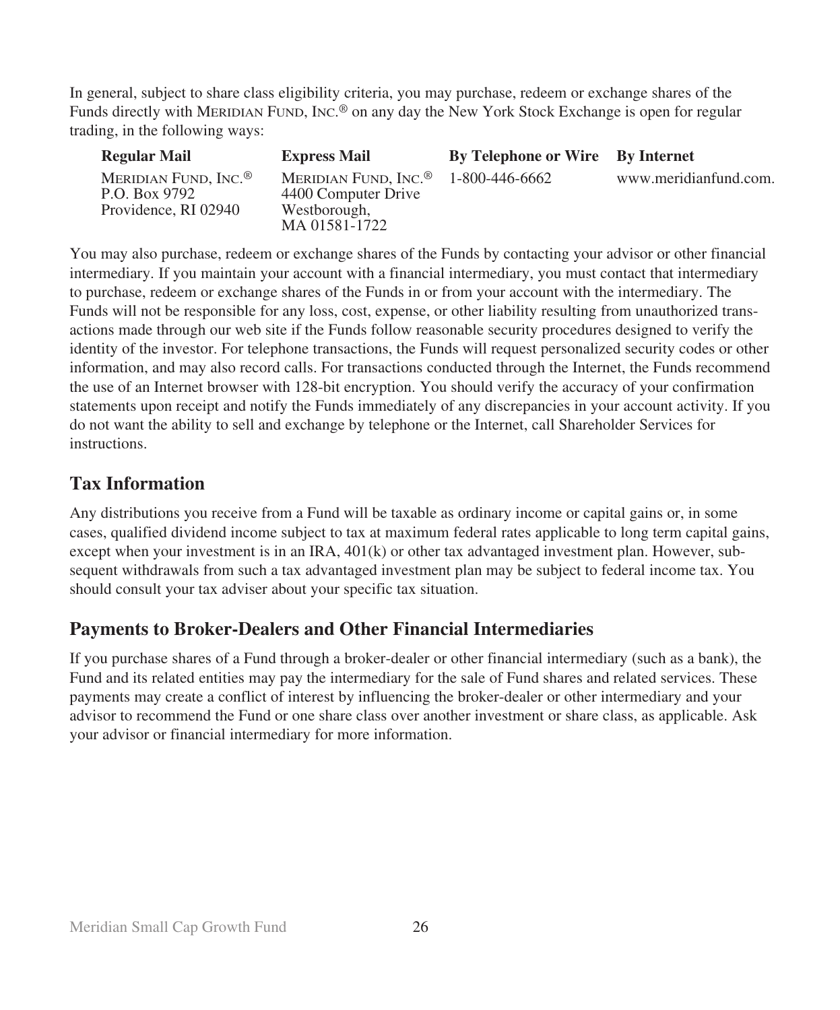In general, subject to share class eligibility criteria, you may purchase, redeem or exchange shares of the Funds directly with MERIDIAN FUND, INC.® on any day the New York Stock Exchange is open for regular trading, in the following ways:

| <b>Regular Mail</b>                                                       | <b>Express Mail</b>                                                                      | By Telephone or Wire By Internet |                       |
|---------------------------------------------------------------------------|------------------------------------------------------------------------------------------|----------------------------------|-----------------------|
| MERIDIAN FUND, INC. <sup>®</sup><br>P.O. Box 9792<br>Providence, RI 02940 | MERIDIAN FUND, INC. <sup>®</sup><br>4400 Computer Drive<br>Westborough,<br>MA 01581-1722 | 1-800-446-6662                   | www.meridianfund.com. |

You may also purchase, redeem or exchange shares of the Funds by contacting your advisor or other financial intermediary. If you maintain your account with a financial intermediary, you must contact that intermediary to purchase, redeem or exchange shares of the Funds in or from your account with the intermediary. The Funds will not be responsible for any loss, cost, expense, or other liability resulting from unauthorized transactions made through our web site if the Funds follow reasonable security procedures designed to verify the identity of the investor. For telephone transactions, the Funds will request personalized security codes or other information, and may also record calls. For transactions conducted through the Internet, the Funds recommend the use of an Internet browser with 128-bit encryption. You should verify the accuracy of your confirmation statements upon receipt and notify the Funds immediately of any discrepancies in your account activity. If you do not want the ability to sell and exchange by telephone or the Internet, call Shareholder Services for instructions.

# **Tax Information**

Any distributions you receive from a Fund will be taxable as ordinary income or capital gains or, in some cases, qualified dividend income subject to tax at maximum federal rates applicable to long term capital gains, except when your investment is in an IRA, 401(k) or other tax advantaged investment plan. However, subsequent withdrawals from such a tax advantaged investment plan may be subject to federal income tax. You should consult your tax adviser about your specific tax situation.

# **Payments to Broker-Dealers and Other Financial Intermediaries**

If you purchase shares of a Fund through a broker-dealer or other financial intermediary (such as a bank), the Fund and its related entities may pay the intermediary for the sale of Fund shares and related services. These payments may create a conflict of interest by influencing the broker-dealer or other intermediary and your advisor to recommend the Fund or one share class over another investment or share class, as applicable. Ask your advisor or financial intermediary for more information.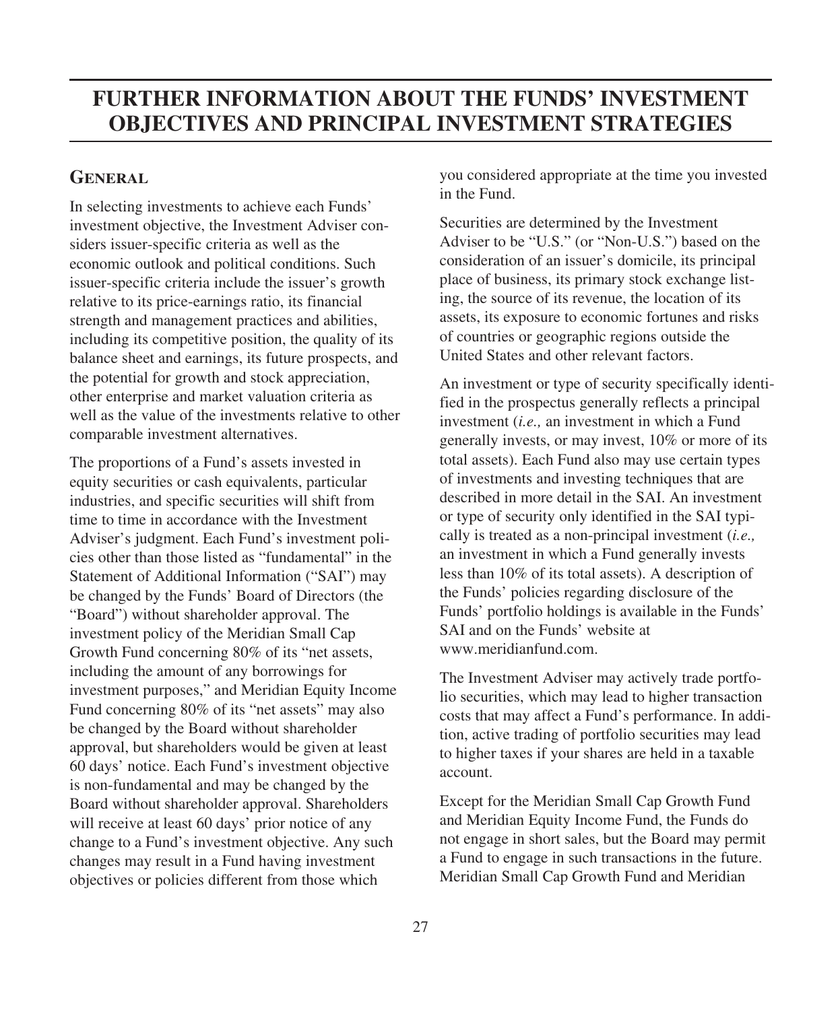# **FURTHER INFORMATION ABOUT THE FUNDS' INVESTMENT OBJECTIVES AND PRINCIPAL INVESTMENT STRATEGIES**

## **GENERAL**

In selecting investments to achieve each Funds' investment objective, the Investment Adviser considers issuer-specific criteria as well as the economic outlook and political conditions. Such issuer-specific criteria include the issuer's growth relative to its price-earnings ratio, its financial strength and management practices and abilities, including its competitive position, the quality of its balance sheet and earnings, its future prospects, and the potential for growth and stock appreciation, other enterprise and market valuation criteria as well as the value of the investments relative to other comparable investment alternatives.

The proportions of a Fund's assets invested in equity securities or cash equivalents, particular industries, and specific securities will shift from time to time in accordance with the Investment Adviser's judgment. Each Fund's investment policies other than those listed as "fundamental" in the Statement of Additional Information ("SAI") may be changed by the Funds' Board of Directors (the "Board") without shareholder approval. The investment policy of the Meridian Small Cap Growth Fund concerning 80% of its "net assets, including the amount of any borrowings for investment purposes," and Meridian Equity Income Fund concerning 80% of its "net assets" may also be changed by the Board without shareholder approval, but shareholders would be given at least 60 days' notice. Each Fund's investment objective is non-fundamental and may be changed by the Board without shareholder approval. Shareholders will receive at least 60 days' prior notice of any change to a Fund's investment objective. Any such changes may result in a Fund having investment objectives or policies different from those which

you considered appropriate at the time you invested in the Fund.

Securities are determined by the Investment Adviser to be "U.S." (or "Non-U.S.") based on the consideration of an issuer's domicile, its principal place of business, its primary stock exchange listing, the source of its revenue, the location of its assets, its exposure to economic fortunes and risks of countries or geographic regions outside the United States and other relevant factors.

An investment or type of security specifically identified in the prospectus generally reflects a principal investment (*i.e.,* an investment in which a Fund generally invests, or may invest, 10% or more of its total assets). Each Fund also may use certain types of investments and investing techniques that are described in more detail in the SAI. An investment or type of security only identified in the SAI typically is treated as a non-principal investment (*i.e.,* an investment in which a Fund generally invests less than 10% of its total assets). A description of the Funds' policies regarding disclosure of the Funds' portfolio holdings is available in the Funds' SAI and on the Funds' website at www.meridianfund.com.

The Investment Adviser may actively trade portfolio securities, which may lead to higher transaction costs that may affect a Fund's performance. In addition, active trading of portfolio securities may lead to higher taxes if your shares are held in a taxable account.

Except for the Meridian Small Cap Growth Fund and Meridian Equity Income Fund, the Funds do not engage in short sales, but the Board may permit a Fund to engage in such transactions in the future. Meridian Small Cap Growth Fund and Meridian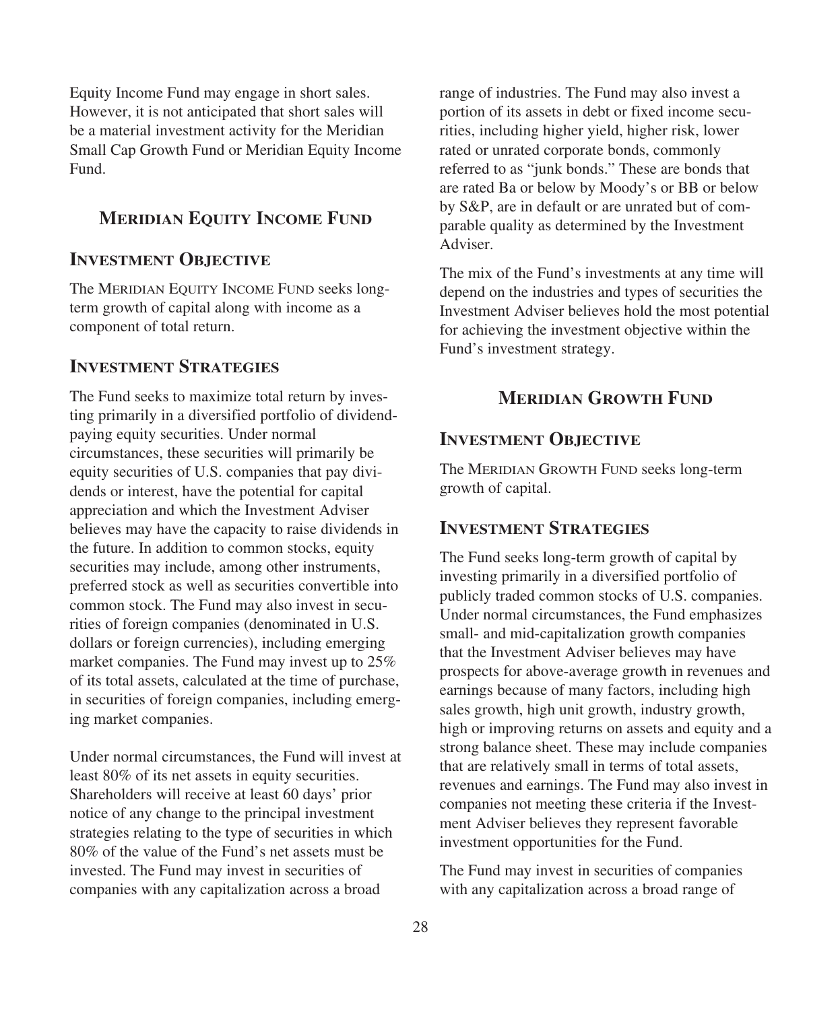Equity Income Fund may engage in short sales. However, it is not anticipated that short sales will be a material investment activity for the Meridian Small Cap Growth Fund or Meridian Equity Income Fund.

## **MERIDIAN EQUITY INCOME FUND**

## **INVESTMENT OBJECTIVE**

The MERIDIAN EQUITY INCOME FUND seeks longterm growth of capital along with income as a component of total return.

## **INVESTMENT STRATEGIES**

The Fund seeks to maximize total return by investing primarily in a diversified portfolio of dividendpaying equity securities. Under normal circumstances, these securities will primarily be equity securities of U.S. companies that pay dividends or interest, have the potential for capital appreciation and which the Investment Adviser believes may have the capacity to raise dividends in the future. In addition to common stocks, equity securities may include, among other instruments, preferred stock as well as securities convertible into common stock. The Fund may also invest in securities of foreign companies (denominated in U.S. dollars or foreign currencies), including emerging market companies. The Fund may invest up to 25% of its total assets, calculated at the time of purchase, in securities of foreign companies, including emerging market companies.

Under normal circumstances, the Fund will invest at least 80% of its net assets in equity securities. Shareholders will receive at least 60 days' prior notice of any change to the principal investment strategies relating to the type of securities in which 80% of the value of the Fund's net assets must be invested. The Fund may invest in securities of companies with any capitalization across a broad

range of industries. The Fund may also invest a portion of its assets in debt or fixed income securities, including higher yield, higher risk, lower rated or unrated corporate bonds, commonly referred to as "junk bonds." These are bonds that are rated Ba or below by Moody's or BB or below by S&P, are in default or are unrated but of comparable quality as determined by the Investment Adviser.

The mix of the Fund's investments at any time will depend on the industries and types of securities the Investment Adviser believes hold the most potential for achieving the investment objective within the Fund's investment strategy.

## **MERIDIAN GROWTH FUND**

## **INVESTMENT OBJECTIVE**

The MERIDIAN GROWTH FUND seeks long-term growth of capital.

## **INVESTMENT STRATEGIES**

The Fund seeks long-term growth of capital by investing primarily in a diversified portfolio of publicly traded common stocks of U.S. companies. Under normal circumstances, the Fund emphasizes small- and mid-capitalization growth companies that the Investment Adviser believes may have prospects for above-average growth in revenues and earnings because of many factors, including high sales growth, high unit growth, industry growth, high or improving returns on assets and equity and a strong balance sheet. These may include companies that are relatively small in terms of total assets, revenues and earnings. The Fund may also invest in companies not meeting these criteria if the Investment Adviser believes they represent favorable investment opportunities for the Fund.

The Fund may invest in securities of companies with any capitalization across a broad range of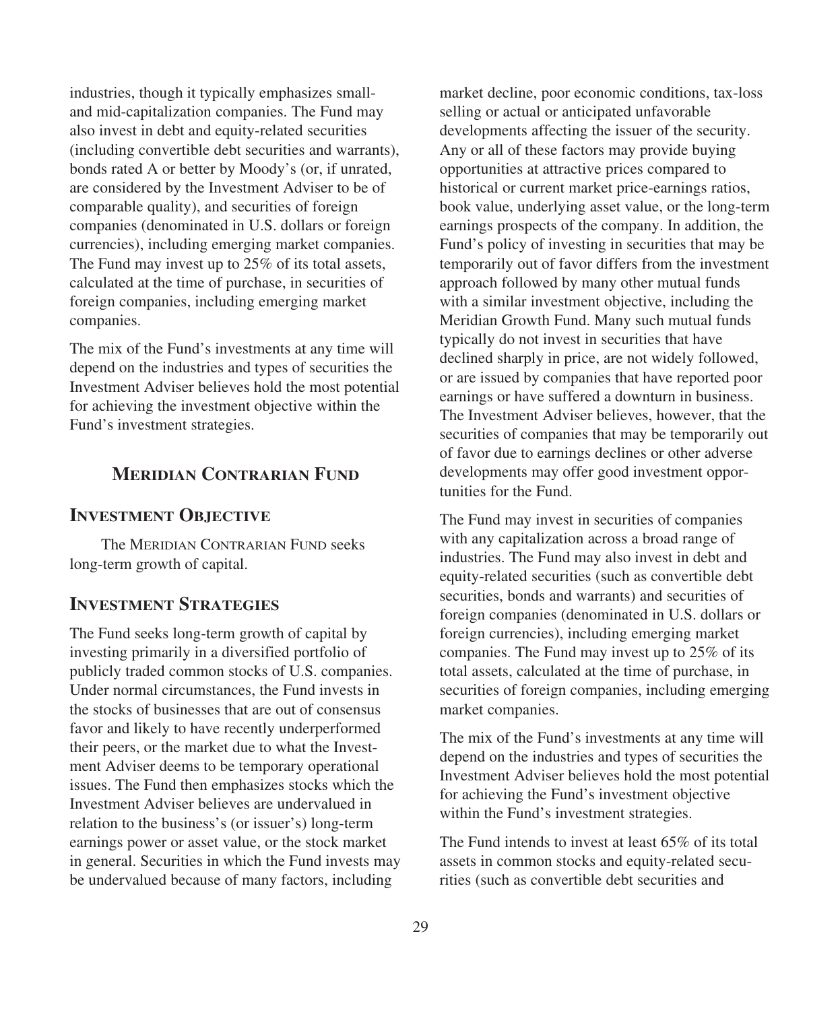industries, though it typically emphasizes smalland mid-capitalization companies. The Fund may also invest in debt and equity-related securities (including convertible debt securities and warrants), bonds rated A or better by Moody's (or, if unrated, are considered by the Investment Adviser to be of comparable quality), and securities of foreign companies (denominated in U.S. dollars or foreign currencies), including emerging market companies. The Fund may invest up to 25% of its total assets, calculated at the time of purchase, in securities of foreign companies, including emerging market companies.

The mix of the Fund's investments at any time will depend on the industries and types of securities the Investment Adviser believes hold the most potential for achieving the investment objective within the Fund's investment strategies.

## **MERIDIAN CONTRARIAN FUND**

### **INVESTMENT OBJECTIVE**

The MERIDIAN CONTRARIAN FUND seeks long-term growth of capital.

## **INVESTMENT STRATEGIES**

The Fund seeks long-term growth of capital by investing primarily in a diversified portfolio of publicly traded common stocks of U.S. companies. Under normal circumstances, the Fund invests in the stocks of businesses that are out of consensus favor and likely to have recently underperformed their peers, or the market due to what the Investment Adviser deems to be temporary operational issues. The Fund then emphasizes stocks which the Investment Adviser believes are undervalued in relation to the business's (or issuer's) long-term earnings power or asset value, or the stock market in general. Securities in which the Fund invests may be undervalued because of many factors, including

market decline, poor economic conditions, tax-loss selling or actual or anticipated unfavorable developments affecting the issuer of the security. Any or all of these factors may provide buying opportunities at attractive prices compared to historical or current market price-earnings ratios, book value, underlying asset value, or the long-term earnings prospects of the company. In addition, the Fund's policy of investing in securities that may be temporarily out of favor differs from the investment approach followed by many other mutual funds with a similar investment objective, including the Meridian Growth Fund. Many such mutual funds typically do not invest in securities that have declined sharply in price, are not widely followed, or are issued by companies that have reported poor earnings or have suffered a downturn in business. The Investment Adviser believes, however, that the securities of companies that may be temporarily out of favor due to earnings declines or other adverse developments may offer good investment opportunities for the Fund.

The Fund may invest in securities of companies with any capitalization across a broad range of industries. The Fund may also invest in debt and equity-related securities (such as convertible debt securities, bonds and warrants) and securities of foreign companies (denominated in U.S. dollars or foreign currencies), including emerging market companies. The Fund may invest up to 25% of its total assets, calculated at the time of purchase, in securities of foreign companies, including emerging market companies.

The mix of the Fund's investments at any time will depend on the industries and types of securities the Investment Adviser believes hold the most potential for achieving the Fund's investment objective within the Fund's investment strategies.

The Fund intends to invest at least 65% of its total assets in common stocks and equity-related securities (such as convertible debt securities and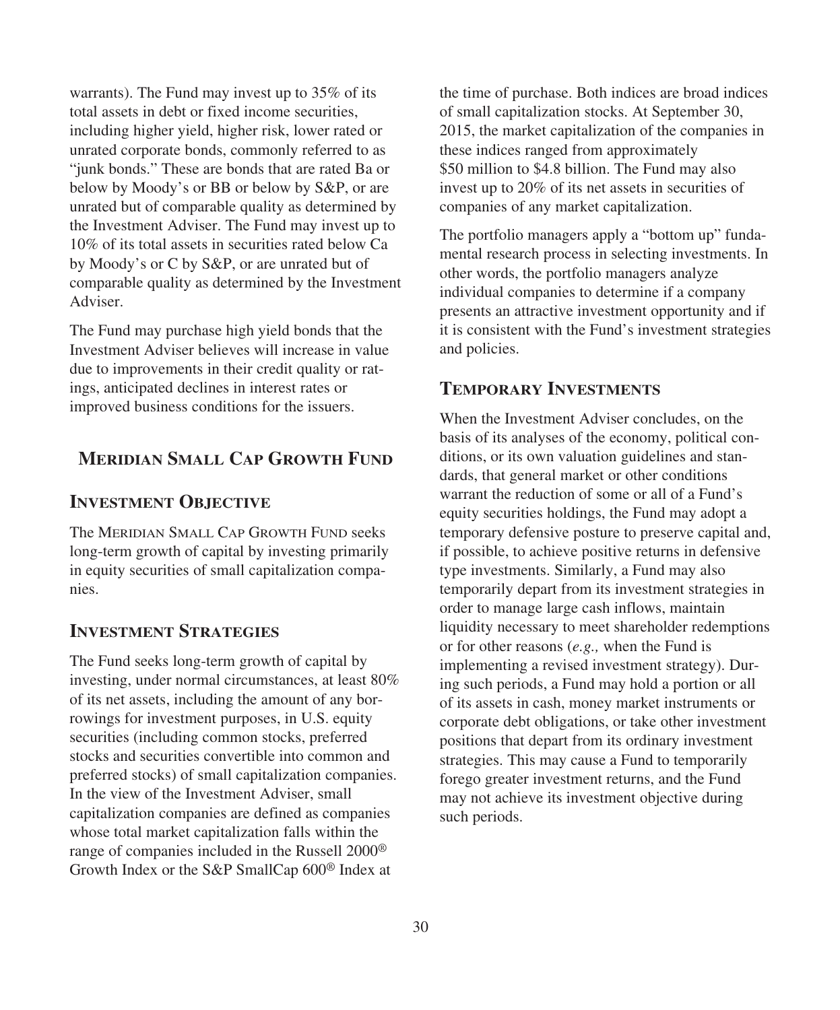warrants). The Fund may invest up to 35% of its total assets in debt or fixed income securities, including higher yield, higher risk, lower rated or unrated corporate bonds, commonly referred to as "junk bonds." These are bonds that are rated Ba or below by Moody's or BB or below by S&P, or are unrated but of comparable quality as determined by the Investment Adviser. The Fund may invest up to 10% of its total assets in securities rated below Ca by Moody's or C by S&P, or are unrated but of comparable quality as determined by the Investment Adviser.

The Fund may purchase high yield bonds that the Investment Adviser believes will increase in value due to improvements in their credit quality or ratings, anticipated declines in interest rates or improved business conditions for the issuers.

## **MERIDIAN SMALL CAP GROWTH FUND**

## **INVESTMENT OBJECTIVE**

The MERIDIAN SMALL CAP GROWTH FUND seeks long-term growth of capital by investing primarily in equity securities of small capitalization companies.

## **INVESTMENT STRATEGIES**

The Fund seeks long-term growth of capital by investing, under normal circumstances, at least 80% of its net assets, including the amount of any borrowings for investment purposes, in U.S. equity securities (including common stocks, preferred stocks and securities convertible into common and preferred stocks) of small capitalization companies. In the view of the Investment Adviser, small capitalization companies are defined as companies whose total market capitalization falls within the range of companies included in the Russell 2000® Growth Index or the S&P SmallCap 600® Index at

the time of purchase. Both indices are broad indices of small capitalization stocks. At September 30, 2015, the market capitalization of the companies in these indices ranged from approximately \$50 million to \$4.8 billion. The Fund may also invest up to 20% of its net assets in securities of companies of any market capitalization.

The portfolio managers apply a "bottom up" fundamental research process in selecting investments. In other words, the portfolio managers analyze individual companies to determine if a company presents an attractive investment opportunity and if it is consistent with the Fund's investment strategies and policies.

## **TEMPORARY INVESTMENTS**

When the Investment Adviser concludes, on the basis of its analyses of the economy, political conditions, or its own valuation guidelines and standards, that general market or other conditions warrant the reduction of some or all of a Fund's equity securities holdings, the Fund may adopt a temporary defensive posture to preserve capital and, if possible, to achieve positive returns in defensive type investments. Similarly, a Fund may also temporarily depart from its investment strategies in order to manage large cash inflows, maintain liquidity necessary to meet shareholder redemptions or for other reasons (*e.g.,* when the Fund is implementing a revised investment strategy). During such periods, a Fund may hold a portion or all of its assets in cash, money market instruments or corporate debt obligations, or take other investment positions that depart from its ordinary investment strategies. This may cause a Fund to temporarily forego greater investment returns, and the Fund may not achieve its investment objective during such periods.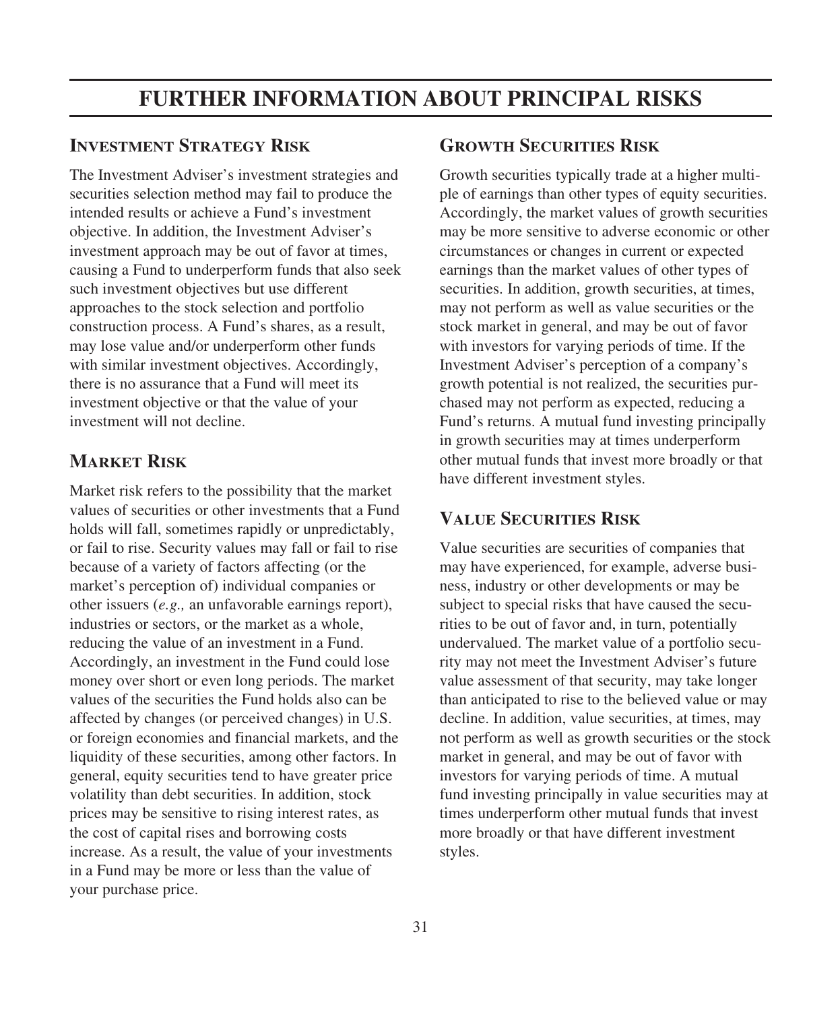# **FURTHER INFORMATION ABOUT PRINCIPAL RISKS**

## **INVESTMENT STRATEGY RISK**

The Investment Adviser's investment strategies and securities selection method may fail to produce the intended results or achieve a Fund's investment objective. In addition, the Investment Adviser's investment approach may be out of favor at times, causing a Fund to underperform funds that also seek such investment objectives but use different approaches to the stock selection and portfolio construction process. A Fund's shares, as a result, may lose value and/or underperform other funds with similar investment objectives. Accordingly, there is no assurance that a Fund will meet its investment objective or that the value of your investment will not decline.

## **MARKET RISK**

Market risk refers to the possibility that the market values of securities or other investments that a Fund holds will fall, sometimes rapidly or unpredictably, or fail to rise. Security values may fall or fail to rise because of a variety of factors affecting (or the market's perception of) individual companies or other issuers (*e.g.,* an unfavorable earnings report), industries or sectors, or the market as a whole, reducing the value of an investment in a Fund. Accordingly, an investment in the Fund could lose money over short or even long periods. The market values of the securities the Fund holds also can be affected by changes (or perceived changes) in U.S. or foreign economies and financial markets, and the liquidity of these securities, among other factors. In general, equity securities tend to have greater price volatility than debt securities. In addition, stock prices may be sensitive to rising interest rates, as the cost of capital rises and borrowing costs increase. As a result, the value of your investments in a Fund may be more or less than the value of your purchase price.

## **GROWTH SECURITIES RISK**

Growth securities typically trade at a higher multiple of earnings than other types of equity securities. Accordingly, the market values of growth securities may be more sensitive to adverse economic or other circumstances or changes in current or expected earnings than the market values of other types of securities. In addition, growth securities, at times, may not perform as well as value securities or the stock market in general, and may be out of favor with investors for varying periods of time. If the Investment Adviser's perception of a company's growth potential is not realized, the securities purchased may not perform as expected, reducing a Fund's returns. A mutual fund investing principally in growth securities may at times underperform other mutual funds that invest more broadly or that have different investment styles.

## **VALUE SECURITIES RISK**

Value securities are securities of companies that may have experienced, for example, adverse business, industry or other developments or may be subject to special risks that have caused the securities to be out of favor and, in turn, potentially undervalued. The market value of a portfolio security may not meet the Investment Adviser's future value assessment of that security, may take longer than anticipated to rise to the believed value or may decline. In addition, value securities, at times, may not perform as well as growth securities or the stock market in general, and may be out of favor with investors for varying periods of time. A mutual fund investing principally in value securities may at times underperform other mutual funds that invest more broadly or that have different investment styles.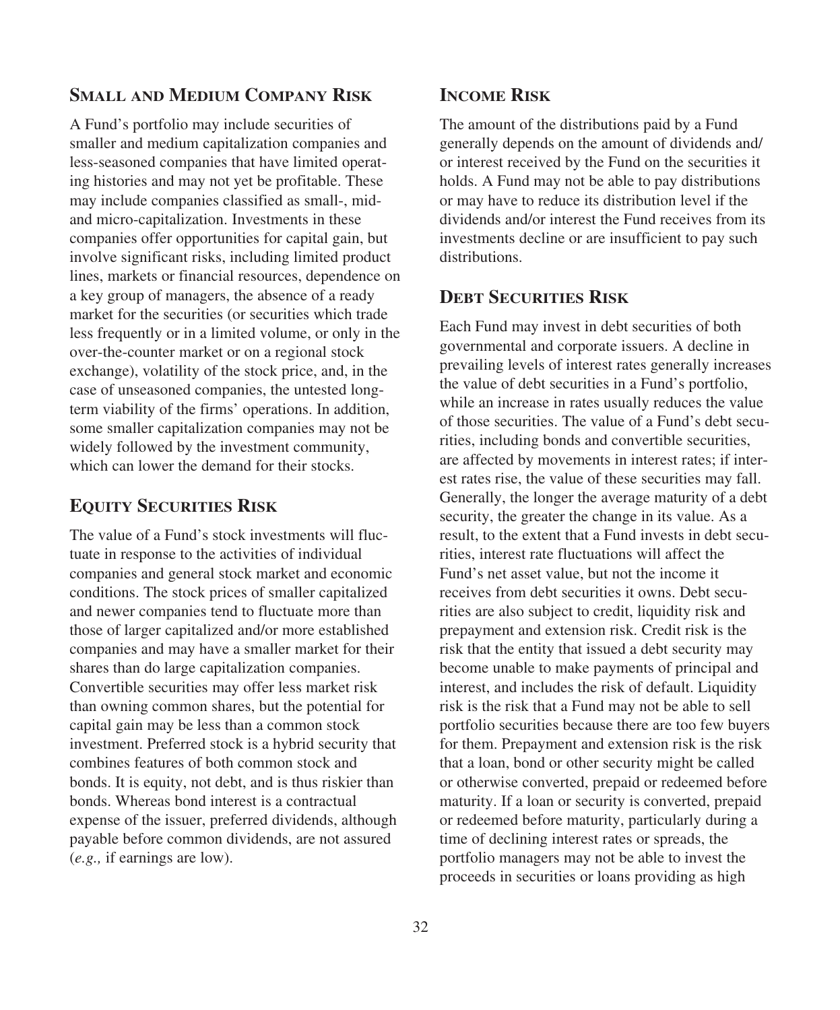## **SMALL AND MEDIUM COMPANY RISK**

A Fund's portfolio may include securities of smaller and medium capitalization companies and less-seasoned companies that have limited operating histories and may not yet be profitable. These may include companies classified as small-, midand micro-capitalization. Investments in these companies offer opportunities for capital gain, but involve significant risks, including limited product lines, markets or financial resources, dependence on a key group of managers, the absence of a ready market for the securities (or securities which trade less frequently or in a limited volume, or only in the over-the-counter market or on a regional stock exchange), volatility of the stock price, and, in the case of unseasoned companies, the untested longterm viability of the firms' operations. In addition, some smaller capitalization companies may not be widely followed by the investment community, which can lower the demand for their stocks.

## **EQUITY SECURITIES RISK**

The value of a Fund's stock investments will fluctuate in response to the activities of individual companies and general stock market and economic conditions. The stock prices of smaller capitalized and newer companies tend to fluctuate more than those of larger capitalized and/or more established companies and may have a smaller market for their shares than do large capitalization companies. Convertible securities may offer less market risk than owning common shares, but the potential for capital gain may be less than a common stock investment. Preferred stock is a hybrid security that combines features of both common stock and bonds. It is equity, not debt, and is thus riskier than bonds. Whereas bond interest is a contractual expense of the issuer, preferred dividends, although payable before common dividends, are not assured (*e.g.,* if earnings are low).

## **INCOME RISK**

The amount of the distributions paid by a Fund generally depends on the amount of dividends and/ or interest received by the Fund on the securities it holds. A Fund may not be able to pay distributions or may have to reduce its distribution level if the dividends and/or interest the Fund receives from its investments decline or are insufficient to pay such distributions.

## **DEBT SECURITIES RISK**

Each Fund may invest in debt securities of both governmental and corporate issuers. A decline in prevailing levels of interest rates generally increases the value of debt securities in a Fund's portfolio, while an increase in rates usually reduces the value of those securities. The value of a Fund's debt securities, including bonds and convertible securities, are affected by movements in interest rates; if interest rates rise, the value of these securities may fall. Generally, the longer the average maturity of a debt security, the greater the change in its value. As a result, to the extent that a Fund invests in debt securities, interest rate fluctuations will affect the Fund's net asset value, but not the income it receives from debt securities it owns. Debt securities are also subject to credit, liquidity risk and prepayment and extension risk. Credit risk is the risk that the entity that issued a debt security may become unable to make payments of principal and interest, and includes the risk of default. Liquidity risk is the risk that a Fund may not be able to sell portfolio securities because there are too few buyers for them. Prepayment and extension risk is the risk that a loan, bond or other security might be called or otherwise converted, prepaid or redeemed before maturity. If a loan or security is converted, prepaid or redeemed before maturity, particularly during a time of declining interest rates or spreads, the portfolio managers may not be able to invest the proceeds in securities or loans providing as high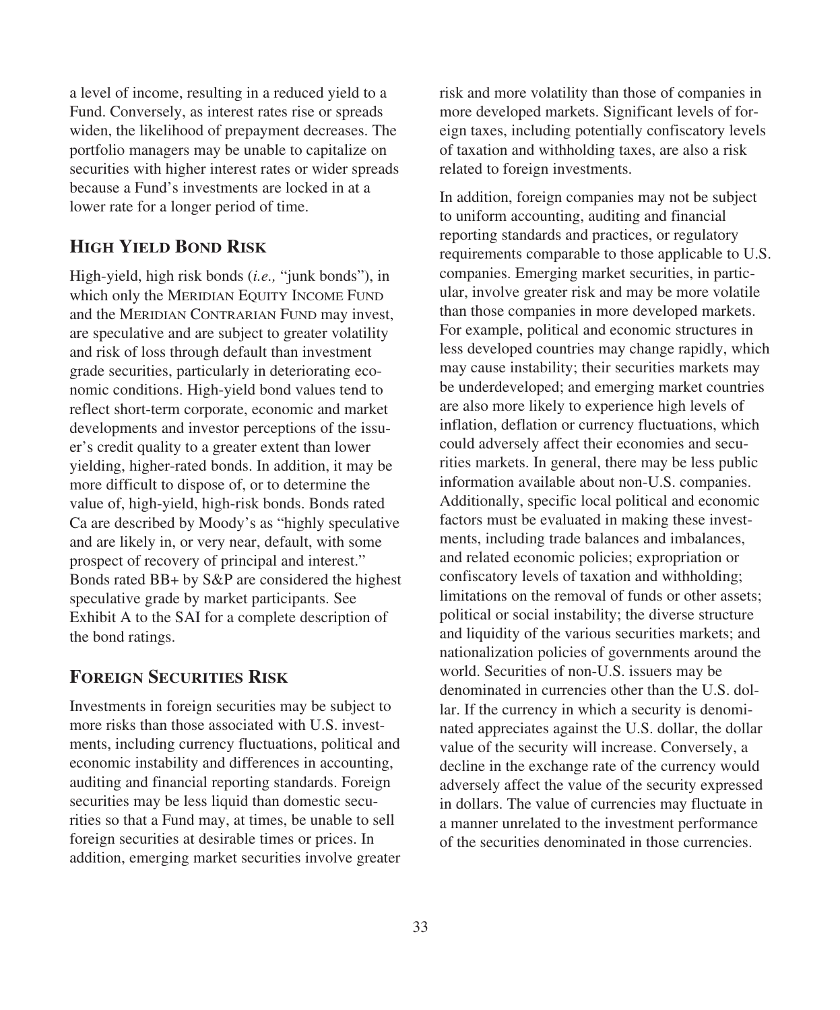a level of income, resulting in a reduced yield to a Fund. Conversely, as interest rates rise or spreads widen, the likelihood of prepayment decreases. The portfolio managers may be unable to capitalize on securities with higher interest rates or wider spreads because a Fund's investments are locked in at a lower rate for a longer period of time.

## **HIGH YIELD BOND RISK**

High-yield, high risk bonds (*i.e.,* "junk bonds"), in which only the MERIDIAN EQUITY INCOME FUND and the MERIDIAN CONTRARIAN FUND may invest, are speculative and are subject to greater volatility and risk of loss through default than investment grade securities, particularly in deteriorating economic conditions. High-yield bond values tend to reflect short-term corporate, economic and market developments and investor perceptions of the issuer's credit quality to a greater extent than lower yielding, higher-rated bonds. In addition, it may be more difficult to dispose of, or to determine the value of, high-yield, high-risk bonds. Bonds rated Ca are described by Moody's as "highly speculative and are likely in, or very near, default, with some prospect of recovery of principal and interest." Bonds rated BB+ by S&P are considered the highest speculative grade by market participants. See Exhibit A to the SAI for a complete description of the bond ratings.

## **FOREIGN SECURITIES RISK**

Investments in foreign securities may be subject to more risks than those associated with U.S. investments, including currency fluctuations, political and economic instability and differences in accounting, auditing and financial reporting standards. Foreign securities may be less liquid than domestic securities so that a Fund may, at times, be unable to sell foreign securities at desirable times or prices. In addition, emerging market securities involve greater risk and more volatility than those of companies in more developed markets. Significant levels of foreign taxes, including potentially confiscatory levels of taxation and withholding taxes, are also a risk related to foreign investments.

In addition, foreign companies may not be subject to uniform accounting, auditing and financial reporting standards and practices, or regulatory requirements comparable to those applicable to U.S. companies. Emerging market securities, in particular, involve greater risk and may be more volatile than those companies in more developed markets. For example, political and economic structures in less developed countries may change rapidly, which may cause instability; their securities markets may be underdeveloped; and emerging market countries are also more likely to experience high levels of inflation, deflation or currency fluctuations, which could adversely affect their economies and securities markets. In general, there may be less public information available about non-U.S. companies. Additionally, specific local political and economic factors must be evaluated in making these investments, including trade balances and imbalances, and related economic policies; expropriation or confiscatory levels of taxation and withholding; limitations on the removal of funds or other assets; political or social instability; the diverse structure and liquidity of the various securities markets; and nationalization policies of governments around the world. Securities of non-U.S. issuers may be denominated in currencies other than the U.S. dollar. If the currency in which a security is denominated appreciates against the U.S. dollar, the dollar value of the security will increase. Conversely, a decline in the exchange rate of the currency would adversely affect the value of the security expressed in dollars. The value of currencies may fluctuate in a manner unrelated to the investment performance of the securities denominated in those currencies.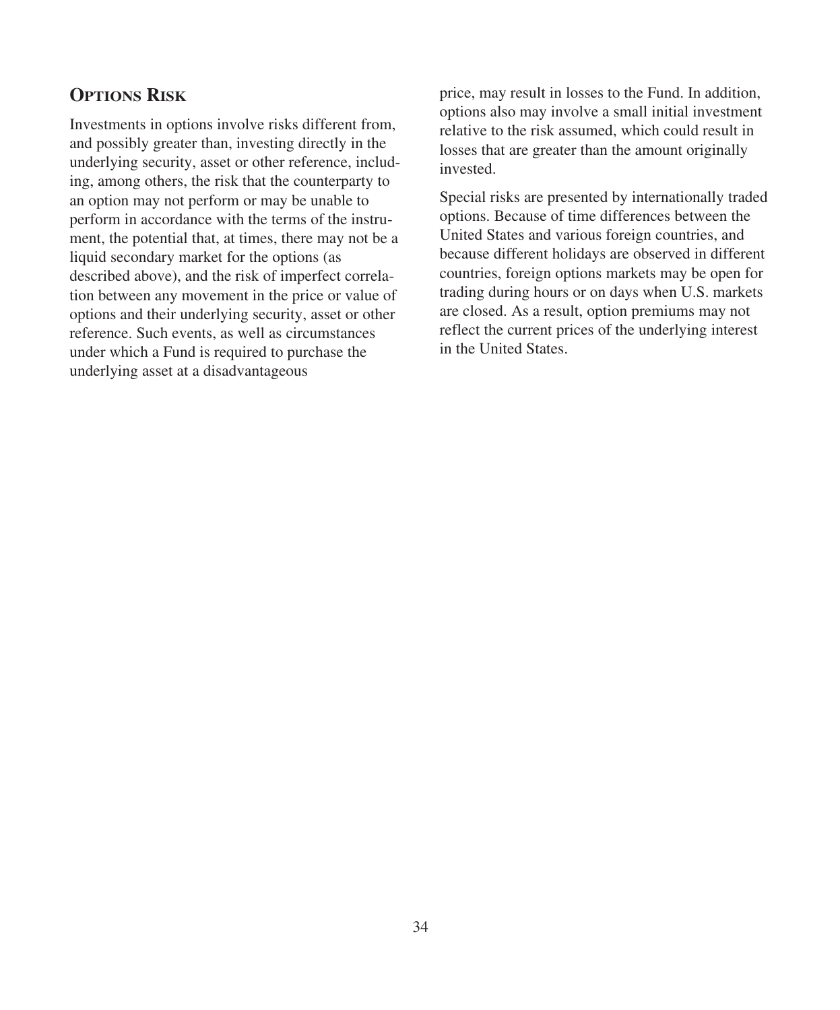# **OPTIONS RISK**

Investments in options involve risks different from, and possibly greater than, investing directly in the underlying security, asset or other reference, including, among others, the risk that the counterparty to an option may not perform or may be unable to perform in accordance with the terms of the instrument, the potential that, at times, there may not be a liquid secondary market for the options (as described above), and the risk of imperfect correlation between any movement in the price or value of options and their underlying security, asset or other reference. Such events, as well as circumstances under which a Fund is required to purchase the underlying asset at a disadvantageous

price, may result in losses to the Fund. In addition, options also may involve a small initial investment relative to the risk assumed, which could result in losses that are greater than the amount originally invested.

Special risks are presented by internationally traded options. Because of time differences between the United States and various foreign countries, and because different holidays are observed in different countries, foreign options markets may be open for trading during hours or on days when U.S. markets are closed. As a result, option premiums may not reflect the current prices of the underlying interest in the United States.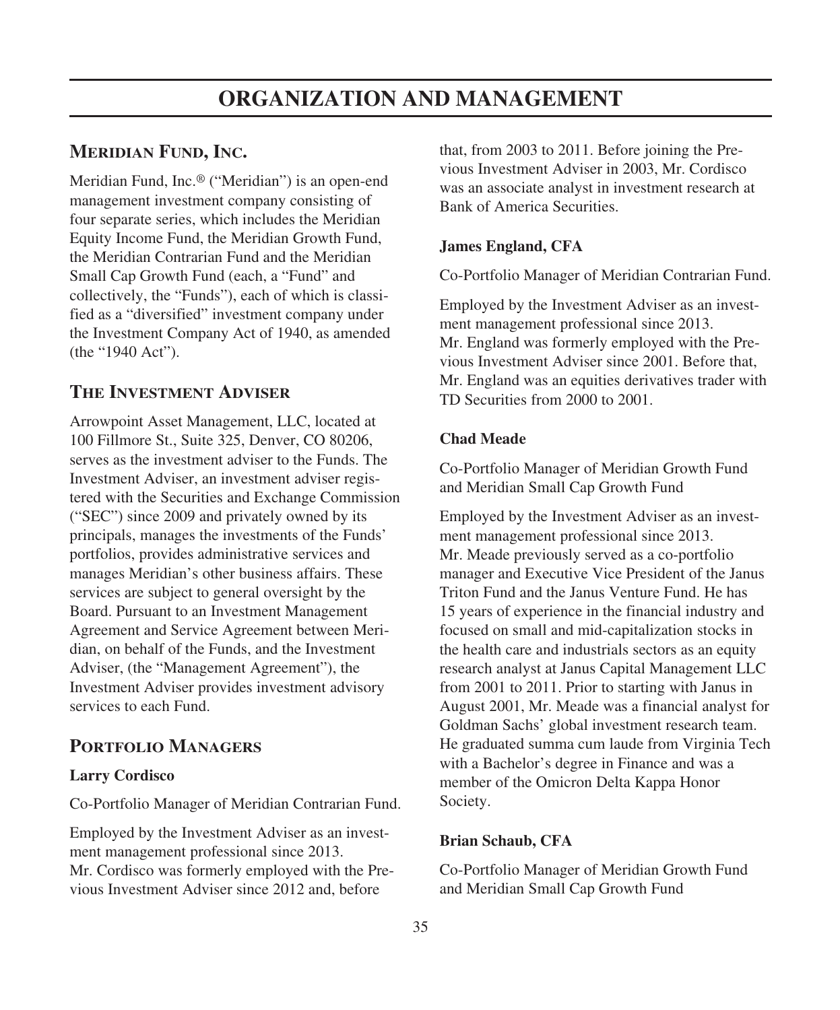## **MERIDIAN FUND, INC.**

Meridian Fund, Inc.® ("Meridian") is an open-end management investment company consisting of four separate series, which includes the Meridian Equity Income Fund, the Meridian Growth Fund, the Meridian Contrarian Fund and the Meridian Small Cap Growth Fund (each, a "Fund" and collectively, the "Funds"), each of which is classified as a "diversified" investment company under the Investment Company Act of 1940, as amended (the "1940 Act").

## **THE INVESTMENT ADVISER**

Arrowpoint Asset Management, LLC, located at 100 Fillmore St., Suite 325, Denver, CO 80206, serves as the investment adviser to the Funds. The Investment Adviser, an investment adviser registered with the Securities and Exchange Commission ("SEC") since 2009 and privately owned by its principals, manages the investments of the Funds' portfolios, provides administrative services and manages Meridian's other business affairs. These services are subject to general oversight by the Board. Pursuant to an Investment Management Agreement and Service Agreement between Meridian, on behalf of the Funds, and the Investment Adviser, (the "Management Agreement"), the Investment Adviser provides investment advisory services to each Fund.

## **PORTFOLIO MANAGERS**

### **Larry Cordisco**

Co-Portfolio Manager of Meridian Contrarian Fund.

Employed by the Investment Adviser as an investment management professional since 2013. Mr. Cordisco was formerly employed with the Previous Investment Adviser since 2012 and, before

that, from 2003 to 2011. Before joining the Previous Investment Adviser in 2003, Mr. Cordisco was an associate analyst in investment research at Bank of America Securities.

### **James England, CFA**

Co-Portfolio Manager of Meridian Contrarian Fund.

Employed by the Investment Adviser as an investment management professional since 2013. Mr. England was formerly employed with the Previous Investment Adviser since 2001. Before that, Mr. England was an equities derivatives trader with TD Securities from 2000 to 2001.

### **Chad Meade**

Co-Portfolio Manager of Meridian Growth Fund and Meridian Small Cap Growth Fund

Employed by the Investment Adviser as an investment management professional since 2013. Mr. Meade previously served as a co-portfolio manager and Executive Vice President of the Janus Triton Fund and the Janus Venture Fund. He has 15 years of experience in the financial industry and focused on small and mid-capitalization stocks in the health care and industrials sectors as an equity research analyst at Janus Capital Management LLC from 2001 to 2011. Prior to starting with Janus in August 2001, Mr. Meade was a financial analyst for Goldman Sachs' global investment research team. He graduated summa cum laude from Virginia Tech with a Bachelor's degree in Finance and was a member of the Omicron Delta Kappa Honor Society.

### **Brian Schaub, CFA**

Co-Portfolio Manager of Meridian Growth Fund and Meridian Small Cap Growth Fund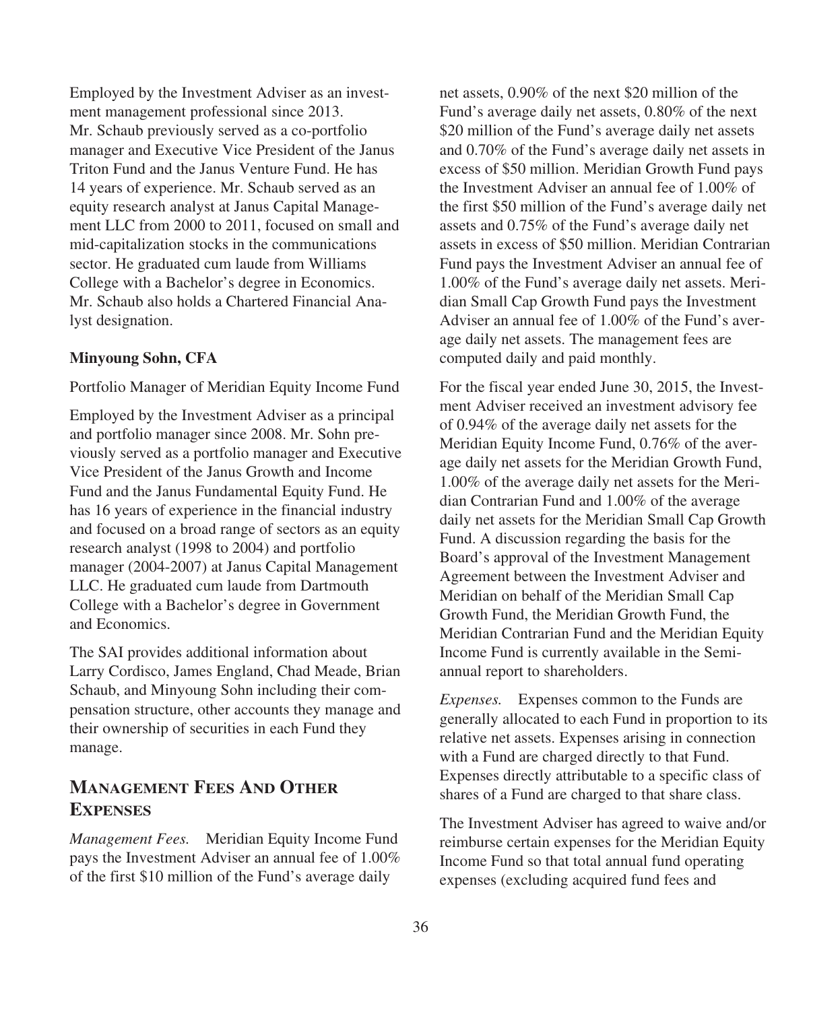Employed by the Investment Adviser as an investment management professional since 2013. Mr. Schaub previously served as a co-portfolio manager and Executive Vice President of the Janus Triton Fund and the Janus Venture Fund. He has 14 years of experience. Mr. Schaub served as an equity research analyst at Janus Capital Management LLC from 2000 to 2011, focused on small and mid-capitalization stocks in the communications sector. He graduated cum laude from Williams College with a Bachelor's degree in Economics. Mr. Schaub also holds a Chartered Financial Analyst designation.

#### **Minyoung Sohn, CFA**

Portfolio Manager of Meridian Equity Income Fund

Employed by the Investment Adviser as a principal and portfolio manager since 2008. Mr. Sohn previously served as a portfolio manager and Executive Vice President of the Janus Growth and Income Fund and the Janus Fundamental Equity Fund. He has 16 years of experience in the financial industry and focused on a broad range of sectors as an equity research analyst (1998 to 2004) and portfolio manager (2004-2007) at Janus Capital Management LLC. He graduated cum laude from Dartmouth College with a Bachelor's degree in Government and Economics.

The SAI provides additional information about Larry Cordisco, James England, Chad Meade, Brian Schaub, and Minyoung Sohn including their compensation structure, other accounts they manage and their ownership of securities in each Fund they manage.

## **MANAGEMENT FEES AND OTHER EXPENSES**

*Management Fees.* Meridian Equity Income Fund pays the Investment Adviser an annual fee of 1.00% of the first \$10 million of the Fund's average daily

net assets, 0.90% of the next \$20 million of the Fund's average daily net assets, 0.80% of the next \$20 million of the Fund's average daily net assets and 0.70% of the Fund's average daily net assets in excess of \$50 million. Meridian Growth Fund pays the Investment Adviser an annual fee of 1.00% of the first \$50 million of the Fund's average daily net assets and 0.75% of the Fund's average daily net assets in excess of \$50 million. Meridian Contrarian Fund pays the Investment Adviser an annual fee of 1.00% of the Fund's average daily net assets. Meridian Small Cap Growth Fund pays the Investment Adviser an annual fee of 1.00% of the Fund's average daily net assets. The management fees are computed daily and paid monthly.

For the fiscal year ended June 30, 2015, the Investment Adviser received an investment advisory fee of 0.94% of the average daily net assets for the Meridian Equity Income Fund, 0.76% of the average daily net assets for the Meridian Growth Fund, 1.00% of the average daily net assets for the Meridian Contrarian Fund and 1.00% of the average daily net assets for the Meridian Small Cap Growth Fund. A discussion regarding the basis for the Board's approval of the Investment Management Agreement between the Investment Adviser and Meridian on behalf of the Meridian Small Cap Growth Fund, the Meridian Growth Fund, the Meridian Contrarian Fund and the Meridian Equity Income Fund is currently available in the Semiannual report to shareholders.

*Expenses.* Expenses common to the Funds are generally allocated to each Fund in proportion to its relative net assets. Expenses arising in connection with a Fund are charged directly to that Fund. Expenses directly attributable to a specific class of shares of a Fund are charged to that share class.

The Investment Adviser has agreed to waive and/or reimburse certain expenses for the Meridian Equity Income Fund so that total annual fund operating expenses (excluding acquired fund fees and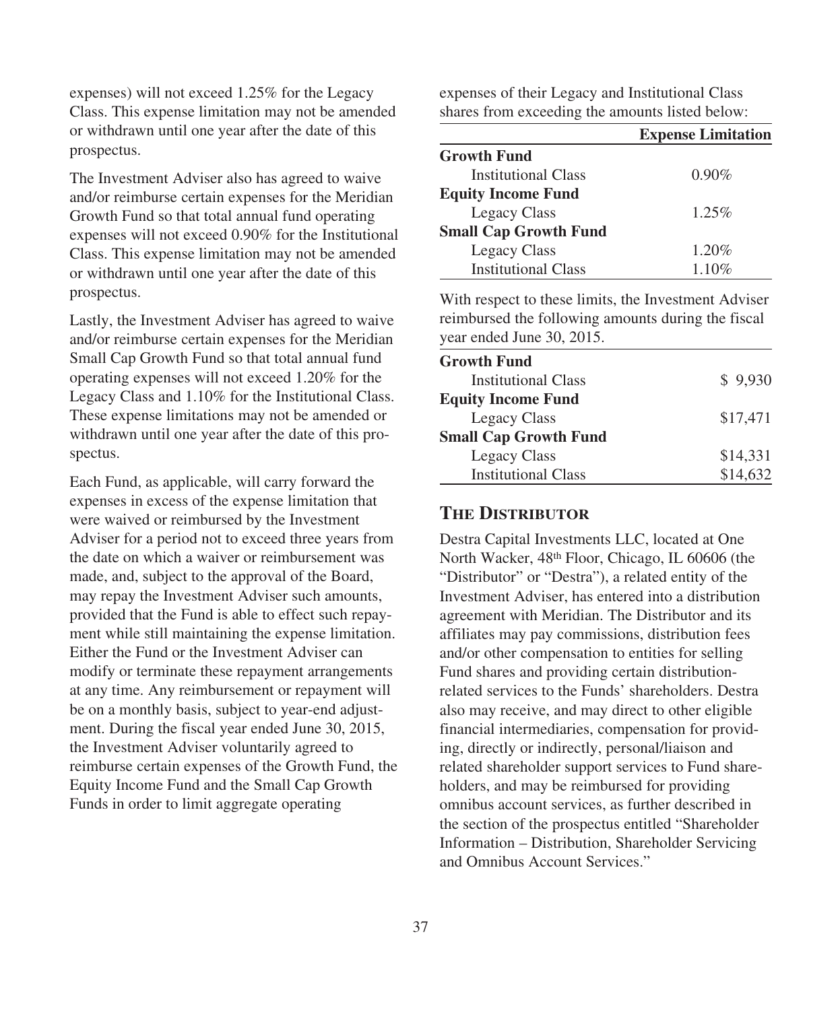expenses) will not exceed 1.25% for the Legacy Class. This expense limitation may not be amended or withdrawn until one year after the date of this prospectus.

The Investment Adviser also has agreed to waive and/or reimburse certain expenses for the Meridian Growth Fund so that total annual fund operating expenses will not exceed 0.90% for the Institutional Class. This expense limitation may not be amended or withdrawn until one year after the date of this prospectus.

Lastly, the Investment Adviser has agreed to waive and/or reimburse certain expenses for the Meridian Small Cap Growth Fund so that total annual fund operating expenses will not exceed 1.20% for the Legacy Class and 1.10% for the Institutional Class. These expense limitations may not be amended or withdrawn until one year after the date of this prospectus.

Each Fund, as applicable, will carry forward the expenses in excess of the expense limitation that were waived or reimbursed by the Investment Adviser for a period not to exceed three years from the date on which a waiver or reimbursement was made, and, subject to the approval of the Board, may repay the Investment Adviser such amounts, provided that the Fund is able to effect such repayment while still maintaining the expense limitation. Either the Fund or the Investment Adviser can modify or terminate these repayment arrangements at any time. Any reimbursement or repayment will be on a monthly basis, subject to year-end adjustment. During the fiscal year ended June 30, 2015, the Investment Adviser voluntarily agreed to reimburse certain expenses of the Growth Fund, the Equity Income Fund and the Small Cap Growth Funds in order to limit aggregate operating

expenses of their Legacy and Institutional Class shares from exceeding the amounts listed below:

|                              | <b>Expense Limitation</b> |
|------------------------------|---------------------------|
| <b>Growth Fund</b>           |                           |
| Institutional Class          | $0.90\%$                  |
| <b>Equity Income Fund</b>    |                           |
| Legacy Class                 | $1.25\%$                  |
| <b>Small Cap Growth Fund</b> |                           |
| Legacy Class                 | 1.20%                     |
| <b>Institutional Class</b>   | 1.10%                     |

With respect to these limits, the Investment Adviser reimbursed the following amounts during the fiscal year ended June 30, 2015.

| <b>Growth Fund</b>           |          |
|------------------------------|----------|
| <b>Institutional Class</b>   | \$9.930  |
| <b>Equity Income Fund</b>    |          |
| Legacy Class                 | \$17,471 |
| <b>Small Cap Growth Fund</b> |          |
| Legacy Class                 | \$14.331 |
| <b>Institutional Class</b>   | \$14,632 |

## **THE DISTRIBUTOR**

Destra Capital Investments LLC, located at One North Wacker, 48th Floor, Chicago, IL 60606 (the "Distributor" or "Destra"), a related entity of the Investment Adviser, has entered into a distribution agreement with Meridian. The Distributor and its affiliates may pay commissions, distribution fees and/or other compensation to entities for selling Fund shares and providing certain distributionrelated services to the Funds' shareholders. Destra also may receive, and may direct to other eligible financial intermediaries, compensation for providing, directly or indirectly, personal/liaison and related shareholder support services to Fund shareholders, and may be reimbursed for providing omnibus account services, as further described in the section of the prospectus entitled "Shareholder Information – Distribution, Shareholder Servicing and Omnibus Account Services."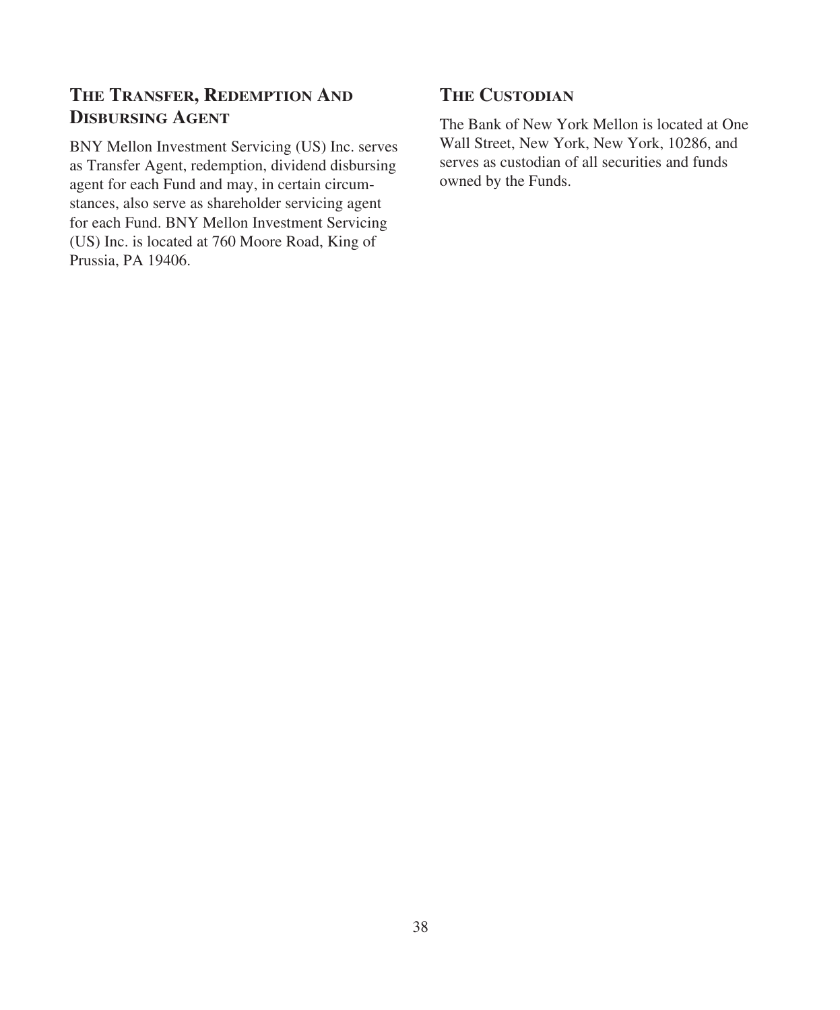# **THE TRANSFER, REDEMPTION AND DISBURSING AGENT**

BNY Mellon Investment Servicing (US) Inc. serves as Transfer Agent, redemption, dividend disbursing agent for each Fund and may, in certain circumstances, also serve as shareholder servicing agent for each Fund. BNY Mellon Investment Servicing (US) Inc. is located at 760 Moore Road, King of Prussia, PA 19406.

# **THE CUSTODIAN**

The Bank of New York Mellon is located at One Wall Street, New York, New York, 10286, and serves as custodian of all securities and funds owned by the Funds.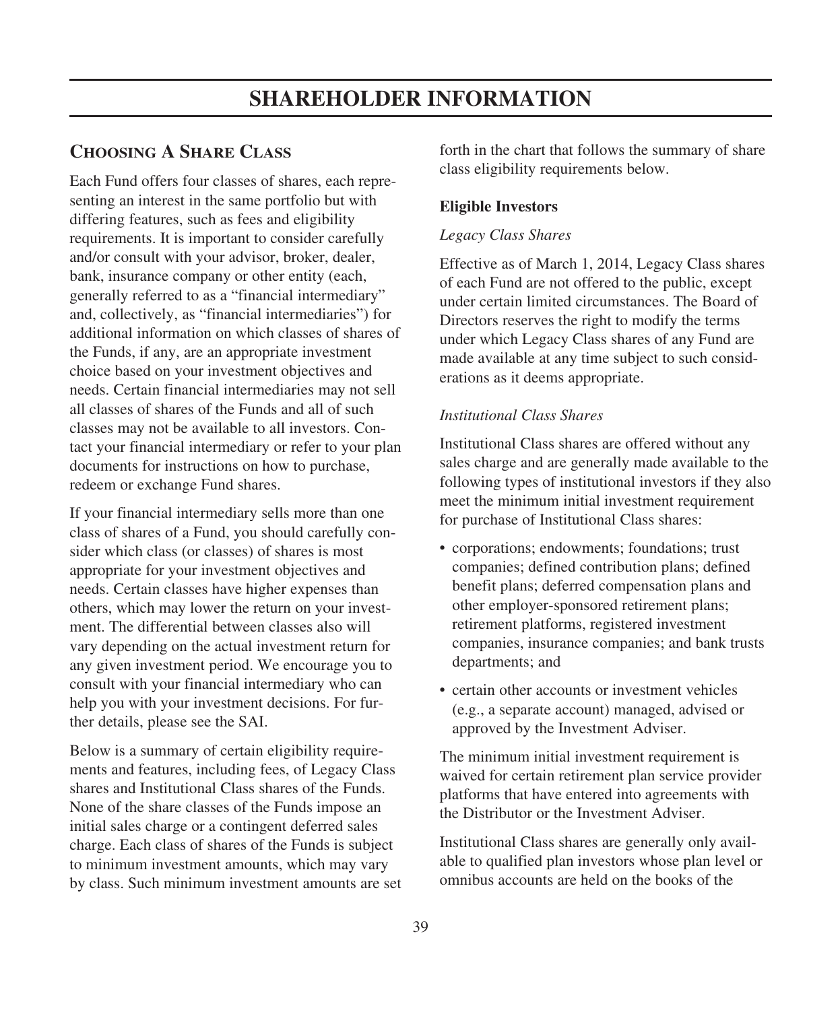## **CHOOSING A SHARE CLASS**

Each Fund offers four classes of shares, each representing an interest in the same portfolio but with differing features, such as fees and eligibility requirements. It is important to consider carefully and/or consult with your advisor, broker, dealer, bank, insurance company or other entity (each, generally referred to as a "financial intermediary" and, collectively, as "financial intermediaries") for additional information on which classes of shares of the Funds, if any, are an appropriate investment choice based on your investment objectives and needs. Certain financial intermediaries may not sell all classes of shares of the Funds and all of such classes may not be available to all investors. Contact your financial intermediary or refer to your plan documents for instructions on how to purchase, redeem or exchange Fund shares.

If your financial intermediary sells more than one class of shares of a Fund, you should carefully consider which class (or classes) of shares is most appropriate for your investment objectives and needs. Certain classes have higher expenses than others, which may lower the return on your investment. The differential between classes also will vary depending on the actual investment return for any given investment period. We encourage you to consult with your financial intermediary who can help you with your investment decisions. For further details, please see the SAI.

Below is a summary of certain eligibility requirements and features, including fees, of Legacy Class shares and Institutional Class shares of the Funds. None of the share classes of the Funds impose an initial sales charge or a contingent deferred sales charge. Each class of shares of the Funds is subject to minimum investment amounts, which may vary by class. Such minimum investment amounts are set forth in the chart that follows the summary of share class eligibility requirements below.

### **Eligible Investors**

#### *Legacy Class Shares*

Effective as of March 1, 2014, Legacy Class shares of each Fund are not offered to the public, except under certain limited circumstances. The Board of Directors reserves the right to modify the terms under which Legacy Class shares of any Fund are made available at any time subject to such considerations as it deems appropriate.

### *Institutional Class Shares*

Institutional Class shares are offered without any sales charge and are generally made available to the following types of institutional investors if they also meet the minimum initial investment requirement for purchase of Institutional Class shares:

- corporations; endowments; foundations; trust companies; defined contribution plans; defined benefit plans; deferred compensation plans and other employer-sponsored retirement plans; retirement platforms, registered investment companies, insurance companies; and bank trusts departments; and
- certain other accounts or investment vehicles (e.g., a separate account) managed, advised or approved by the Investment Adviser.

The minimum initial investment requirement is waived for certain retirement plan service provider platforms that have entered into agreements with the Distributor or the Investment Adviser.

Institutional Class shares are generally only available to qualified plan investors whose plan level or omnibus accounts are held on the books of the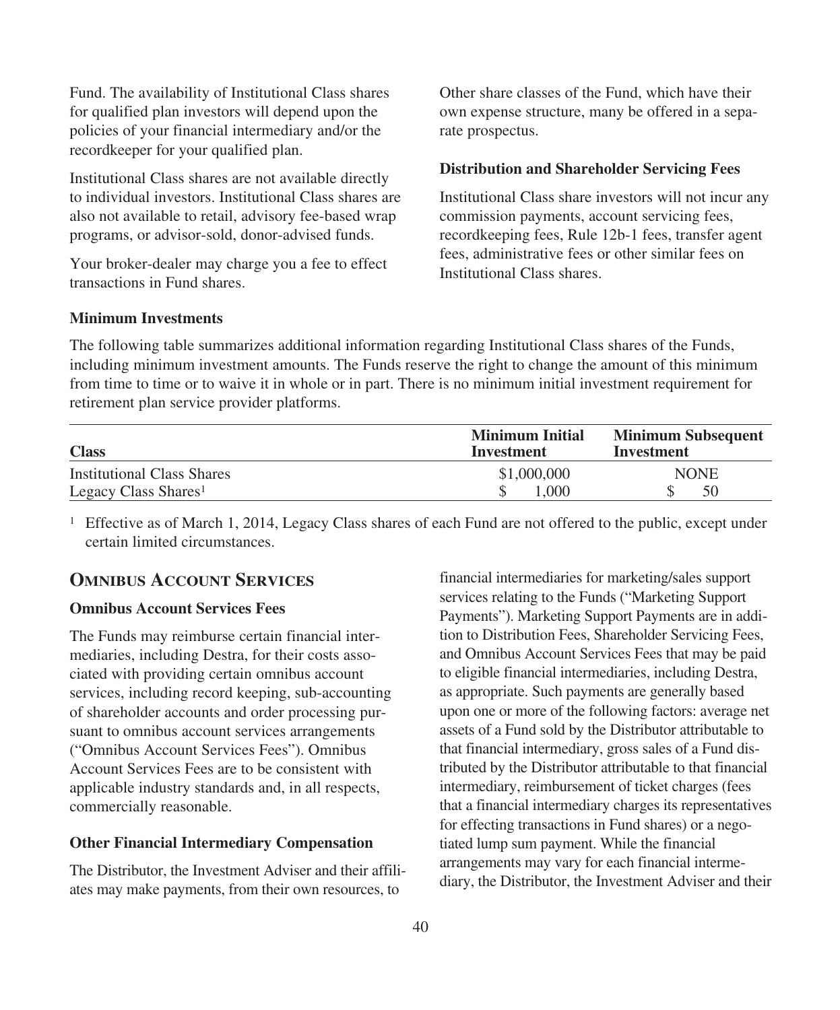Fund. The availability of Institutional Class shares for qualified plan investors will depend upon the policies of your financial intermediary and/or the recordkeeper for your qualified plan.

Institutional Class shares are not available directly to individual investors. Institutional Class shares are also not available to retail, advisory fee-based wrap programs, or advisor-sold, donor-advised funds.

Your broker-dealer may charge you a fee to effect transactions in Fund shares.

Other share classes of the Fund, which have their own expense structure, many be offered in a separate prospectus.

### **Distribution and Shareholder Servicing Fees**

Institutional Class share investors will not incur any commission payments, account servicing fees, recordkeeping fees, Rule 12b-1 fees, transfer agent fees, administrative fees or other similar fees on Institutional Class shares.

### **Minimum Investments**

The following table summarizes additional information regarding Institutional Class shares of the Funds, including minimum investment amounts. The Funds reserve the right to change the amount of this minimum from time to time or to waive it in whole or in part. There is no minimum initial investment requirement for retirement plan service provider platforms.

| <b>Class</b>                      | <b>Minimum Initial</b><br>Investment | <b>Minimum Subsequent</b><br>Investment |
|-----------------------------------|--------------------------------------|-----------------------------------------|
| <b>Institutional Class Shares</b> | \$1,000,000                          | <b>NONE</b>                             |
| Legacy Class Shares <sup>1</sup>  | .000                                 | 50                                      |

<sup>1</sup> Effective as of March 1, 2014, Legacy Class shares of each Fund are not offered to the public, except under certain limited circumstances.

### **OMNIBUS ACCOUNT SERVICES**

### **Omnibus Account Services Fees**

The Funds may reimburse certain financial intermediaries, including Destra, for their costs associated with providing certain omnibus account services, including record keeping, sub-accounting of shareholder accounts and order processing pursuant to omnibus account services arrangements ("Omnibus Account Services Fees"). Omnibus Account Services Fees are to be consistent with applicable industry standards and, in all respects, commercially reasonable.

### **Other Financial Intermediary Compensation**

The Distributor, the Investment Adviser and their affiliates may make payments, from their own resources, to

financial intermediaries for marketing/sales support services relating to the Funds ("Marketing Support Payments"). Marketing Support Payments are in addition to Distribution Fees, Shareholder Servicing Fees, and Omnibus Account Services Fees that may be paid to eligible financial intermediaries, including Destra, as appropriate. Such payments are generally based upon one or more of the following factors: average net assets of a Fund sold by the Distributor attributable to that financial intermediary, gross sales of a Fund distributed by the Distributor attributable to that financial intermediary, reimbursement of ticket charges (fees that a financial intermediary charges its representatives for effecting transactions in Fund shares) or a negotiated lump sum payment. While the financial arrangements may vary for each financial intermediary, the Distributor, the Investment Adviser and their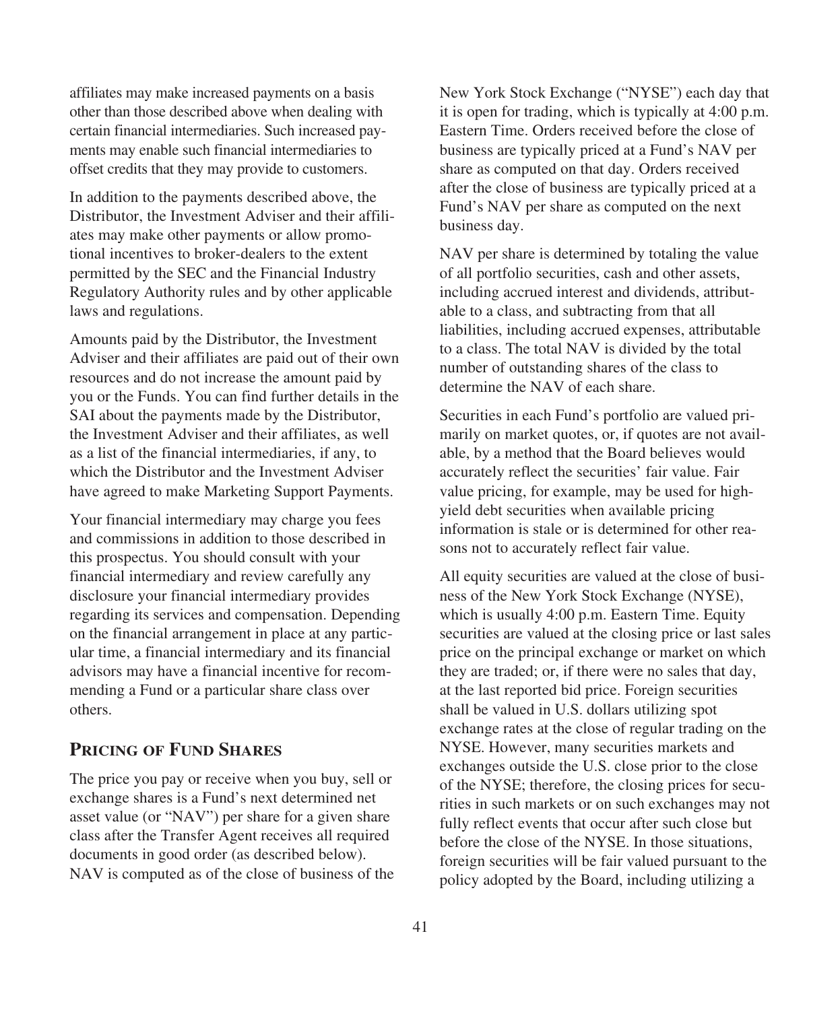affiliates may make increased payments on a basis other than those described above when dealing with certain financial intermediaries. Such increased payments may enable such financial intermediaries to offset credits that they may provide to customers.

In addition to the payments described above, the Distributor, the Investment Adviser and their affiliates may make other payments or allow promotional incentives to broker-dealers to the extent permitted by the SEC and the Financial Industry Regulatory Authority rules and by other applicable laws and regulations.

Amounts paid by the Distributor, the Investment Adviser and their affiliates are paid out of their own resources and do not increase the amount paid by you or the Funds. You can find further details in the SAI about the payments made by the Distributor, the Investment Adviser and their affiliates, as well as a list of the financial intermediaries, if any, to which the Distributor and the Investment Adviser have agreed to make Marketing Support Payments.

Your financial intermediary may charge you fees and commissions in addition to those described in this prospectus. You should consult with your financial intermediary and review carefully any disclosure your financial intermediary provides regarding its services and compensation. Depending on the financial arrangement in place at any particular time, a financial intermediary and its financial advisors may have a financial incentive for recommending a Fund or a particular share class over others.

### **PRICING OF FUND SHARES**

The price you pay or receive when you buy, sell or exchange shares is a Fund's next determined net asset value (or "NAV") per share for a given share class after the Transfer Agent receives all required documents in good order (as described below). NAV is computed as of the close of business of the New York Stock Exchange ("NYSE") each day that it is open for trading, which is typically at 4:00 p.m. Eastern Time. Orders received before the close of business are typically priced at a Fund's NAV per share as computed on that day. Orders received after the close of business are typically priced at a Fund's NAV per share as computed on the next business day.

NAV per share is determined by totaling the value of all portfolio securities, cash and other assets, including accrued interest and dividends, attributable to a class, and subtracting from that all liabilities, including accrued expenses, attributable to a class. The total NAV is divided by the total number of outstanding shares of the class to determine the NAV of each share.

Securities in each Fund's portfolio are valued primarily on market quotes, or, if quotes are not available, by a method that the Board believes would accurately reflect the securities' fair value. Fair value pricing, for example, may be used for highyield debt securities when available pricing information is stale or is determined for other reasons not to accurately reflect fair value.

All equity securities are valued at the close of business of the New York Stock Exchange (NYSE), which is usually 4:00 p.m. Eastern Time. Equity securities are valued at the closing price or last sales price on the principal exchange or market on which they are traded; or, if there were no sales that day, at the last reported bid price. Foreign securities shall be valued in U.S. dollars utilizing spot exchange rates at the close of regular trading on the NYSE. However, many securities markets and exchanges outside the U.S. close prior to the close of the NYSE; therefore, the closing prices for securities in such markets or on such exchanges may not fully reflect events that occur after such close but before the close of the NYSE. In those situations, foreign securities will be fair valued pursuant to the policy adopted by the Board, including utilizing a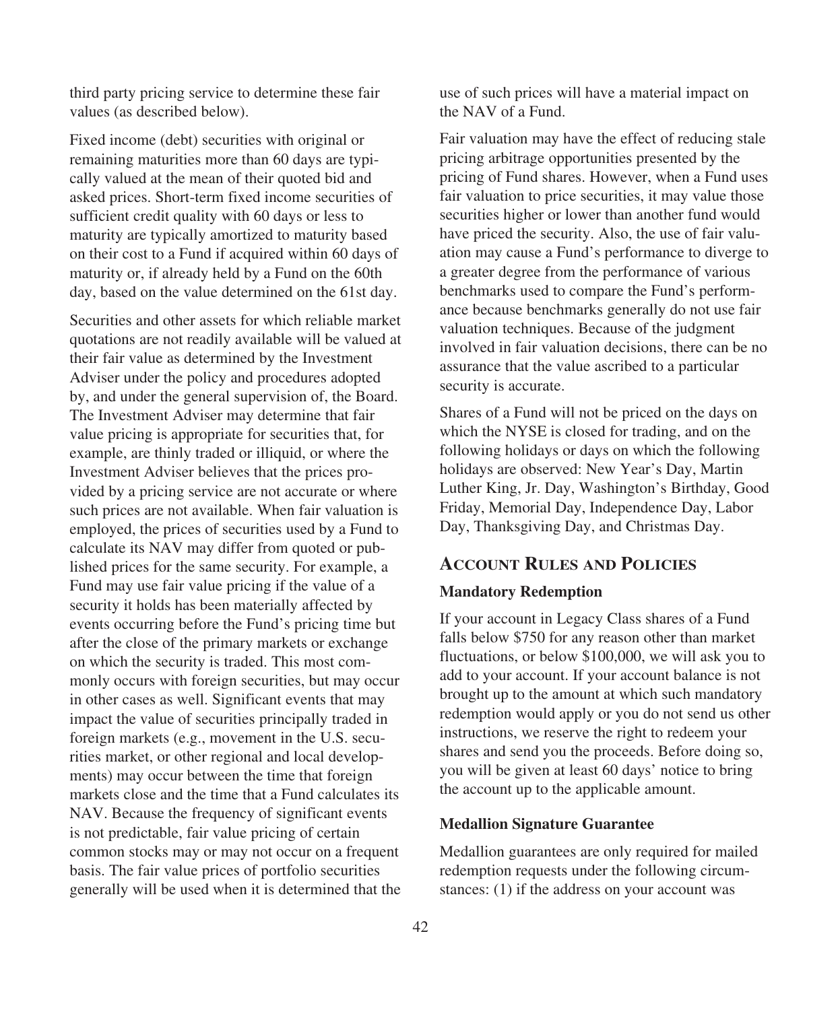third party pricing service to determine these fair values (as described below).

Fixed income (debt) securities with original or remaining maturities more than 60 days are typically valued at the mean of their quoted bid and asked prices. Short-term fixed income securities of sufficient credit quality with 60 days or less to maturity are typically amortized to maturity based on their cost to a Fund if acquired within 60 days of maturity or, if already held by a Fund on the 60th day, based on the value determined on the 61st day.

Securities and other assets for which reliable market quotations are not readily available will be valued at their fair value as determined by the Investment Adviser under the policy and procedures adopted by, and under the general supervision of, the Board. The Investment Adviser may determine that fair value pricing is appropriate for securities that, for example, are thinly traded or illiquid, or where the Investment Adviser believes that the prices provided by a pricing service are not accurate or where such prices are not available. When fair valuation is employed, the prices of securities used by a Fund to calculate its NAV may differ from quoted or published prices for the same security. For example, a Fund may use fair value pricing if the value of a security it holds has been materially affected by events occurring before the Fund's pricing time but after the close of the primary markets or exchange on which the security is traded. This most commonly occurs with foreign securities, but may occur in other cases as well. Significant events that may impact the value of securities principally traded in foreign markets (e.g., movement in the U.S. securities market, or other regional and local developments) may occur between the time that foreign markets close and the time that a Fund calculates its NAV. Because the frequency of significant events is not predictable, fair value pricing of certain common stocks may or may not occur on a frequent basis. The fair value prices of portfolio securities generally will be used when it is determined that the use of such prices will have a material impact on the NAV of a Fund.

Fair valuation may have the effect of reducing stale pricing arbitrage opportunities presented by the pricing of Fund shares. However, when a Fund uses fair valuation to price securities, it may value those securities higher or lower than another fund would have priced the security. Also, the use of fair valuation may cause a Fund's performance to diverge to a greater degree from the performance of various benchmarks used to compare the Fund's performance because benchmarks generally do not use fair valuation techniques. Because of the judgment involved in fair valuation decisions, there can be no assurance that the value ascribed to a particular security is accurate.

Shares of a Fund will not be priced on the days on which the NYSE is closed for trading, and on the following holidays or days on which the following holidays are observed: New Year's Day, Martin Luther King, Jr. Day, Washington's Birthday, Good Friday, Memorial Day, Independence Day, Labor Day, Thanksgiving Day, and Christmas Day.

# **ACCOUNT RULES AND POLICIES**

### **Mandatory Redemption**

If your account in Legacy Class shares of a Fund falls below \$750 for any reason other than market fluctuations, or below \$100,000, we will ask you to add to your account. If your account balance is not brought up to the amount at which such mandatory redemption would apply or you do not send us other instructions, we reserve the right to redeem your shares and send you the proceeds. Before doing so, you will be given at least 60 days' notice to bring the account up to the applicable amount.

### **Medallion Signature Guarantee**

Medallion guarantees are only required for mailed redemption requests under the following circumstances: (1) if the address on your account was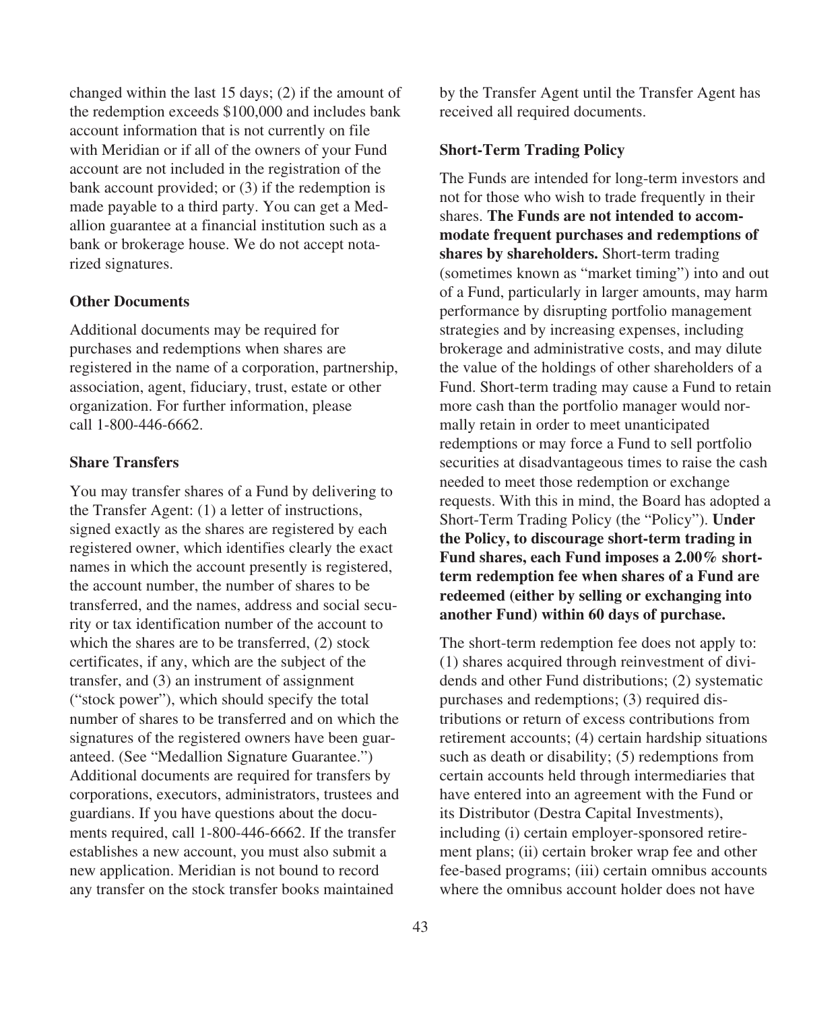changed within the last 15 days; (2) if the amount of the redemption exceeds \$100,000 and includes bank account information that is not currently on file with Meridian or if all of the owners of your Fund account are not included in the registration of the bank account provided; or (3) if the redemption is made payable to a third party. You can get a Medallion guarantee at a financial institution such as a bank or brokerage house. We do not accept notarized signatures.

### **Other Documents**

Additional documents may be required for purchases and redemptions when shares are registered in the name of a corporation, partnership, association, agent, fiduciary, trust, estate or other organization. For further information, please call 1-800-446-6662.

### **Share Transfers**

You may transfer shares of a Fund by delivering to the Transfer Agent: (1) a letter of instructions, signed exactly as the shares are registered by each registered owner, which identifies clearly the exact names in which the account presently is registered, the account number, the number of shares to be transferred, and the names, address and social security or tax identification number of the account to which the shares are to be transferred, (2) stock certificates, if any, which are the subject of the transfer, and (3) an instrument of assignment ("stock power"), which should specify the total number of shares to be transferred and on which the signatures of the registered owners have been guaranteed. (See "Medallion Signature Guarantee.") Additional documents are required for transfers by corporations, executors, administrators, trustees and guardians. If you have questions about the documents required, call 1-800-446-6662. If the transfer establishes a new account, you must also submit a new application. Meridian is not bound to record any transfer on the stock transfer books maintained

by the Transfer Agent until the Transfer Agent has received all required documents.

#### **Short-Term Trading Policy**

The Funds are intended for long-term investors and not for those who wish to trade frequently in their shares. **The Funds are not intended to accommodate frequent purchases and redemptions of shares by shareholders.** Short-term trading (sometimes known as "market timing") into and out of a Fund, particularly in larger amounts, may harm performance by disrupting portfolio management strategies and by increasing expenses, including brokerage and administrative costs, and may dilute the value of the holdings of other shareholders of a Fund. Short-term trading may cause a Fund to retain more cash than the portfolio manager would normally retain in order to meet unanticipated redemptions or may force a Fund to sell portfolio securities at disadvantageous times to raise the cash needed to meet those redemption or exchange requests. With this in mind, the Board has adopted a Short-Term Trading Policy (the "Policy"). **Under the Policy, to discourage short-term trading in Fund shares, each Fund imposes a 2.00% shortterm redemption fee when shares of a Fund are redeemed (either by selling or exchanging into another Fund) within 60 days of purchase.**

The short-term redemption fee does not apply to: (1) shares acquired through reinvestment of dividends and other Fund distributions; (2) systematic purchases and redemptions; (3) required distributions or return of excess contributions from retirement accounts; (4) certain hardship situations such as death or disability; (5) redemptions from certain accounts held through intermediaries that have entered into an agreement with the Fund or its Distributor (Destra Capital Investments), including (i) certain employer-sponsored retirement plans; (ii) certain broker wrap fee and other fee-based programs; (iii) certain omnibus accounts where the omnibus account holder does not have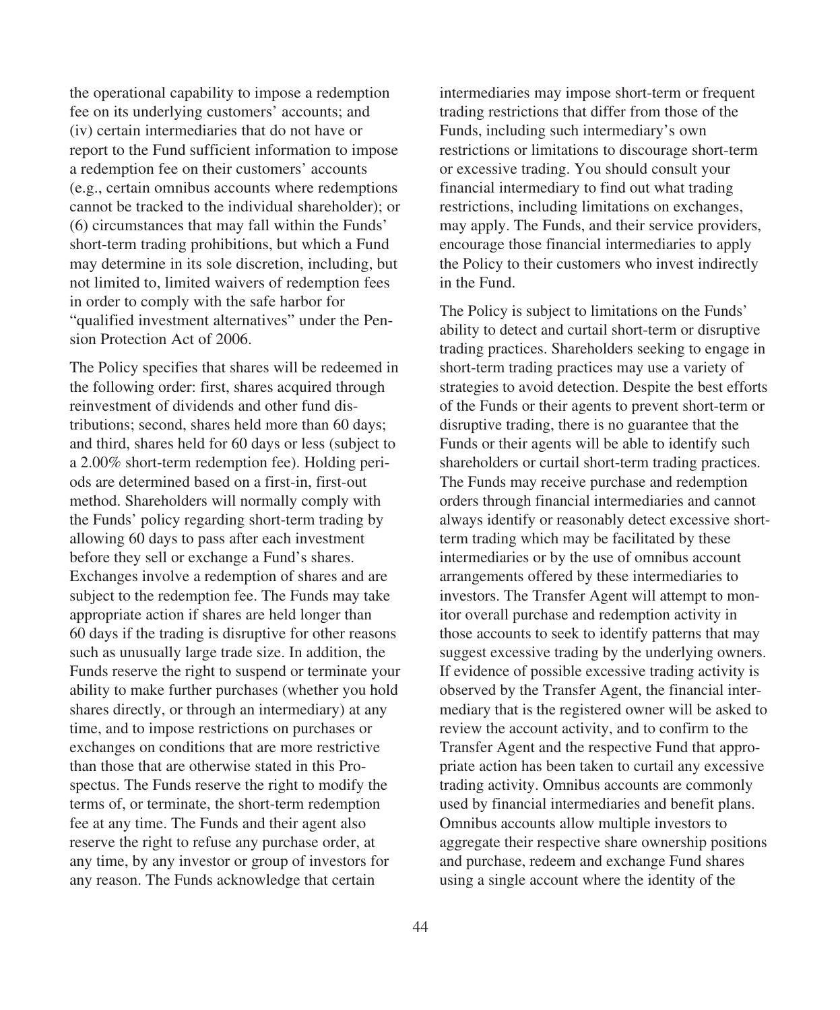the operational capability to impose a redemption fee on its underlying customers' accounts; and (iv) certain intermediaries that do not have or report to the Fund sufficient information to impose a redemption fee on their customers' accounts (e.g., certain omnibus accounts where redemptions cannot be tracked to the individual shareholder); or (6) circumstances that may fall within the Funds' short-term trading prohibitions, but which a Fund may determine in its sole discretion, including, but not limited to, limited waivers of redemption fees in order to comply with the safe harbor for "qualified investment alternatives" under the Pension Protection Act of 2006.

The Policy specifies that shares will be redeemed in the following order: first, shares acquired through reinvestment of dividends and other fund distributions; second, shares held more than 60 days; and third, shares held for 60 days or less (subject to a 2.00% short-term redemption fee). Holding periods are determined based on a first-in, first-out method. Shareholders will normally comply with the Funds' policy regarding short-term trading by allowing 60 days to pass after each investment before they sell or exchange a Fund's shares. Exchanges involve a redemption of shares and are subject to the redemption fee. The Funds may take appropriate action if shares are held longer than 60 days if the trading is disruptive for other reasons such as unusually large trade size. In addition, the Funds reserve the right to suspend or terminate your ability to make further purchases (whether you hold shares directly, or through an intermediary) at any time, and to impose restrictions on purchases or exchanges on conditions that are more restrictive than those that are otherwise stated in this Prospectus. The Funds reserve the right to modify the terms of, or terminate, the short-term redemption fee at any time. The Funds and their agent also reserve the right to refuse any purchase order, at any time, by any investor or group of investors for any reason. The Funds acknowledge that certain

44

intermediaries may impose short-term or frequent trading restrictions that differ from those of the Funds, including such intermediary's own restrictions or limitations to discourage short-term or excessive trading. You should consult your financial intermediary to find out what trading restrictions, including limitations on exchanges, may apply. The Funds, and their service providers, encourage those financial intermediaries to apply the Policy to their customers who invest indirectly in the Fund.

The Policy is subject to limitations on the Funds' ability to detect and curtail short-term or disruptive trading practices. Shareholders seeking to engage in short-term trading practices may use a variety of strategies to avoid detection. Despite the best efforts of the Funds or their agents to prevent short-term or disruptive trading, there is no guarantee that the Funds or their agents will be able to identify such shareholders or curtail short-term trading practices. The Funds may receive purchase and redemption orders through financial intermediaries and cannot always identify or reasonably detect excessive shortterm trading which may be facilitated by these intermediaries or by the use of omnibus account arrangements offered by these intermediaries to investors. The Transfer Agent will attempt to monitor overall purchase and redemption activity in those accounts to seek to identify patterns that may suggest excessive trading by the underlying owners. If evidence of possible excessive trading activity is observed by the Transfer Agent, the financial intermediary that is the registered owner will be asked to review the account activity, and to confirm to the Transfer Agent and the respective Fund that appropriate action has been taken to curtail any excessive trading activity. Omnibus accounts are commonly used by financial intermediaries and benefit plans. Omnibus accounts allow multiple investors to aggregate their respective share ownership positions and purchase, redeem and exchange Fund shares using a single account where the identity of the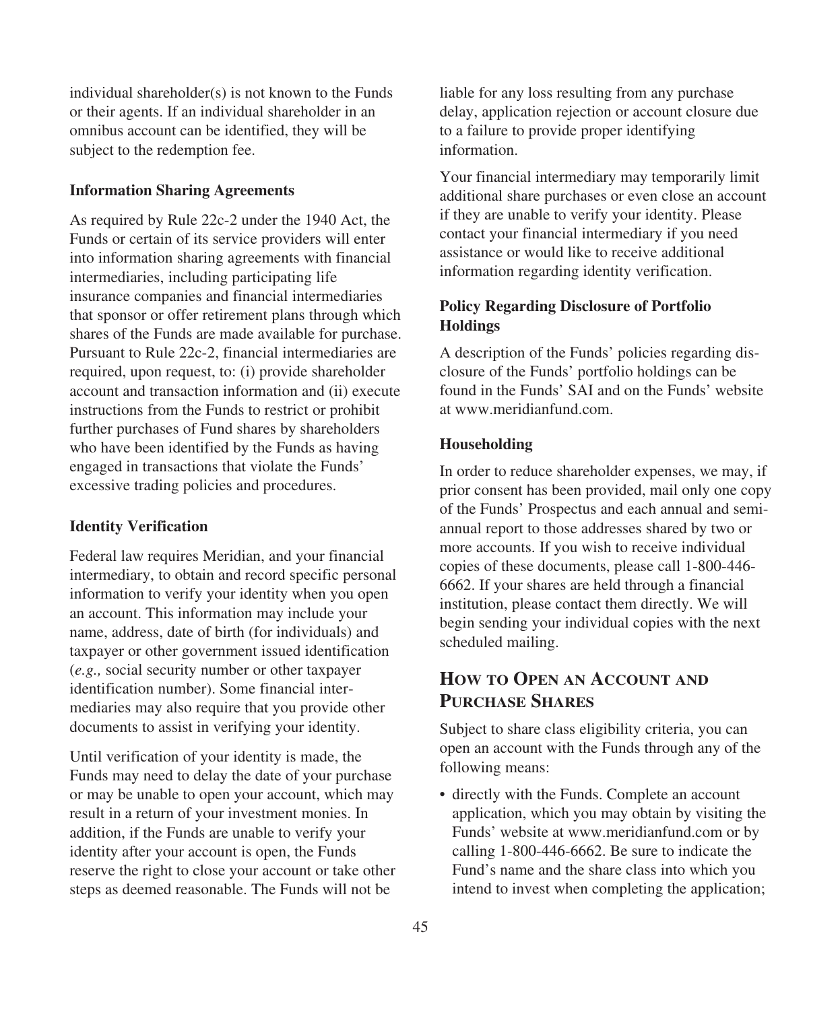individual shareholder(s) is not known to the Funds or their agents. If an individual shareholder in an omnibus account can be identified, they will be subject to the redemption fee.

#### **Information Sharing Agreements**

As required by Rule 22c-2 under the 1940 Act, the Funds or certain of its service providers will enter into information sharing agreements with financial intermediaries, including participating life insurance companies and financial intermediaries that sponsor or offer retirement plans through which shares of the Funds are made available for purchase. Pursuant to Rule 22c-2, financial intermediaries are required, upon request, to: (i) provide shareholder account and transaction information and (ii) execute instructions from the Funds to restrict or prohibit further purchases of Fund shares by shareholders who have been identified by the Funds as having engaged in transactions that violate the Funds' excessive trading policies and procedures.

### **Identity Verification**

Federal law requires Meridian, and your financial intermediary, to obtain and record specific personal information to verify your identity when you open an account. This information may include your name, address, date of birth (for individuals) and taxpayer or other government issued identification (*e.g.,* social security number or other taxpayer identification number). Some financial intermediaries may also require that you provide other documents to assist in verifying your identity.

Until verification of your identity is made, the Funds may need to delay the date of your purchase or may be unable to open your account, which may result in a return of your investment monies. In addition, if the Funds are unable to verify your identity after your account is open, the Funds reserve the right to close your account or take other steps as deemed reasonable. The Funds will not be

liable for any loss resulting from any purchase delay, application rejection or account closure due to a failure to provide proper identifying information.

Your financial intermediary may temporarily limit additional share purchases or even close an account if they are unable to verify your identity. Please contact your financial intermediary if you need assistance or would like to receive additional information regarding identity verification.

### **Policy Regarding Disclosure of Portfolio Holdings**

A description of the Funds' policies regarding disclosure of the Funds' portfolio holdings can be found in the Funds' SAI and on the Funds' website at www.meridianfund.com.

#### **Householding**

In order to reduce shareholder expenses, we may, if prior consent has been provided, mail only one copy of the Funds' Prospectus and each annual and semiannual report to those addresses shared by two or more accounts. If you wish to receive individual copies of these documents, please call 1-800-446- 6662. If your shares are held through a financial institution, please contact them directly. We will begin sending your individual copies with the next scheduled mailing.

## **HOW TO OPEN AN ACCOUNT AND PURCHASE SHARES**

Subject to share class eligibility criteria, you can open an account with the Funds through any of the following means:

• directly with the Funds. Complete an account application, which you may obtain by visiting the Funds' website at www.meridianfund.com or by calling 1-800-446-6662. Be sure to indicate the Fund's name and the share class into which you intend to invest when completing the application;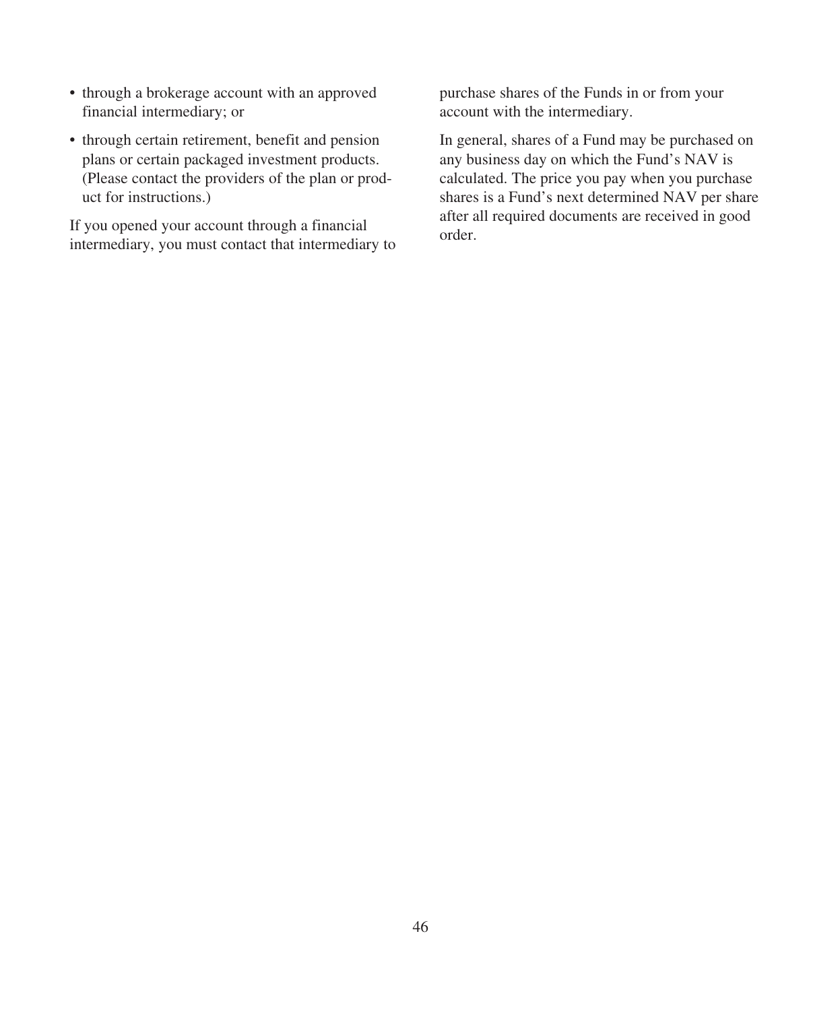- through a brokerage account with an approved financial intermediary; or
- through certain retirement, benefit and pension plans or certain packaged investment products. (Please contact the providers of the plan or product for instructions.)

If you opened your account through a financial intermediary, you must contact that intermediary to

purchase shares of the Funds in or from your account with the intermediary.

In general, shares of a Fund may be purchased on any business day on which the Fund's NAV is calculated. The price you pay when you purchase shares is a Fund's next determined NAV per share after all required documents are received in good order.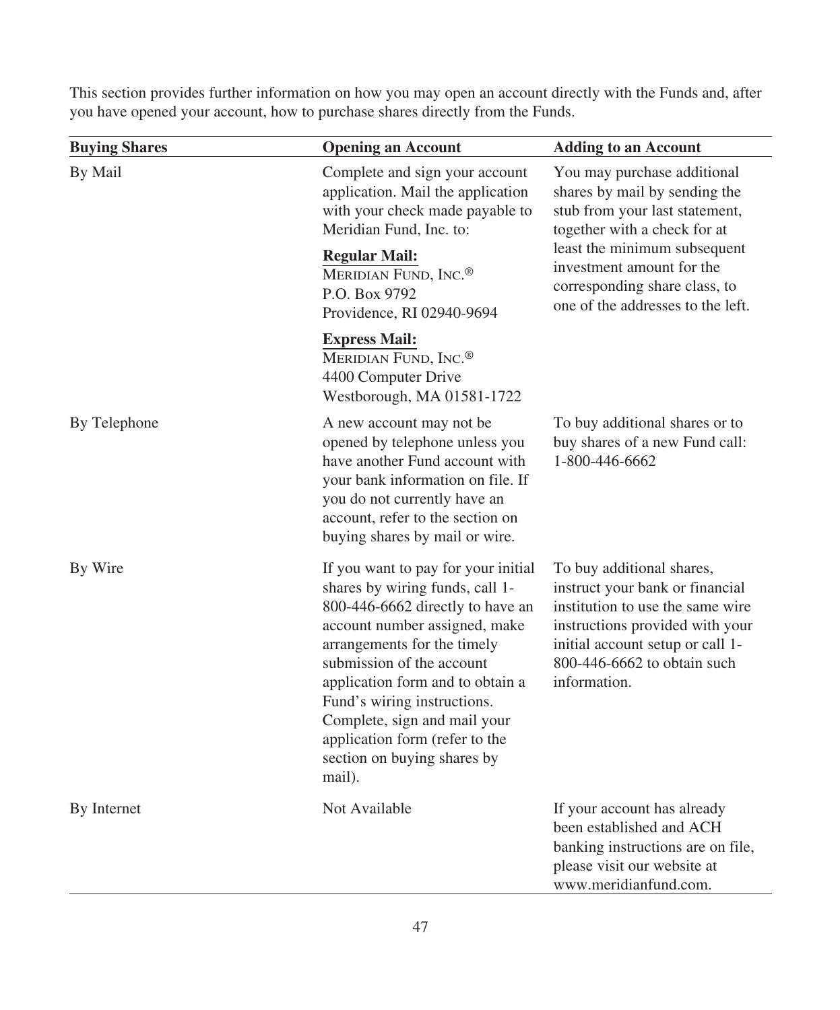This section provides further information on how you may open an account directly with the Funds and, after you have opened your account, how to purchase shares directly from the Funds.

| <b>Buying Shares</b> | <b>Opening an Account</b>                                                                                                                                                                                                                                                                                                                                                             | <b>Adding to an Account</b>                                                                                                                                                                                                                                       |  |  |  |
|----------------------|---------------------------------------------------------------------------------------------------------------------------------------------------------------------------------------------------------------------------------------------------------------------------------------------------------------------------------------------------------------------------------------|-------------------------------------------------------------------------------------------------------------------------------------------------------------------------------------------------------------------------------------------------------------------|--|--|--|
| By Mail              | Complete and sign your account<br>application. Mail the application<br>with your check made payable to<br>Meridian Fund, Inc. to:<br><b>Regular Mail:</b><br>MERIDIAN FUND, INC. <sup>®</sup><br>P.O. Box 9792<br>Providence, RI 02940-9694                                                                                                                                           | You may purchase additional<br>shares by mail by sending the<br>stub from your last statement,<br>together with a check for at<br>least the minimum subsequent<br>investment amount for the<br>corresponding share class, to<br>one of the addresses to the left. |  |  |  |
|                      | <b>Express Mail:</b><br>MERIDIAN FUND, INC. <sup>®</sup><br>4400 Computer Drive<br>Westborough, MA 01581-1722                                                                                                                                                                                                                                                                         |                                                                                                                                                                                                                                                                   |  |  |  |
| By Telephone         | A new account may not be<br>opened by telephone unless you<br>have another Fund account with<br>your bank information on file. If<br>you do not currently have an<br>account, refer to the section on<br>buying shares by mail or wire.                                                                                                                                               | To buy additional shares or to<br>buy shares of a new Fund call:<br>1-800-446-6662                                                                                                                                                                                |  |  |  |
| By Wire              | If you want to pay for your initial<br>shares by wiring funds, call 1-<br>800-446-6662 directly to have an<br>account number assigned, make<br>arrangements for the timely<br>submission of the account<br>application form and to obtain a<br>Fund's wiring instructions.<br>Complete, sign and mail your<br>application form (refer to the<br>section on buying shares by<br>mail). | To buy additional shares,<br>instruct your bank or financial<br>institution to use the same wire<br>instructions provided with your<br>initial account setup or call 1-<br>800-446-6662 to obtain such<br>information.                                            |  |  |  |
| By Internet          | Not Available                                                                                                                                                                                                                                                                                                                                                                         | If your account has already<br>been established and ACH<br>banking instructions are on file,<br>please visit our website at<br>www.meridianfund.com.                                                                                                              |  |  |  |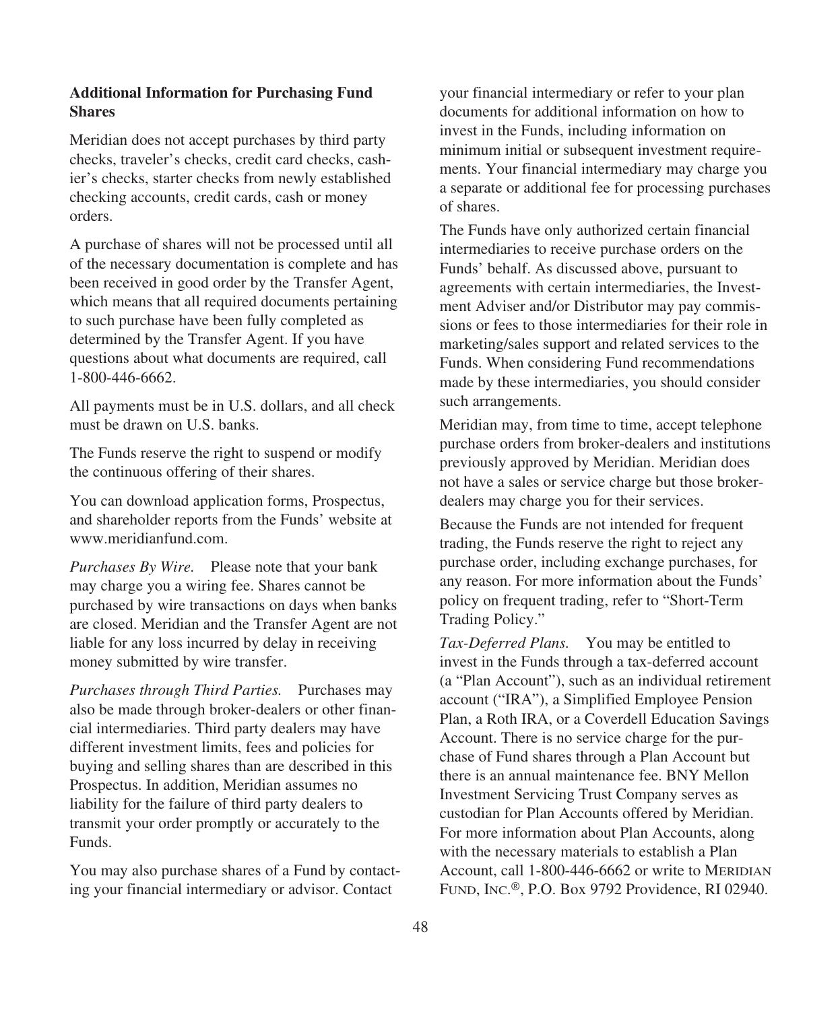### **Additional Information for Purchasing Fund Shares**

Meridian does not accept purchases by third party checks, traveler's checks, credit card checks, cashier's checks, starter checks from newly established checking accounts, credit cards, cash or money orders.

A purchase of shares will not be processed until all of the necessary documentation is complete and has been received in good order by the Transfer Agent, which means that all required documents pertaining to such purchase have been fully completed as determined by the Transfer Agent. If you have questions about what documents are required, call 1-800-446-6662.

All payments must be in U.S. dollars, and all check must be drawn on U.S. banks.

The Funds reserve the right to suspend or modify the continuous offering of their shares.

You can download application forms, Prospectus, and shareholder reports from the Funds' website at www.meridianfund.com.

*Purchases By Wire.* Please note that your bank may charge you a wiring fee. Shares cannot be purchased by wire transactions on days when banks are closed. Meridian and the Transfer Agent are not liable for any loss incurred by delay in receiving money submitted by wire transfer.

*Purchases through Third Parties.* Purchases may also be made through broker-dealers or other financial intermediaries. Third party dealers may have different investment limits, fees and policies for buying and selling shares than are described in this Prospectus. In addition, Meridian assumes no liability for the failure of third party dealers to transmit your order promptly or accurately to the Funds.

You may also purchase shares of a Fund by contacting your financial intermediary or advisor. Contact

your financial intermediary or refer to your plan documents for additional information on how to invest in the Funds, including information on minimum initial or subsequent investment requirements. Your financial intermediary may charge you a separate or additional fee for processing purchases of shares.

The Funds have only authorized certain financial intermediaries to receive purchase orders on the Funds' behalf. As discussed above, pursuant to agreements with certain intermediaries, the Investment Adviser and/or Distributor may pay commissions or fees to those intermediaries for their role in marketing/sales support and related services to the Funds. When considering Fund recommendations made by these intermediaries, you should consider such arrangements.

Meridian may, from time to time, accept telephone purchase orders from broker-dealers and institutions previously approved by Meridian. Meridian does not have a sales or service charge but those brokerdealers may charge you for their services.

Because the Funds are not intended for frequent trading, the Funds reserve the right to reject any purchase order, including exchange purchases, for any reason. For more information about the Funds' policy on frequent trading, refer to "Short-Term Trading Policy."

*Tax-Deferred Plans.* You may be entitled to invest in the Funds through a tax-deferred account (a "Plan Account"), such as an individual retirement account ("IRA"), a Simplified Employee Pension Plan, a Roth IRA, or a Coverdell Education Savings Account. There is no service charge for the purchase of Fund shares through a Plan Account but there is an annual maintenance fee. BNY Mellon Investment Servicing Trust Company serves as custodian for Plan Accounts offered by Meridian. For more information about Plan Accounts, along with the necessary materials to establish a Plan Account, call 1-800-446-6662 or write to MERIDIAN FUND, INC.®, P.O. Box 9792 Providence, RI 02940.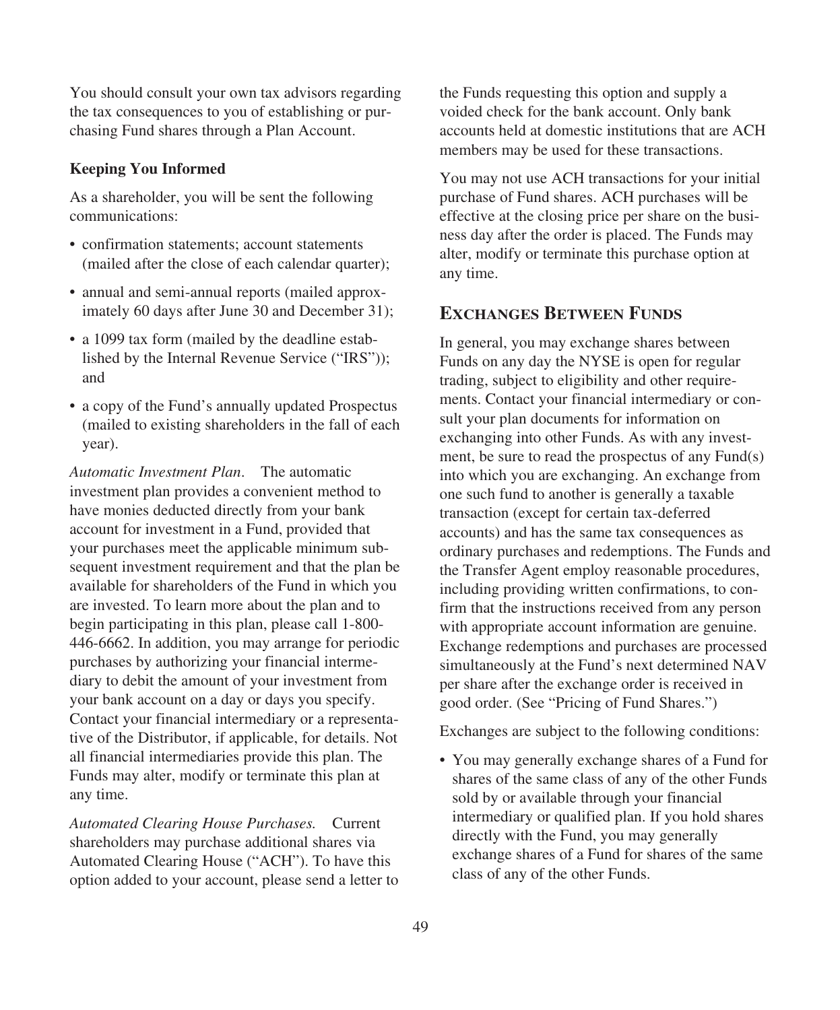You should consult your own tax advisors regarding the tax consequences to you of establishing or purchasing Fund shares through a Plan Account.

### **Keeping You Informed**

As a shareholder, you will be sent the following communications:

- confirmation statements; account statements (mailed after the close of each calendar quarter);
- annual and semi-annual reports (mailed approximately 60 days after June 30 and December 31);
- a 1099 tax form (mailed by the deadline established by the Internal Revenue Service ("IRS")); and
- a copy of the Fund's annually updated Prospectus (mailed to existing shareholders in the fall of each year).

*Automatic Investment Plan*. The automatic investment plan provides a convenient method to have monies deducted directly from your bank account for investment in a Fund, provided that your purchases meet the applicable minimum subsequent investment requirement and that the plan be available for shareholders of the Fund in which you are invested. To learn more about the plan and to begin participating in this plan, please call 1-800- 446-6662. In addition, you may arrange for periodic purchases by authorizing your financial intermediary to debit the amount of your investment from your bank account on a day or days you specify. Contact your financial intermediary or a representative of the Distributor, if applicable, for details. Not all financial intermediaries provide this plan. The Funds may alter, modify or terminate this plan at any time.

*Automated Clearing House Purchases.* Current shareholders may purchase additional shares via Automated Clearing House ("ACH"). To have this option added to your account, please send a letter to the Funds requesting this option and supply a voided check for the bank account. Only bank accounts held at domestic institutions that are ACH members may be used for these transactions.

You may not use ACH transactions for your initial purchase of Fund shares. ACH purchases will be effective at the closing price per share on the business day after the order is placed. The Funds may alter, modify or terminate this purchase option at any time.

## **EXCHANGES BETWEEN FUNDS**

In general, you may exchange shares between Funds on any day the NYSE is open for regular trading, subject to eligibility and other requirements. Contact your financial intermediary or consult your plan documents for information on exchanging into other Funds. As with any investment, be sure to read the prospectus of any Fund(s) into which you are exchanging. An exchange from one such fund to another is generally a taxable transaction (except for certain tax-deferred accounts) and has the same tax consequences as ordinary purchases and redemptions. The Funds and the Transfer Agent employ reasonable procedures, including providing written confirmations, to confirm that the instructions received from any person with appropriate account information are genuine. Exchange redemptions and purchases are processed simultaneously at the Fund's next determined NAV per share after the exchange order is received in good order. (See "Pricing of Fund Shares.")

Exchanges are subject to the following conditions:

• You may generally exchange shares of a Fund for shares of the same class of any of the other Funds sold by or available through your financial intermediary or qualified plan. If you hold shares directly with the Fund, you may generally exchange shares of a Fund for shares of the same class of any of the other Funds.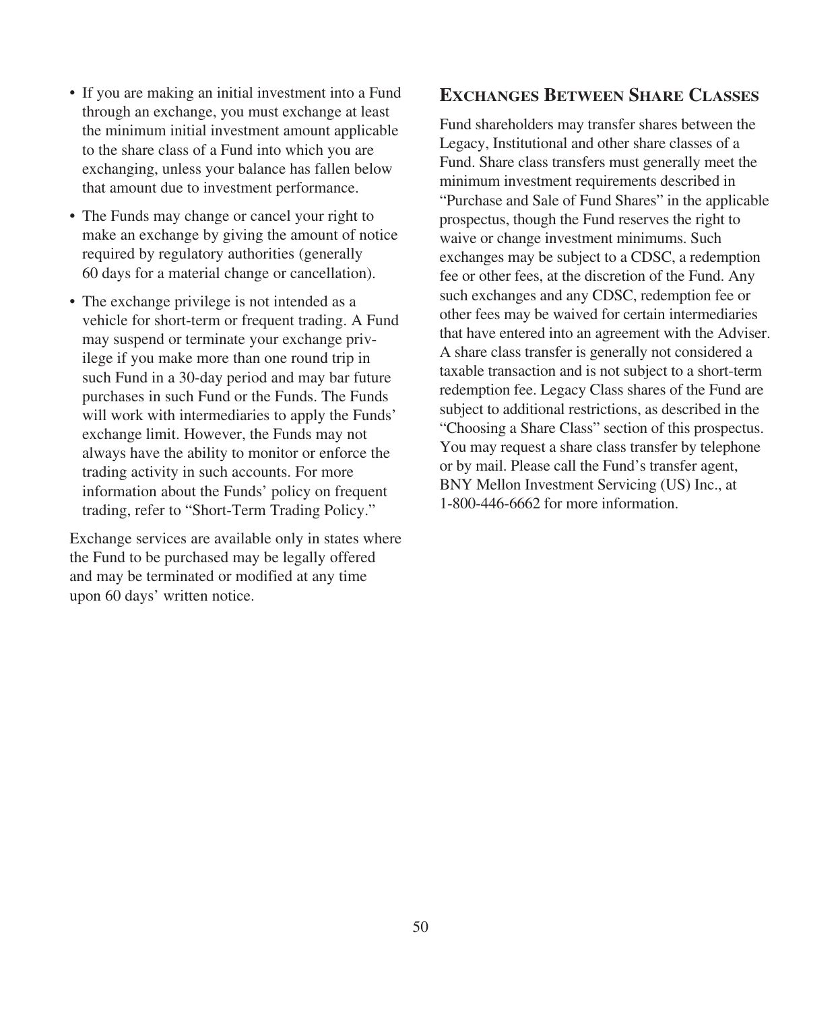- If you are making an initial investment into a Fund through an exchange, you must exchange at least the minimum initial investment amount applicable to the share class of a Fund into which you are exchanging, unless your balance has fallen below that amount due to investment performance.
- The Funds may change or cancel your right to make an exchange by giving the amount of notice required by regulatory authorities (generally 60 days for a material change or cancellation).
- The exchange privilege is not intended as a vehicle for short-term or frequent trading. A Fund may suspend or terminate your exchange privilege if you make more than one round trip in such Fund in a 30-day period and may bar future purchases in such Fund or the Funds. The Funds will work with intermediaries to apply the Funds' exchange limit. However, the Funds may not always have the ability to monitor or enforce the trading activity in such accounts. For more information about the Funds' policy on frequent trading, refer to "Short-Term Trading Policy."

Exchange services are available only in states where the Fund to be purchased may be legally offered and may be terminated or modified at any time upon 60 days' written notice.

## **EXCHANGES BETWEEN SHARE CLASSES**

Fund shareholders may transfer shares between the Legacy, Institutional and other share classes of a Fund. Share class transfers must generally meet the minimum investment requirements described in "Purchase and Sale of Fund Shares" in the applicable prospectus, though the Fund reserves the right to waive or change investment minimums. Such exchanges may be subject to a CDSC, a redemption fee or other fees, at the discretion of the Fund. Any such exchanges and any CDSC, redemption fee or other fees may be waived for certain intermediaries that have entered into an agreement with the Adviser. A share class transfer is generally not considered a taxable transaction and is not subject to a short-term redemption fee. Legacy Class shares of the Fund are subject to additional restrictions, as described in the "Choosing a Share Class" section of this prospectus. You may request a share class transfer by telephone or by mail. Please call the Fund's transfer agent, BNY Mellon Investment Servicing (US) Inc., at 1-800-446-6662 for more information.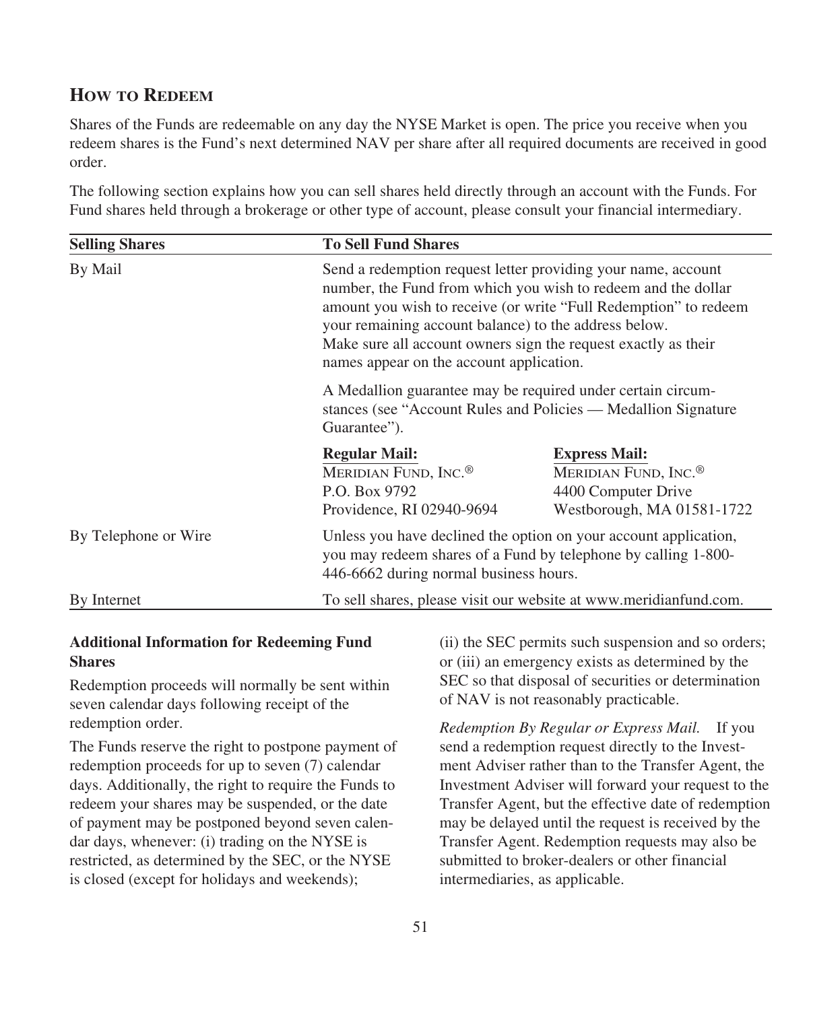## **HOW TO REDEEM**

Shares of the Funds are redeemable on any day the NYSE Market is open. The price you receive when you redeem shares is the Fund's next determined NAV per share after all required documents are received in good order.

The following section explains how you can sell shares held directly through an account with the Funds. For Fund shares held through a brokerage or other type of account, please consult your financial intermediary.

| <b>Selling Shares</b> | <b>To Sell Fund Shares</b>                                                                             |                                                                                                                                                                                                                                                                                                                                                                           |  |  |  |  |  |
|-----------------------|--------------------------------------------------------------------------------------------------------|---------------------------------------------------------------------------------------------------------------------------------------------------------------------------------------------------------------------------------------------------------------------------------------------------------------------------------------------------------------------------|--|--|--|--|--|
| By Mail               |                                                                                                        | Send a redemption request letter providing your name, account<br>number, the Fund from which you wish to redeem and the dollar<br>amount you wish to receive (or write "Full Redemption" to redeem<br>your remaining account balance) to the address below.<br>Make sure all account owners sign the request exactly as their<br>names appear on the account application. |  |  |  |  |  |
|                       | A Medallion guarantee may be required under certain circum-<br>Guarantee").                            | stances (see "Account Rules and Policies — Medallion Signature                                                                                                                                                                                                                                                                                                            |  |  |  |  |  |
|                       | <b>Regular Mail:</b><br>MERIDIAN FUND, INC. <sup>®</sup><br>P.O. Box 9792<br>Providence, RI 02940-9694 | <b>Express Mail:</b><br>MERIDIAN FUND, INC. <sup>®</sup><br>4400 Computer Drive<br>Westborough, MA 01581-1722                                                                                                                                                                                                                                                             |  |  |  |  |  |
| By Telephone or Wire  |                                                                                                        | Unless you have declined the option on your account application,<br>you may redeem shares of a Fund by telephone by calling 1-800-<br>446-6662 during normal business hours.                                                                                                                                                                                              |  |  |  |  |  |
| By Internet           |                                                                                                        | To sell shares, please visit our website at www.meridianfund.com.                                                                                                                                                                                                                                                                                                         |  |  |  |  |  |

### **Additional Information for Redeeming Fund Shares**

Redemption proceeds will normally be sent within seven calendar days following receipt of the redemption order.

The Funds reserve the right to postpone payment of redemption proceeds for up to seven (7) calendar days. Additionally, the right to require the Funds to redeem your shares may be suspended, or the date of payment may be postponed beyond seven calendar days, whenever: (i) trading on the NYSE is restricted, as determined by the SEC, or the NYSE is closed (except for holidays and weekends);

(ii) the SEC permits such suspension and so orders; or (iii) an emergency exists as determined by the SEC so that disposal of securities or determination of NAV is not reasonably practicable.

*Redemption By Regular or Express Mail.* If you send a redemption request directly to the Investment Adviser rather than to the Transfer Agent, the Investment Adviser will forward your request to the Transfer Agent, but the effective date of redemption may be delayed until the request is received by the Transfer Agent. Redemption requests may also be submitted to broker-dealers or other financial intermediaries, as applicable.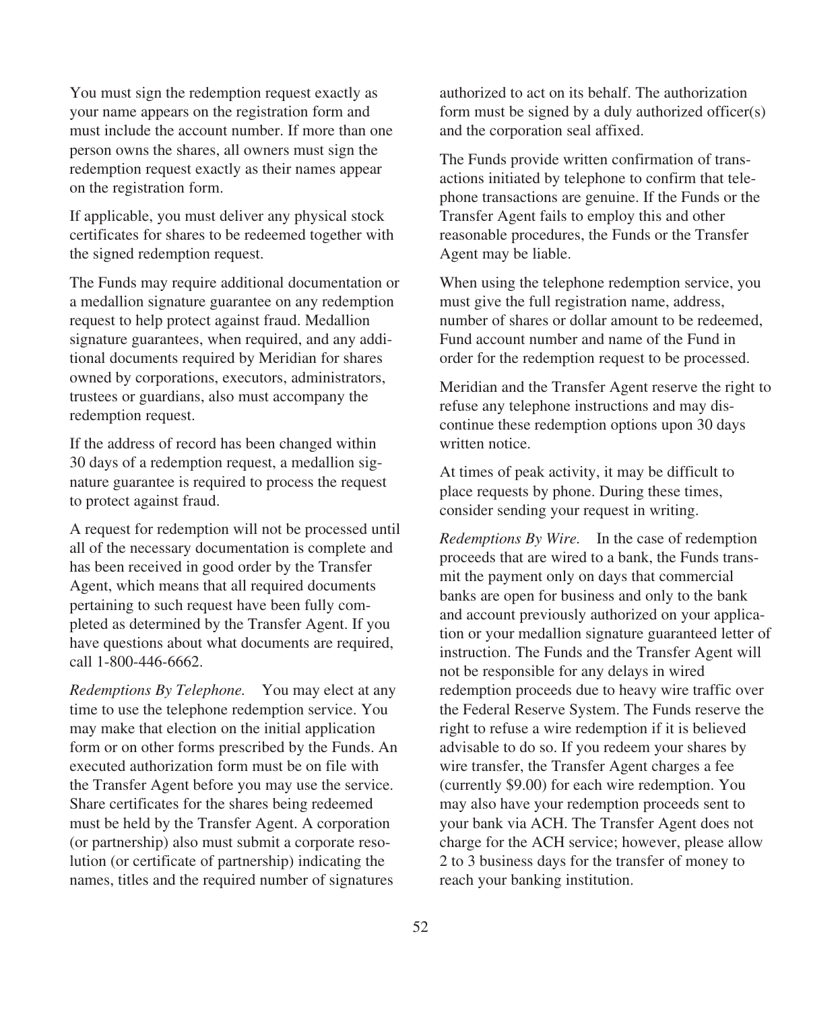You must sign the redemption request exactly as your name appears on the registration form and must include the account number. If more than one person owns the shares, all owners must sign the redemption request exactly as their names appear on the registration form.

If applicable, you must deliver any physical stock certificates for shares to be redeemed together with the signed redemption request.

The Funds may require additional documentation or a medallion signature guarantee on any redemption request to help protect against fraud. Medallion signature guarantees, when required, and any additional documents required by Meridian for shares owned by corporations, executors, administrators, trustees or guardians, also must accompany the redemption request.

If the address of record has been changed within 30 days of a redemption request, a medallion signature guarantee is required to process the request to protect against fraud.

A request for redemption will not be processed until all of the necessary documentation is complete and has been received in good order by the Transfer Agent, which means that all required documents pertaining to such request have been fully completed as determined by the Transfer Agent. If you have questions about what documents are required, call 1-800-446-6662.

*Redemptions By Telephone.* You may elect at any time to use the telephone redemption service. You may make that election on the initial application form or on other forms prescribed by the Funds. An executed authorization form must be on file with the Transfer Agent before you may use the service. Share certificates for the shares being redeemed must be held by the Transfer Agent. A corporation (or partnership) also must submit a corporate resolution (or certificate of partnership) indicating the names, titles and the required number of signatures

authorized to act on its behalf. The authorization form must be signed by a duly authorized officer(s) and the corporation seal affixed.

The Funds provide written confirmation of transactions initiated by telephone to confirm that telephone transactions are genuine. If the Funds or the Transfer Agent fails to employ this and other reasonable procedures, the Funds or the Transfer Agent may be liable.

When using the telephone redemption service, you must give the full registration name, address, number of shares or dollar amount to be redeemed. Fund account number and name of the Fund in order for the redemption request to be processed.

Meridian and the Transfer Agent reserve the right to refuse any telephone instructions and may discontinue these redemption options upon 30 days written notice.

At times of peak activity, it may be difficult to place requests by phone. During these times, consider sending your request in writing.

*Redemptions By Wire.* In the case of redemption proceeds that are wired to a bank, the Funds transmit the payment only on days that commercial banks are open for business and only to the bank and account previously authorized on your application or your medallion signature guaranteed letter of instruction. The Funds and the Transfer Agent will not be responsible for any delays in wired redemption proceeds due to heavy wire traffic over the Federal Reserve System. The Funds reserve the right to refuse a wire redemption if it is believed advisable to do so. If you redeem your shares by wire transfer, the Transfer Agent charges a fee (currently \$9.00) for each wire redemption. You may also have your redemption proceeds sent to your bank via ACH. The Transfer Agent does not charge for the ACH service; however, please allow 2 to 3 business days for the transfer of money to reach your banking institution.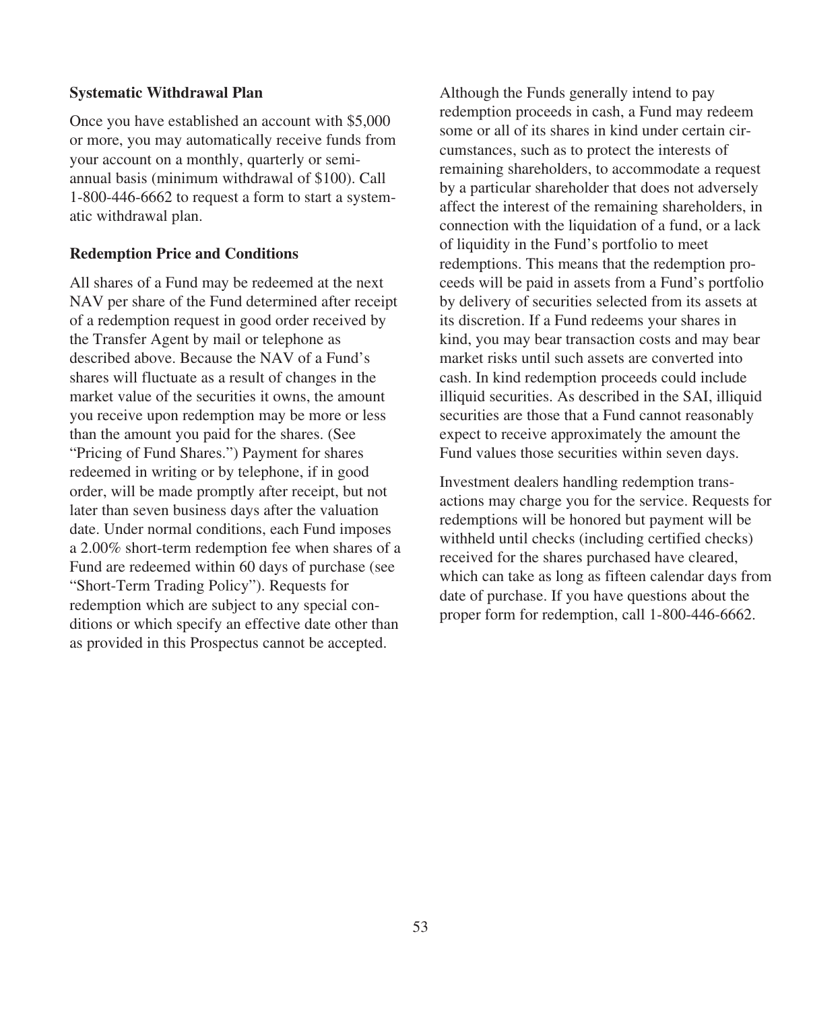### **Systematic Withdrawal Plan**

Once you have established an account with \$5,000 or more, you may automatically receive funds from your account on a monthly, quarterly or semiannual basis (minimum withdrawal of \$100). Call 1-800-446-6662 to request a form to start a systematic withdrawal plan.

### **Redemption Price and Conditions**

All shares of a Fund may be redeemed at the next NAV per share of the Fund determined after receipt of a redemption request in good order received by the Transfer Agent by mail or telephone as described above. Because the NAV of a Fund's shares will fluctuate as a result of changes in the market value of the securities it owns, the amount you receive upon redemption may be more or less than the amount you paid for the shares. (See "Pricing of Fund Shares.") Payment for shares redeemed in writing or by telephone, if in good order, will be made promptly after receipt, but not later than seven business days after the valuation date. Under normal conditions, each Fund imposes a 2.00% short-term redemption fee when shares of a Fund are redeemed within 60 days of purchase (see "Short-Term Trading Policy"). Requests for redemption which are subject to any special conditions or which specify an effective date other than as provided in this Prospectus cannot be accepted.

Although the Funds generally intend to pay redemption proceeds in cash, a Fund may redeem some or all of its shares in kind under certain circumstances, such as to protect the interests of remaining shareholders, to accommodate a request by a particular shareholder that does not adversely affect the interest of the remaining shareholders, in connection with the liquidation of a fund, or a lack of liquidity in the Fund's portfolio to meet redemptions. This means that the redemption proceeds will be paid in assets from a Fund's portfolio by delivery of securities selected from its assets at its discretion. If a Fund redeems your shares in kind, you may bear transaction costs and may bear market risks until such assets are converted into cash. In kind redemption proceeds could include illiquid securities. As described in the SAI, illiquid securities are those that a Fund cannot reasonably expect to receive approximately the amount the Fund values those securities within seven days.

Investment dealers handling redemption transactions may charge you for the service. Requests for redemptions will be honored but payment will be withheld until checks (including certified checks) received for the shares purchased have cleared, which can take as long as fifteen calendar days from date of purchase. If you have questions about the proper form for redemption, call 1-800-446-6662.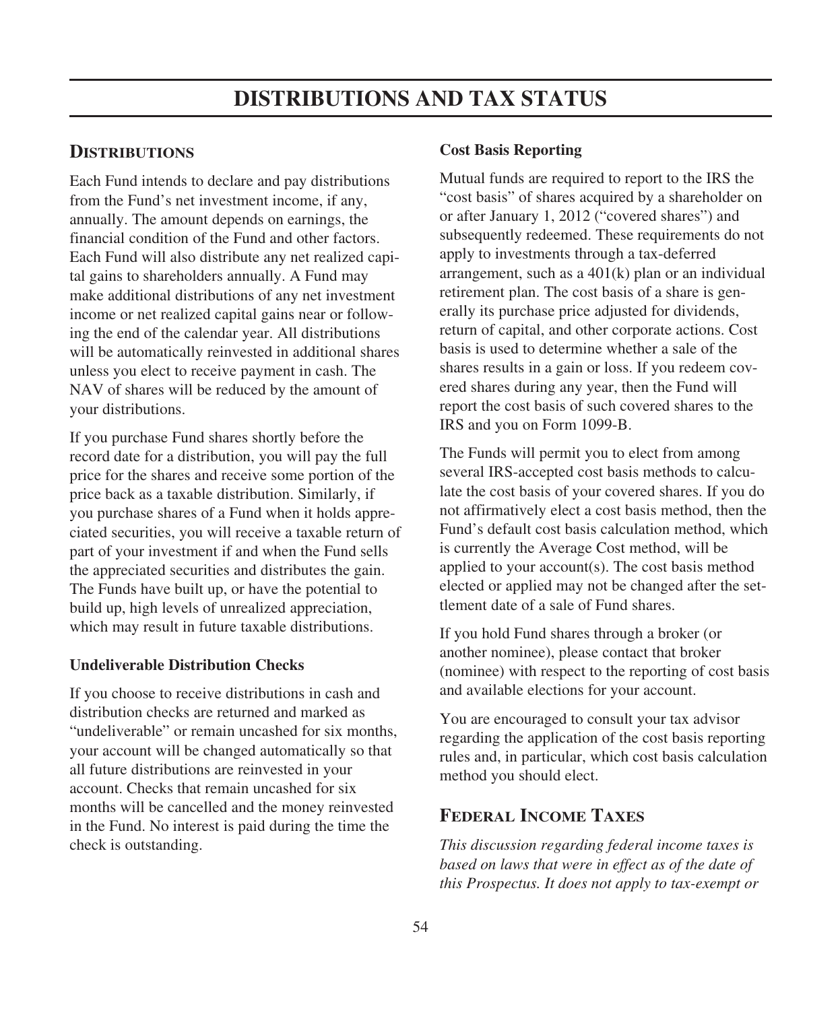## **DISTRIBUTIONS**

Each Fund intends to declare and pay distributions from the Fund's net investment income, if any, annually. The amount depends on earnings, the financial condition of the Fund and other factors. Each Fund will also distribute any net realized capital gains to shareholders annually. A Fund may make additional distributions of any net investment income or net realized capital gains near or following the end of the calendar year. All distributions will be automatically reinvested in additional shares unless you elect to receive payment in cash. The NAV of shares will be reduced by the amount of your distributions.

If you purchase Fund shares shortly before the record date for a distribution, you will pay the full price for the shares and receive some portion of the price back as a taxable distribution. Similarly, if you purchase shares of a Fund when it holds appreciated securities, you will receive a taxable return of part of your investment if and when the Fund sells the appreciated securities and distributes the gain. The Funds have built up, or have the potential to build up, high levels of unrealized appreciation, which may result in future taxable distributions.

### **Undeliverable Distribution Checks**

If you choose to receive distributions in cash and distribution checks are returned and marked as "undeliverable" or remain uncashed for six months, your account will be changed automatically so that all future distributions are reinvested in your account. Checks that remain uncashed for six months will be cancelled and the money reinvested in the Fund. No interest is paid during the time the check is outstanding.

#### **Cost Basis Reporting**

Mutual funds are required to report to the IRS the "cost basis" of shares acquired by a shareholder on or after January 1, 2012 ("covered shares") and subsequently redeemed. These requirements do not apply to investments through a tax-deferred arrangement, such as a 401(k) plan or an individual retirement plan. The cost basis of a share is generally its purchase price adjusted for dividends, return of capital, and other corporate actions. Cost basis is used to determine whether a sale of the shares results in a gain or loss. If you redeem covered shares during any year, then the Fund will report the cost basis of such covered shares to the IRS and you on Form 1099-B.

The Funds will permit you to elect from among several IRS-accepted cost basis methods to calculate the cost basis of your covered shares. If you do not affirmatively elect a cost basis method, then the Fund's default cost basis calculation method, which is currently the Average Cost method, will be applied to your account(s). The cost basis method elected or applied may not be changed after the settlement date of a sale of Fund shares.

If you hold Fund shares through a broker (or another nominee), please contact that broker (nominee) with respect to the reporting of cost basis and available elections for your account.

You are encouraged to consult your tax advisor regarding the application of the cost basis reporting rules and, in particular, which cost basis calculation method you should elect.

## **FEDERAL INCOME TAXES**

*This discussion regarding federal income taxes is based on laws that were in effect as of the date of this Prospectus. It does not apply to tax-exempt or*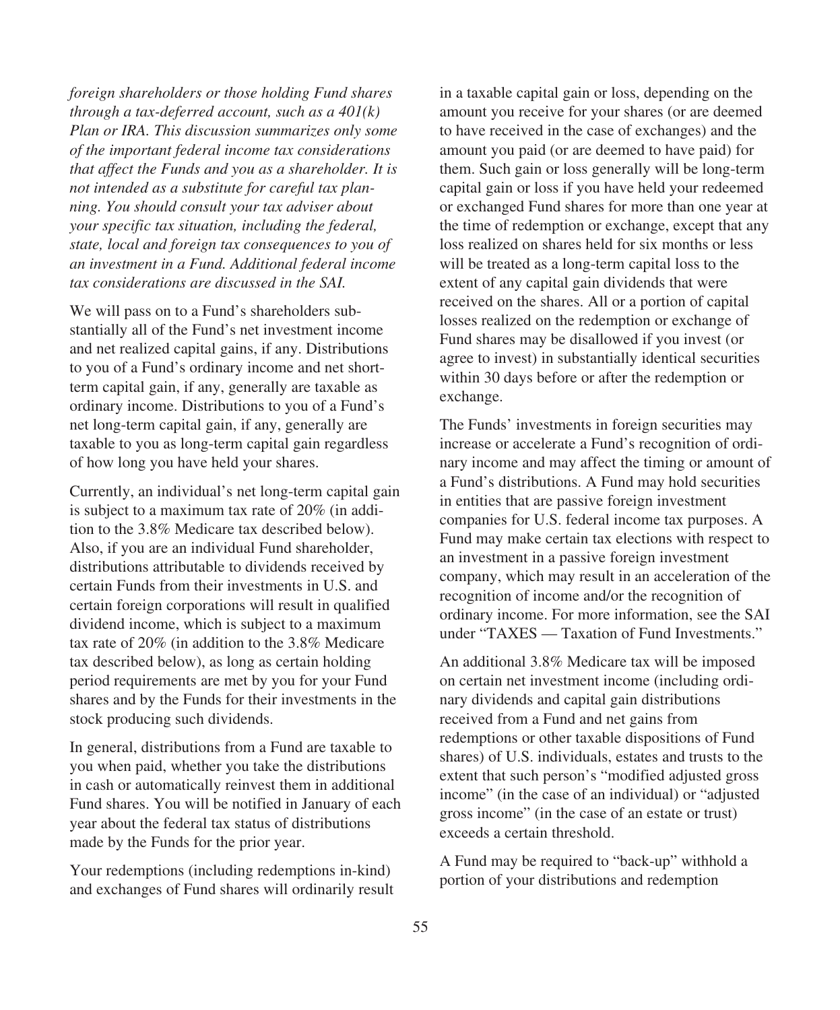*foreign shareholders or those holding Fund shares through a tax-deferred account, such as a 401(k) Plan or IRA. This discussion summarizes only some of the important federal income tax considerations that affect the Funds and you as a shareholder. It is not intended as a substitute for careful tax planning. You should consult your tax adviser about your specific tax situation, including the federal, state, local and foreign tax consequences to you of an investment in a Fund. Additional federal income tax considerations are discussed in the SAI.*

We will pass on to a Fund's shareholders substantially all of the Fund's net investment income and net realized capital gains, if any. Distributions to you of a Fund's ordinary income and net shortterm capital gain, if any, generally are taxable as ordinary income. Distributions to you of a Fund's net long-term capital gain, if any, generally are taxable to you as long-term capital gain regardless of how long you have held your shares.

Currently, an individual's net long-term capital gain is subject to a maximum tax rate of 20% (in addition to the 3.8% Medicare tax described below). Also, if you are an individual Fund shareholder, distributions attributable to dividends received by certain Funds from their investments in U.S. and certain foreign corporations will result in qualified dividend income, which is subject to a maximum tax rate of 20% (in addition to the 3.8% Medicare tax described below), as long as certain holding period requirements are met by you for your Fund shares and by the Funds for their investments in the stock producing such dividends.

In general, distributions from a Fund are taxable to you when paid, whether you take the distributions in cash or automatically reinvest them in additional Fund shares. You will be notified in January of each year about the federal tax status of distributions made by the Funds for the prior year.

Your redemptions (including redemptions in-kind) and exchanges of Fund shares will ordinarily result in a taxable capital gain or loss, depending on the amount you receive for your shares (or are deemed to have received in the case of exchanges) and the amount you paid (or are deemed to have paid) for them. Such gain or loss generally will be long-term capital gain or loss if you have held your redeemed or exchanged Fund shares for more than one year at the time of redemption or exchange, except that any loss realized on shares held for six months or less will be treated as a long-term capital loss to the extent of any capital gain dividends that were received on the shares. All or a portion of capital losses realized on the redemption or exchange of Fund shares may be disallowed if you invest (or agree to invest) in substantially identical securities within 30 days before or after the redemption or exchange.

The Funds' investments in foreign securities may increase or accelerate a Fund's recognition of ordinary income and may affect the timing or amount of a Fund's distributions. A Fund may hold securities in entities that are passive foreign investment companies for U.S. federal income tax purposes. A Fund may make certain tax elections with respect to an investment in a passive foreign investment company, which may result in an acceleration of the recognition of income and/or the recognition of ordinary income. For more information, see the SAI under "TAXES — Taxation of Fund Investments."

An additional 3.8% Medicare tax will be imposed on certain net investment income (including ordinary dividends and capital gain distributions received from a Fund and net gains from redemptions or other taxable dispositions of Fund shares) of U.S. individuals, estates and trusts to the extent that such person's "modified adjusted gross income" (in the case of an individual) or "adjusted gross income" (in the case of an estate or trust) exceeds a certain threshold.

A Fund may be required to "back-up" withhold a portion of your distributions and redemption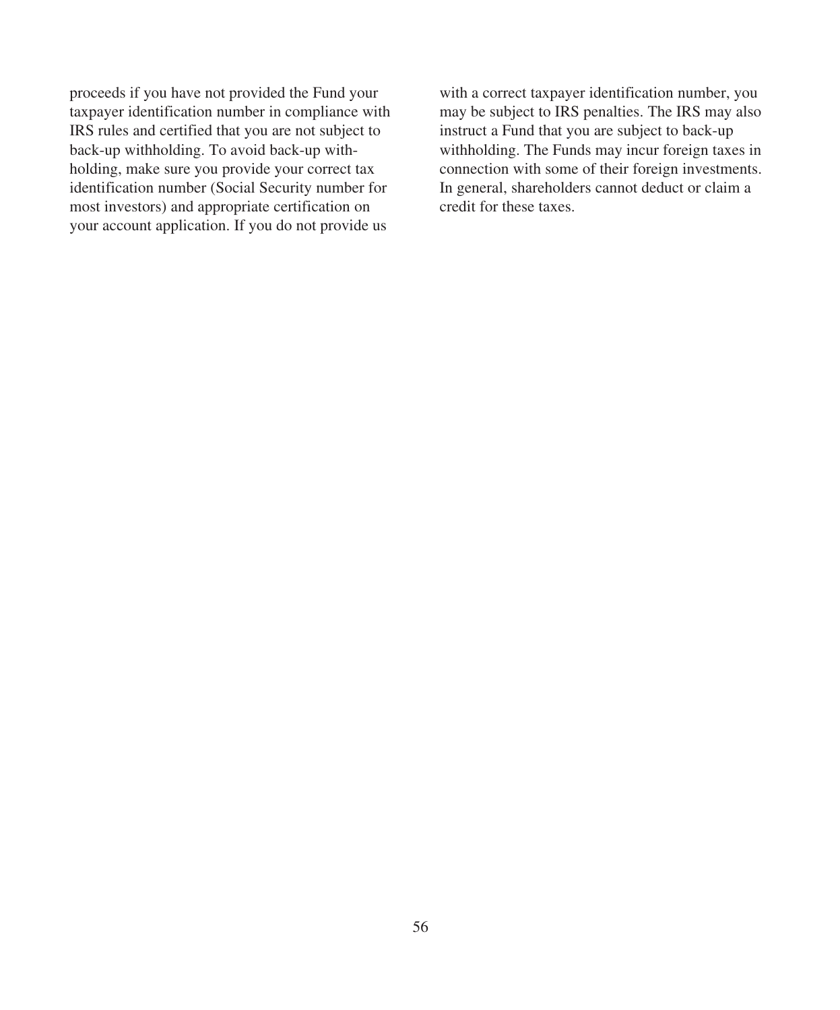proceeds if you have not provided the Fund your taxpayer identification number in compliance with IRS rules and certified that you are not subject to back-up withholding. To avoid back-up withholding, make sure you provide your correct tax identification number (Social Security number for most investors) and appropriate certification on your account application. If you do not provide us

with a correct taxpayer identification number, you may be subject to IRS penalties. The IRS may also instruct a Fund that you are subject to back-up withholding. The Funds may incur foreign taxes in connection with some of their foreign investments. In general, shareholders cannot deduct or claim a credit for these taxes.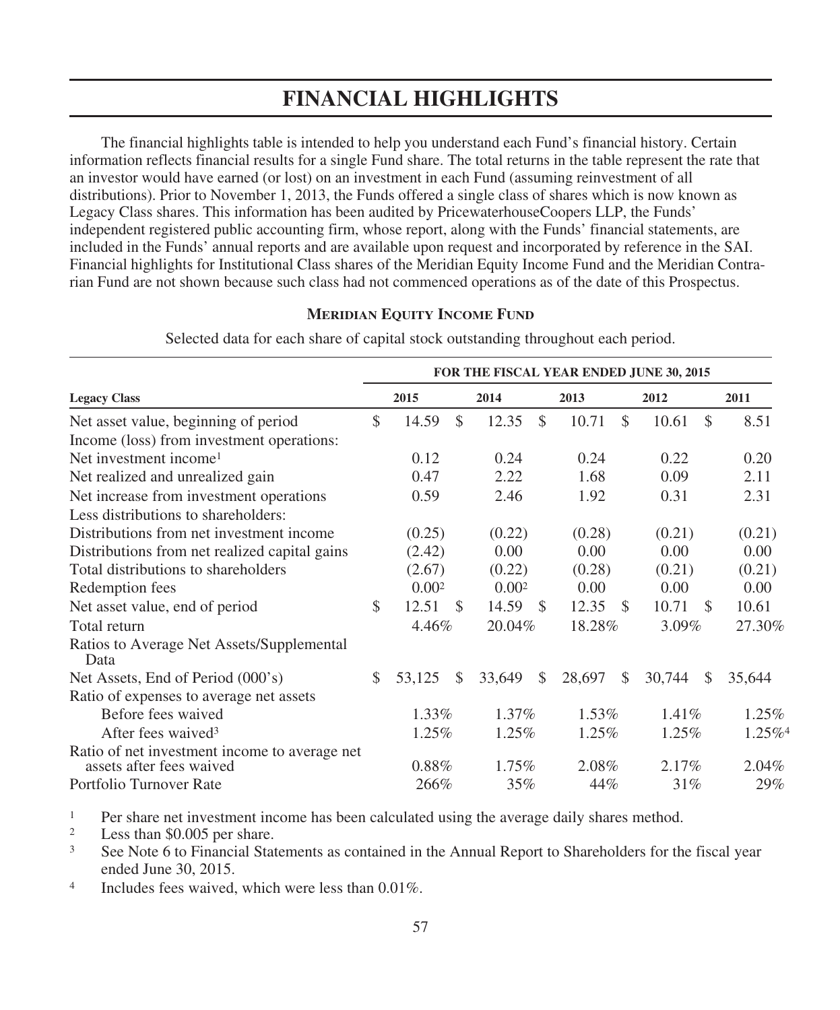# **FINANCIAL HIGHLIGHTS**

The financial highlights table is intended to help you understand each Fund's financial history. Certain information reflects financial results for a single Fund share. The total returns in the table represent the rate that an investor would have earned (or lost) on an investment in each Fund (assuming reinvestment of all distributions). Prior to November 1, 2013, the Funds offered a single class of shares which is now known as Legacy Class shares. This information has been audited by PricewaterhouseCoopers LLP, the Funds' independent registered public accounting firm, whose report, along with the Funds' financial statements, are included in the Funds' annual reports and are available upon request and incorporated by reference in the SAI. Financial highlights for Institutional Class shares of the Meridian Equity Income Fund and the Meridian Contrarian Fund are not shown because such class had not commenced operations as of the date of this Prospectus.

### **MERIDIAN EQUITY INCOME FUND**

|                                                                           |          | FOR THE FISCAL YEAR ENDED JUNE 30, 2015 |               |                   |      |          |               |          |               |                       |  |  |  |
|---------------------------------------------------------------------------|----------|-----------------------------------------|---------------|-------------------|------|----------|---------------|----------|---------------|-----------------------|--|--|--|
| <b>Legacy Class</b>                                                       |          | 2015                                    |               |                   |      | 2013     |               | 2012     |               | 2011                  |  |  |  |
| Net asset value, beginning of period                                      |          | 14.59                                   | \$            | 12.35             | \$   | 10.71    | $\mathcal{S}$ | 10.61    | $\mathcal{S}$ | 8.51                  |  |  |  |
| Income (loss) from investment operations:                                 |          |                                         |               |                   |      |          |               |          |               |                       |  |  |  |
| Net investment income <sup>1</sup>                                        |          | 0.12                                    |               | 0.24              |      | 0.24     |               | 0.22     |               | 0.20                  |  |  |  |
| Net realized and unrealized gain                                          |          | 0.47                                    |               | 2.22              |      | 1.68     |               | 0.09     |               | 2.11                  |  |  |  |
| Net increase from investment operations                                   |          | 0.59                                    |               | 2.46              |      | 1.92     |               | 0.31     |               | 2.31                  |  |  |  |
| Less distributions to shareholders:                                       |          |                                         |               |                   |      |          |               |          |               |                       |  |  |  |
| Distributions from net investment income                                  |          | (0.25)                                  |               | (0.22)            |      | (0.28)   |               | (0.21)   |               | (0.21)                |  |  |  |
| Distributions from net realized capital gains                             |          | (2.42)                                  |               | 0.00              |      | 0.00     |               | 0.00     |               | 0.00                  |  |  |  |
| Total distributions to shareholders                                       |          | (2.67)                                  |               | (0.22)            |      | (0.28)   |               | (0.21)   |               | (0.21)                |  |  |  |
| Redemption fees                                                           |          | 0.00 <sup>2</sup>                       |               | 0.00 <sup>2</sup> |      | 0.00     |               | 0.00     |               | 0.00                  |  |  |  |
| Net asset value, end of period                                            | S.       | 12.51                                   | -S            | 14.59             | - \$ | 12.35    | - \$          | 10.71    | -S            | 10.61                 |  |  |  |
| Total return                                                              |          | 4.46%                                   |               | 20.04%            |      | 18.28%   | $3.09\%$      |          |               | 27.30%                |  |  |  |
| Ratios to Average Net Assets/Supplemental<br>Data                         |          |                                         |               |                   |      |          |               |          |               |                       |  |  |  |
| Net Assets, End of Period (000's)                                         | \$.      | 53.125                                  | <sup>\$</sup> | 33,649            | \$   | 28,697   | <sup>\$</sup> | 30,744   | <sup>\$</sup> | 35,644                |  |  |  |
| Ratio of expenses to average net assets                                   |          |                                         |               |                   |      |          |               |          |               |                       |  |  |  |
| Before fees waived                                                        |          | 1.33%                                   |               | $1.37\%$          |      | $1.53\%$ |               | $1.41\%$ |               | $1.25\%$              |  |  |  |
| After fees waived <sup>3</sup>                                            | $1.25\%$ |                                         |               | $1.25\%$          |      | $1.25\%$ |               | $1.25\%$ |               | $1.25\%$ <sup>4</sup> |  |  |  |
| Ratio of net investment income to average net<br>assets after fees waived |          | $0.88\%$                                |               | $1.75\%$          |      | 2.08%    |               | $2.17\%$ |               | $2.04\%$              |  |  |  |
| Portfolio Turnover Rate                                                   |          | 266\%                                   |               | 35%               |      | 44%      |               | 31%      |               | 29%                   |  |  |  |

Selected data for each share of capital stock outstanding throughout each period.

<sup>1</sup> Per share net investment income has been calculated using the average daily shares method.<br><sup>2</sup> Less than \$0,005 per share

<sup>2</sup> Less than \$0.005 per share.<br><sup>3</sup> See Note 6 to Financial Stat

See Note 6 to Financial Statements as contained in the Annual Report to Shareholders for the fiscal year ended June 30, 2015.

<sup>4</sup> Includes fees waived, which were less than 0.01%.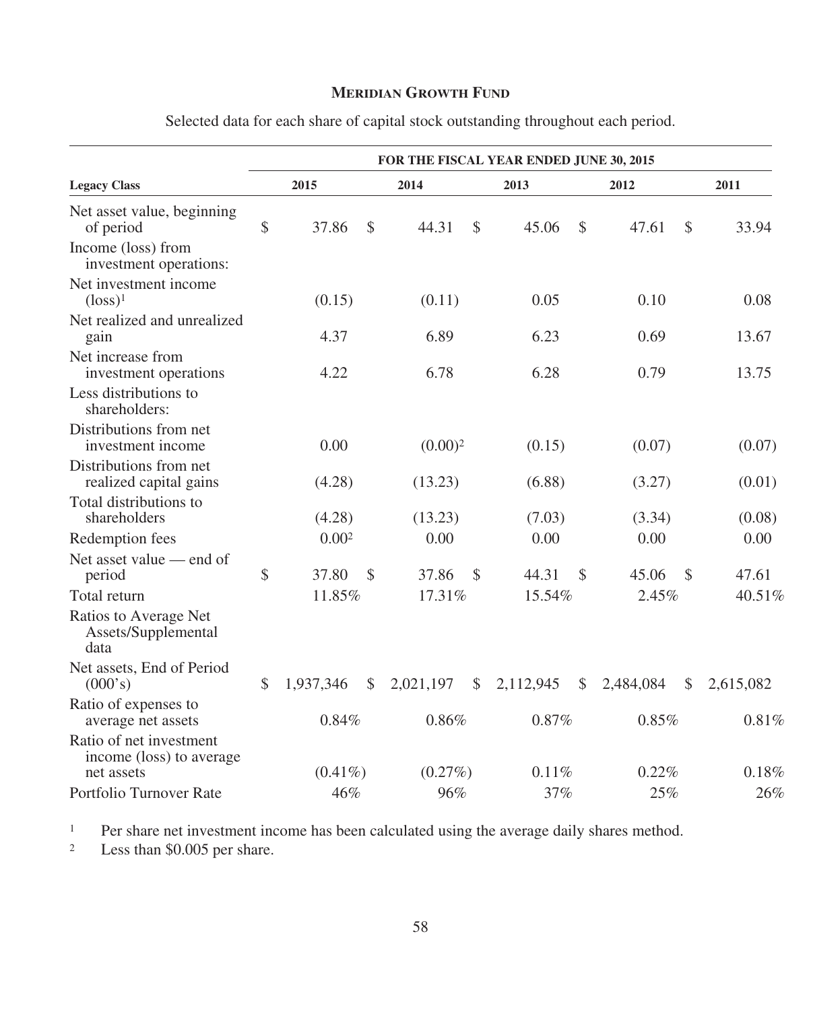## **MERIDIAN GROWTH FUND**

|                                                                   |    | FOR THE FISCAL YEAR ENDED JUNE 30, 2015 |            |               |                            |                            |           |  |  |  |  |  |  |  |
|-------------------------------------------------------------------|----|-----------------------------------------|------------|---------------|----------------------------|----------------------------|-----------|--|--|--|--|--|--|--|
| <b>Legacy Class</b>                                               |    | 2015                                    | 2014       |               | 2013                       | 2012                       | 2011      |  |  |  |  |  |  |  |
| Net asset value, beginning<br>of period                           | \$ | 37.86<br>\$                             | 44.31      | <sup>\$</sup> | 45.06<br>\$                | 47.61<br>\$                | 33.94     |  |  |  |  |  |  |  |
| Income (loss) from<br>investment operations:                      |    |                                         |            |               |                            |                            |           |  |  |  |  |  |  |  |
| Net investment income<br>$(logs)^1$                               |    | (0.15)                                  | (0.11)     |               | 0.05                       | 0.10                       | 0.08      |  |  |  |  |  |  |  |
| Net realized and unrealized<br>gain                               |    | 4.37                                    | 6.89       |               | 6.23                       | 0.69                       | 13.67     |  |  |  |  |  |  |  |
| Net increase from<br>investment operations                        |    | 4.22                                    | 6.78       |               | 6.28                       | 0.79                       | 13.75     |  |  |  |  |  |  |  |
| Less distributions to<br>shareholders:                            |    |                                         |            |               |                            |                            |           |  |  |  |  |  |  |  |
| Distributions from net<br>investment income                       |    | 0.00                                    | $(0.00)^2$ |               | (0.15)                     | (0.07)                     | (0.07)    |  |  |  |  |  |  |  |
| Distributions from net<br>realized capital gains                  |    | (4.28)                                  | (13.23)    |               | (6.88)                     | (3.27)                     | (0.01)    |  |  |  |  |  |  |  |
| Total distributions to<br>shareholders                            |    | (4.28)                                  | (13.23)    |               | (7.03)                     | (3.34)                     | (0.08)    |  |  |  |  |  |  |  |
| Redemption fees                                                   |    | 0.002                                   | 0.00       |               | 0.00                       | 0.00                       | 0.00      |  |  |  |  |  |  |  |
| Net asset value - end of<br>period                                | \$ | 37.80<br>\$                             | 37.86      | $\mathcal{S}$ | 44.31<br>\$                | 45.06<br><sup>\$</sup>     | 47.61     |  |  |  |  |  |  |  |
| Total return                                                      |    | 11.85%                                  | 17.31%     |               | 15.54%                     | 2.45%                      | 40.51%    |  |  |  |  |  |  |  |
| Ratios to Average Net<br>Assets/Supplemental<br>data              |    |                                         |            |               |                            |                            |           |  |  |  |  |  |  |  |
| Net assets, End of Period<br>(000's)                              | \$ | 1,937,346<br>$\frac{1}{2}$              | 2,021,197  | $\mathcal{S}$ | 2,112,945<br>$\frac{1}{2}$ | 2,484,084<br>$\mathcal{S}$ | 2,615,082 |  |  |  |  |  |  |  |
| Ratio of expenses to<br>average net assets                        |    | 0.84%                                   | 0.86%      |               | 0.87%                      | 0.85%                      | 0.81%     |  |  |  |  |  |  |  |
| Ratio of net investment<br>income (loss) to average<br>net assets |    | $(0.41\%)$                              | $(0.27\%)$ |               | 0.11%                      | 0.22%                      | 0.18%     |  |  |  |  |  |  |  |
| Portfolio Turnover Rate                                           |    | 46%                                     | 96%        |               | 37%                        | 25%                        | 26%       |  |  |  |  |  |  |  |

Selected data for each share of capital stock outstanding throughout each period.

<sup>1</sup> Per share net investment income has been calculated using the average daily shares method.<br><sup>2</sup> Less than \$0.005 per share.

Less than \$0.005 per share.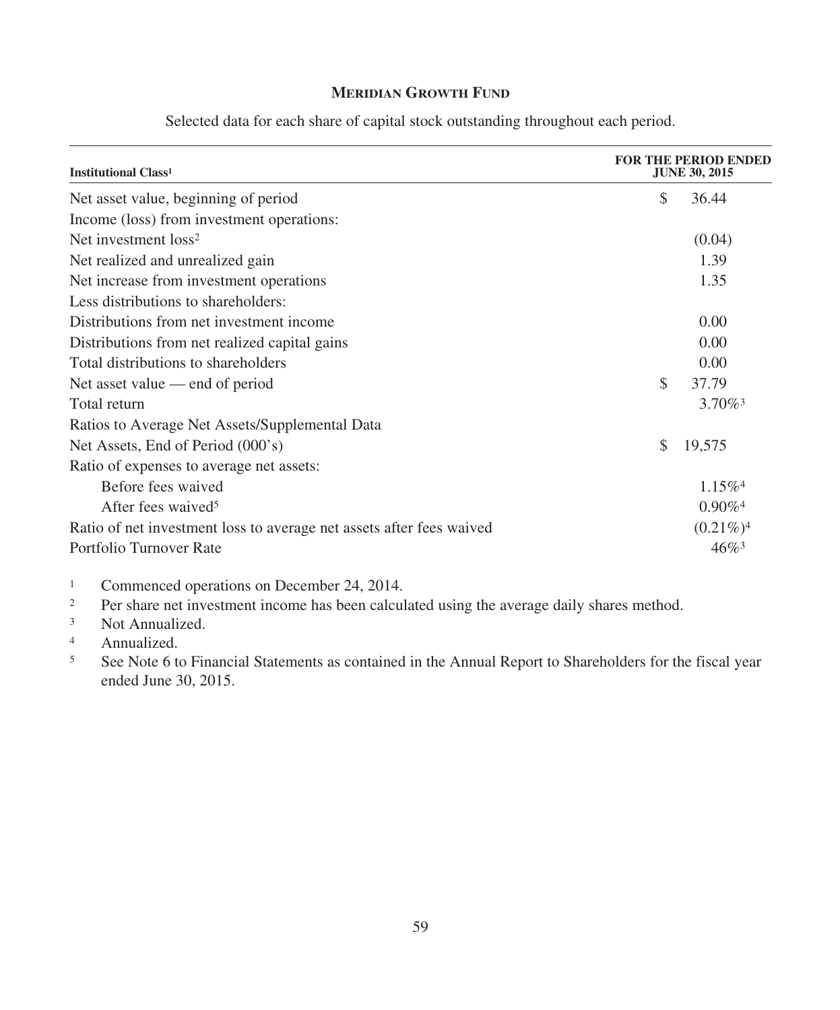## **MERIDIAN GROWTH FUND**

| <b>Institutional Class<sup>1</sup></b>                               |    | <b>FOR THE PERIOD ENDED</b><br><b>JUNE 30, 2015</b> |  |
|----------------------------------------------------------------------|----|-----------------------------------------------------|--|
| Net asset value, beginning of period                                 | \$ | 36.44                                               |  |
| Income (loss) from investment operations:                            |    |                                                     |  |
| Net investment loss <sup>2</sup>                                     |    | (0.04)                                              |  |
| Net realized and unrealized gain                                     |    | 1.39                                                |  |
| Net increase from investment operations                              |    | 1.35                                                |  |
| Less distributions to shareholders:                                  |    |                                                     |  |
| Distributions from net investment income                             |    | 0.00                                                |  |
| Distributions from net realized capital gains                        |    | 0.00                                                |  |
| Total distributions to shareholders                                  |    | 0.00                                                |  |
| Net asset value — end of period                                      | \$ | 37.79                                               |  |
| Total return                                                         |    | $3.70\%$ <sup>3</sup>                               |  |
| Ratios to Average Net Assets/Supplemental Data                       |    |                                                     |  |
| Net Assets, End of Period (000's)                                    | \$ | 19,575                                              |  |
| Ratio of expenses to average net assets:                             |    |                                                     |  |
| Before fees waived                                                   |    | $1.15\%$ <sup>4</sup>                               |  |
| After fees waived <sup>5</sup>                                       |    | $0.90\%$ <sup>4</sup>                               |  |
| Ratio of net investment loss to average net assets after fees waived |    | $(0.21\%)$ <sup>4</sup>                             |  |
| Portfolio Turnover Rate                                              |    | $46\%$ <sup>3</sup>                                 |  |

Selected data for each share of capital stock outstanding throughout each period.

<sup>1</sup> Commenced operations on December 24, 2014.<br><sup>2</sup> Per share net investment income has been calcul

Per share net investment income has been calculated using the average daily shares method.

<sup>3</sup> Not Annualized.

4 Annualized.<br>5 See Note 6 to

<sup>5</sup> See Note 6 to Financial Statements as contained in the Annual Report to Shareholders for the fiscal year ended June 30, 2015.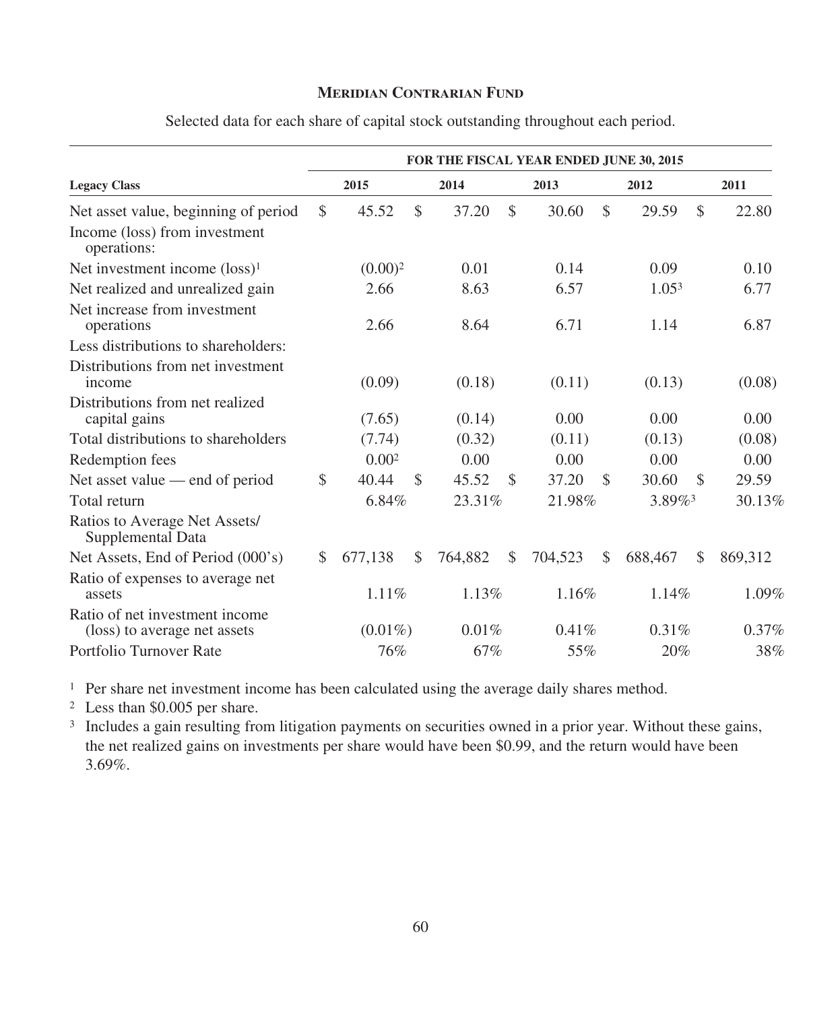### **MERIDIAN CONTRARIAN FUND**

|                                                                | FOR THE FISCAL YEAR ENDED JUNE 30, 2015 |                     |               |         |               |         |               |                   |              |         |  |  |  |
|----------------------------------------------------------------|-----------------------------------------|---------------------|---------------|---------|---------------|---------|---------------|-------------------|--------------|---------|--|--|--|
| <b>Legacy Class</b>                                            |                                         | 2015                |               | 2014    |               | 2013    | 2012          |                   |              | 2011    |  |  |  |
| Net asset value, beginning of period                           | \$                                      | 45.52               | $\mathcal{S}$ | 37.20   | \$            | 30.60   | \$            | 29.59             | \$           | 22.80   |  |  |  |
| Income (loss) from investment<br>operations:                   |                                         |                     |               |         |               |         |               |                   |              |         |  |  |  |
| Net investment income (loss) <sup>1</sup>                      |                                         | (0.00) <sup>2</sup> |               | 0.01    |               | 0.14    |               | 0.09              |              | 0.10    |  |  |  |
| Net realized and unrealized gain                               |                                         | 2.66                |               | 8.63    |               | 6.57    |               | 1.05 <sup>3</sup> |              | 6.77    |  |  |  |
| Net increase from investment<br>operations                     |                                         | 2.66                |               | 8.64    |               | 6.71    |               | 1.14              |              | 6.87    |  |  |  |
| Less distributions to shareholders:                            |                                         |                     |               |         |               |         |               |                   |              |         |  |  |  |
| Distributions from net investment<br>income                    |                                         | (0.09)              |               | (0.18)  |               | (0.11)  |               | (0.13)            |              | (0.08)  |  |  |  |
| Distributions from net realized<br>capital gains               |                                         | (7.65)              |               | (0.14)  |               | 0.00    |               | 0.00              |              | 0.00    |  |  |  |
| Total distributions to shareholders                            |                                         | (7.74)              |               | (0.32)  |               | (0.11)  |               | (0.13)            |              | (0.08)  |  |  |  |
| Redemption fees                                                |                                         | 0.00 <sup>2</sup>   |               | 0.00    |               | 0.00    |               | 0.00              |              | 0.00    |  |  |  |
| Net asset value — end of period                                | \$                                      | 40.44               | \$            | 45.52   | $\mathcal{S}$ | 37.20   | <sup>\$</sup> | 30.60             | \$           | 29.59   |  |  |  |
| Total return                                                   |                                         | 6.84%               |               | 23.31%  |               | 21.98%  |               | 3.89%             |              | 30.13%  |  |  |  |
| Ratios to Average Net Assets/<br>Supplemental Data             |                                         |                     |               |         |               |         |               |                   |              |         |  |  |  |
| Net Assets, End of Period (000's)                              | \$                                      | 677.138             | $\mathbb{S}$  | 764,882 | $\mathbb{S}$  | 704,523 | $\mathbb{S}$  | 688,467           | $\mathbb{S}$ | 869,312 |  |  |  |
| Ratio of expenses to average net<br>assets                     |                                         | 1.11%               |               | 1.13%   |               | 1.16%   |               | 1.14%             |              | 1.09%   |  |  |  |
| Ratio of net investment income<br>(loss) to average net assets |                                         | $(0.01\%)$          |               | 0.01%   |               | 0.41%   |               | 0.31%             |              | 0.37%   |  |  |  |
| Portfolio Turnover Rate                                        |                                         | 76%                 |               | 67%     |               | 55%     |               | 20%               |              | 38%     |  |  |  |

Selected data for each share of capital stock outstanding throughout each period.

<sup>1</sup> Per share net investment income has been calculated using the average daily shares method.

<sup>2</sup> Less than \$0.005 per share.

<sup>3</sup> Includes a gain resulting from litigation payments on securities owned in a prior year. Without these gains, the net realized gains on investments per share would have been \$0.99, and the return would have been 3.69%.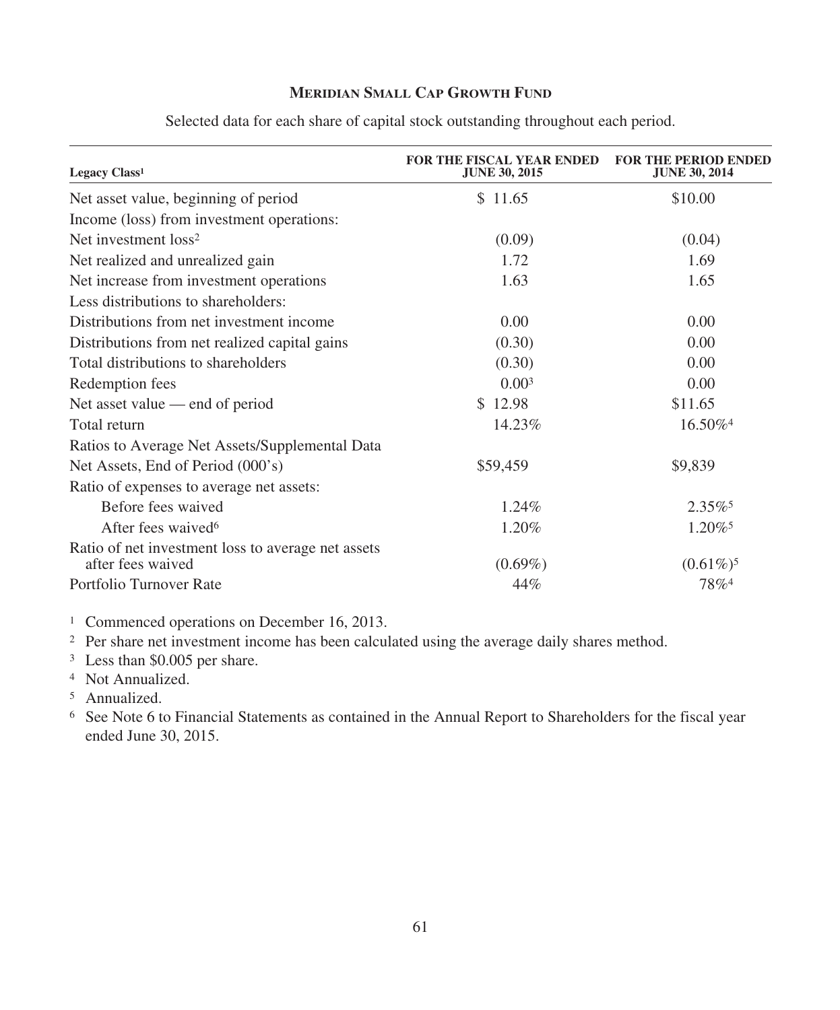## **MERIDIAN SMALL CAP GROWTH FUND**

| Legacy Class <sup>1</sup>                                               | <b>FOR THE FISCAL YEAR ENDED</b><br><b>JUNE 30, 2015</b> | <b>FOR THE PERIOD ENDED</b><br><b>JUNE 30, 2014</b> |
|-------------------------------------------------------------------------|----------------------------------------------------------|-----------------------------------------------------|
| Net asset value, beginning of period                                    | \$11.65                                                  | \$10.00                                             |
| Income (loss) from investment operations:                               |                                                          |                                                     |
| Net investment loss <sup>2</sup>                                        | (0.09)                                                   | (0.04)                                              |
| Net realized and unrealized gain                                        | 1.72                                                     | 1.69                                                |
| Net increase from investment operations                                 | 1.63                                                     | 1.65                                                |
| Less distributions to shareholders:                                     |                                                          |                                                     |
| Distributions from net investment income                                | 0.00                                                     | 0.00                                                |
| Distributions from net realized capital gains                           | (0.30)                                                   | 0.00                                                |
| Total distributions to shareholders                                     | (0.30)                                                   | 0.00                                                |
| Redemption fees                                                         | 0.00 <sup>3</sup>                                        | 0.00                                                |
| Net asset value — end of period                                         | \$12.98                                                  | \$11.65                                             |
| Total return                                                            | 14.23%                                                   | 16.50% <sup>4</sup>                                 |
| Ratios to Average Net Assets/Supplemental Data                          |                                                          |                                                     |
| Net Assets, End of Period (000's)                                       | \$59,459                                                 | \$9,839                                             |
| Ratio of expenses to average net assets:                                |                                                          |                                                     |
| Before fees waived                                                      | 1.24%                                                    | $2.35\%$ <sup>5</sup>                               |
| After fees waived <sup>6</sup>                                          | 1.20%                                                    | $1.20\%$ <sup>5</sup>                               |
| Ratio of net investment loss to average net assets<br>after fees waived | $(0.69\%)$                                               | $(0.61\%)^5$                                        |
| Portfolio Turnover Rate                                                 | 44%                                                      | 78%4                                                |

Selected data for each share of capital stock outstanding throughout each period.

<sup>1</sup> Commenced operations on December 16, 2013.

<sup>2</sup> Per share net investment income has been calculated using the average daily shares method.

<sup>3</sup> Less than \$0.005 per share.

<sup>4</sup> Not Annualized.

<sup>5</sup> Annualized.

<sup>6</sup> See Note 6 to Financial Statements as contained in the Annual Report to Shareholders for the fiscal year ended June 30, 2015.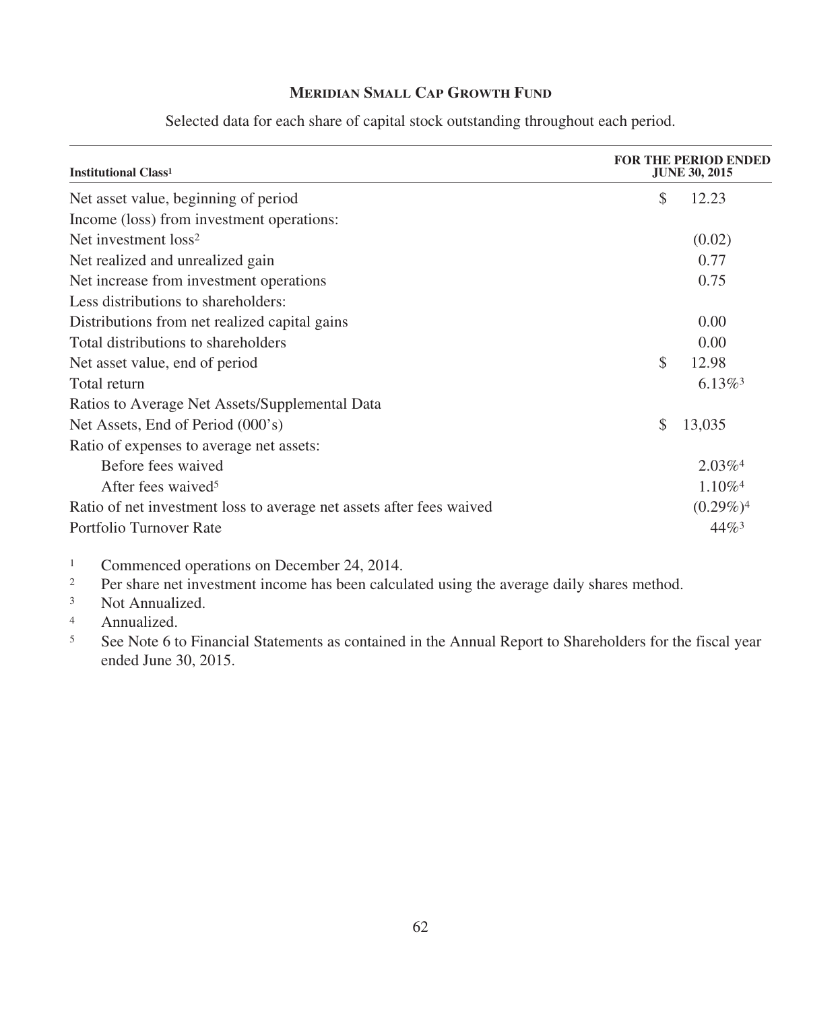## **MERIDIAN SMALL CAP GROWTH FUND**

| <b>Institutional Class<sup>1</sup></b>                               |              | <b>FOR THE PERIOD ENDED</b><br><b>JUNE 30, 2015</b> |  |
|----------------------------------------------------------------------|--------------|-----------------------------------------------------|--|
| Net asset value, beginning of period                                 | \$           | 12.23                                               |  |
| Income (loss) from investment operations:                            |              |                                                     |  |
| Net investment loss <sup>2</sup>                                     |              | (0.02)                                              |  |
| Net realized and unrealized gain                                     |              | 0.77                                                |  |
| Net increase from investment operations                              |              | 0.75                                                |  |
| Less distributions to shareholders:                                  |              |                                                     |  |
| Distributions from net realized capital gains                        |              | 0.00                                                |  |
| Total distributions to shareholders                                  |              | 0.00                                                |  |
| Net asset value, end of period                                       | \$           | 12.98                                               |  |
| Total return                                                         |              | $6.13\%$ <sup>3</sup>                               |  |
| Ratios to Average Net Assets/Supplemental Data                       |              |                                                     |  |
| Net Assets, End of Period (000's)                                    | $\mathbb{S}$ | 13,035                                              |  |
| Ratio of expenses to average net assets:                             |              |                                                     |  |
| Before fees waived                                                   |              | $2.03\%$ <sup>4</sup>                               |  |
| After fees waived <sup>5</sup>                                       |              | $1.10\%$ <sup>4</sup>                               |  |
| Ratio of net investment loss to average net assets after fees waived |              | $(0.29\%)$ <sup>4</sup>                             |  |
| Portfolio Turnover Rate                                              |              | $44\%$ <sup>3</sup>                                 |  |

Selected data for each share of capital stock outstanding throughout each period.

<sup>1</sup> Commenced operations on December 24, 2014.<br><sup>2</sup> Per share net investment income has been calcul

<sup>2</sup> Per share net investment income has been calculated using the average daily shares method.<br><sup>3</sup> Not Annualized

Not Annualized.

4 Annualized.<br> $5 \t\t\t\t\text{See Note 6 to}$ 

<sup>5</sup> See Note 6 to Financial Statements as contained in the Annual Report to Shareholders for the fiscal year ended June 30, 2015.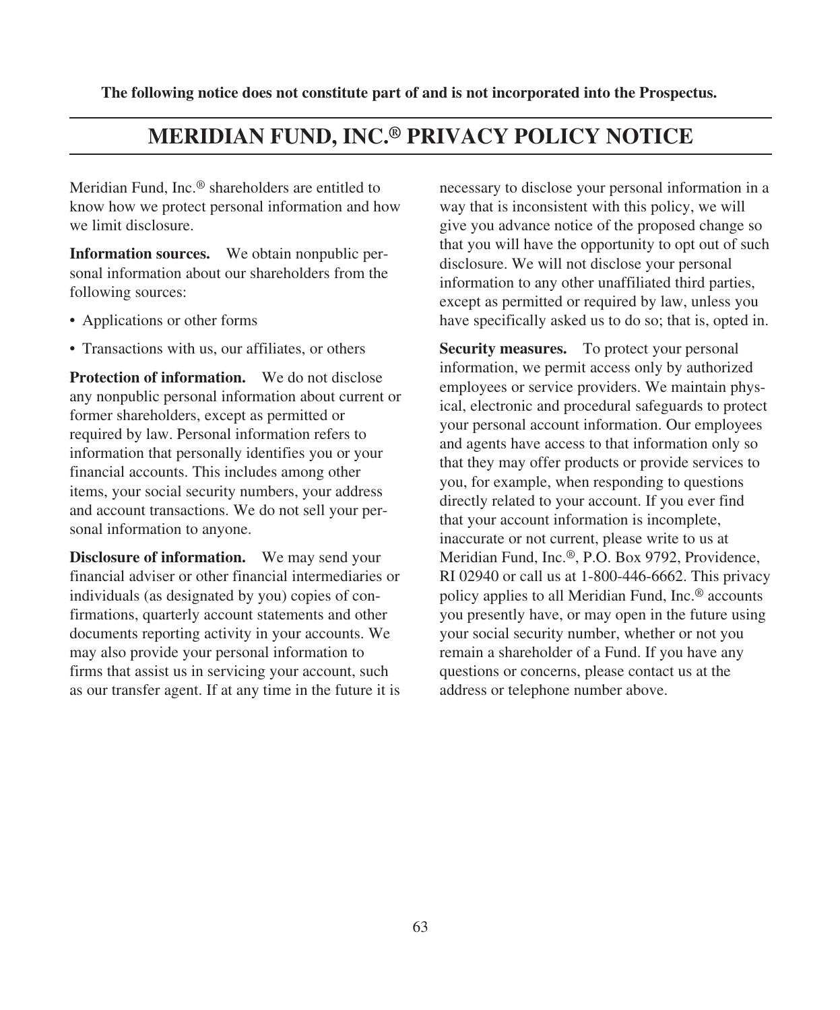**The following notice does not constitute part of and is not incorporated into the Prospectus.**

# **MERIDIAN FUND, INC.® PRIVACY POLICY NOTICE**

Meridian Fund, Inc.® shareholders are entitled to know how we protect personal information and how we limit disclosure.

**Information sources.** We obtain nonpublic personal information about our shareholders from the following sources:

- Applications or other forms
- Transactions with us, our affiliates, or others

**Protection of information.** We do not disclose any nonpublic personal information about current or former shareholders, except as permitted or required by law. Personal information refers to information that personally identifies you or your financial accounts. This includes among other items, your social security numbers, your address and account transactions. We do not sell your personal information to anyone.

**Disclosure of information.** We may send your financial adviser or other financial intermediaries or individuals (as designated by you) copies of confirmations, quarterly account statements and other documents reporting activity in your accounts. We may also provide your personal information to firms that assist us in servicing your account, such as our transfer agent. If at any time in the future it is necessary to disclose your personal information in a way that is inconsistent with this policy, we will give you advance notice of the proposed change so that you will have the opportunity to opt out of such disclosure. We will not disclose your personal information to any other unaffiliated third parties, except as permitted or required by law, unless you have specifically asked us to do so; that is, opted in.

**Security measures.** To protect your personal information, we permit access only by authorized employees or service providers. We maintain physical, electronic and procedural safeguards to protect your personal account information. Our employees and agents have access to that information only so that they may offer products or provide services to you, for example, when responding to questions directly related to your account. If you ever find that your account information is incomplete, inaccurate or not current, please write to us at Meridian Fund, Inc.®, P.O. Box 9792, Providence, RI 02940 or call us at 1-800-446-6662. This privacy policy applies to all Meridian Fund, Inc.® accounts you presently have, or may open in the future using your social security number, whether or not you remain a shareholder of a Fund. If you have any questions or concerns, please contact us at the address or telephone number above.